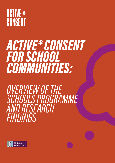## ACTIVE\* CONSENT

# *ACTIVE\* CONSENT FOR SCHOOL COMMUNITIES:*

## *OVERVIEW OF THE SCHOOLS PROGRAMME AND RESEARCH FINDINGS*

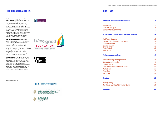#### *[Active\\* Consent Schools Workshop: Piloting and Evaluation](#page-14-0) 24*

| <b>Introduction and Schools Programme Overview</b>               | $\overline{2}$ |
|------------------------------------------------------------------|----------------|
| Aims of the report                                               | $\overline{2}$ |
| Introduction to the report                                       | $\overline{2}$ |
| Overview of the schools programme                                | 16             |
| <b>Active* Consent Schools Workshop: Piloting and Evaluation</b> | 24             |
| <b>Workshop overview and delivery</b>                            | 26             |
| Evaluation of the Active* Consent schools workshop               | 28             |
| Quantitative evaluation                                          | 30             |
| Qualitative evaluation                                           | 32             |
| Teacher feedback                                                 | 36             |
| Parent feedback                                                  | 39             |
| <b>Active* Consent Schools Survey</b>                            | 42             |
| Research methodology and survey description                      | 44             |
| <b>Summary of quantitative findings</b>                          | 46             |
| Qualitative analysis                                             | 49             |
| <b>Consent communication: Facilitators and barriers</b>          | 50             |
| <b>Aoife and Martin</b>                                          | 60             |
| <b>Jim and Claire</b>                                            | 72             |
| <b>Sam and Alex</b>                                              | 82             |
| <b>Conclusion</b>                                                | 90             |
| Summary of findings                                              | 92             |
| Next steps and supports available from Active* Consent           | 94             |
| References                                                       | 96             |

#### *[Active\\* Consent Schools Survey](#page-23-0) 42*

 $Ref$ erences

The **Active\* Consent** programme is based at **NUI Galway** and works to support young people, communities, and organisations to achieve the knowledge, skills, and practices essential to positive, assertive consent. The programme uses in-person and online strategies to reach participants, informed by extensive research activity and through multiple disciplines such as psychology, drama, and health promotion. Active\* Consent focuses on schools, colleges, and sports as key settings to support a culture of positive change.

#### FUNDERS AND PARTNERS CONTENTS

Lifes2good Foundation is the primary funder of the Active\* Consent programme. It is a Galway-based registered charity with a primary focus on women and children in situations of vulnerability. It supports preventative as well as remedial strategies. The charity subscribes to a multifaceted approach and supports projects, programmes, and initiatives that focus on attitudinal and behavioural change. Visit: www.lifes2goodfoundation.ie/

Rethink Ireland is a non-profit organisation that provides grants, supports and other development resources to charities and social enterprises that make a difference in Irish society. Active\* Consent is an awardee of Rethink Ireland's Arts to Impact fund, which has supported initiatives that use the arts and culture as a means to create positive social impact in Ireland.

Additional support from











An Roinn Breisoideachais agus Ardoideachais, Taighde, Nuálaíochta agus Eolaíochta Department of Further and Higher Education, Research, Innovation and Science



An Roinn Dlí agus Cirt agus Comhionannais Department of Justice and Equality

#### **Introduction and Schools Programm**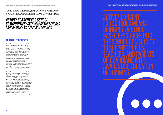

*MacNeela, P., McIvor, C., Achteresch, L., Bharath, A., Dawson, K., Burke, L., Connolly, R., D'Eath, M., Foden, E., McGrath, S., O'Rourke, T., Tierney, L., & O'Higgins, S. (2021).*

### *ACTIVE\* CONSENT FOR SCHOOL COMMUNITIES: OVERVIEW OF THE SCHOOLS PROGRAMME AND RESEARCH FINDINGS*

#### ACKNOWLEDGEMENTS

We would like to acknowledge and thank all the young people, teachers, parents, and collaborators who have worked with us since 2019 to reach this point of launching the Active\* Consent programme for school communities. These include organisations such as Sexual Health West, the Irish Second-Level Students' Union, and many individual schools or school networks.

While the impact of the Covid-19 pandemic was to disrupt the development of this programme, we managed to work in partnership with all stakeholders in the schools that took part in our surveys and workshops. We feel privileged to have been able to do so in the midst of so many other pressures experienced by the schools over this time.

We would like to acknowledge and thank our funders without whom the breadth and depth of our work would not be possible. Lifes2good Foundation have believed in our vison since 2019, as has Rethink Ireland, NUI Galway, and the Galway University Foundation. The programme team are also very grateful for the support we have received from Government agencies and departments. Finally, we want to thank all the members of the Active\* Consent team, past and present, who together have worked as a team to deliver this integrated and interdisciplinary programme with the goal of sustaining the momentum of proactive consent awareness raising, education, and training.



ACTIVE\* CONSENT OR TRAINING



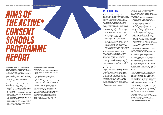# <span id="page-3-0"></span>*AIMS OF THE ACTIVE\* CONSENT SCHOOLS PROGRAMME REPORT*

This report describes a new programme to support adolescents to achieve positive, active consent if they are sexually active. It is primarily targeted at the members of school communities, such as young people, parents, and teachers, but is relevant more broadly to other community settings. The programme draws on research carried out by the Active\* Consent team to create new resources for a schools population.

- A survey of over 600 school pupils.
- A range of studies with 4,000 young adults and parents on critical thinking about pornography.
- Surveys and focus groups drawn from over 3,000 young adults who had viewed a live consent drama.
- Youth panels and consultation with the Irish Second-Level Students' Union.
- Piloting and evaluating the schools consent workshop with nearly 1,000 school pupils, 350 parents, and more than 30 teachers who took part in training.

The range of research used to devise the schools programme included:

The programme has four integrated components:

- A schools consent workshop designed for school pupils in Transition Year and Fifth Year.
- The 'Sex on Our Screens' sexual media eLearning resource for teenagers.
- The 'How I Learned About Consent' theatrical film.
- Awareness raising and training resources for parents, teachers and other professionals.

The aim of this report is to introduce the programme and describe each of the components. The report also reviews the findings of the Active\* Consent survey, which provides the first in-depth exploration of consent communication among Irish teenagers. It also highlights the consent workshop in particular and previews the launch of 'Sex on Our Screens' and 'How I Learned About Consent' later in 2021.

There is an increasing recognition internationally that adolescent sexual health education should be delivered using a holistic approach. This takes into account both positive rights to sexual development and expression as well as the right to freedom from harassment and violence (UNESCO, 2018). These developments find expression in the Irish educational system through planned initiatives and recently emerging actions:

- The National Council for Curriculum and Assessment (NCCA) has documented second level student requests for more education on consent, communication, and relationships which will roll out to inform curricular reform (NCCA, 2019).
- In the third level sector, the Consent Framework has highlighted the importance of a socio-ecological model that includes training for staff and culture change alongside direct input to students on consent topics including communication, relationships, alcohol use, and peer support (Department of Education & Skills, 2019).

These positive developments provide opportunities for innovation and systems change, which in turn will support the goals of holistic sexual health education. The opportunity for innovation will be made sustainable by appropriate training of teachers, awareness raising for other stakeholders, and the design of meaningful, research-driven educational resources for young people.

The Active\* Consent programme has been at the forefront of the national response to the challenges and opportunities of the Consent Framework in the third level sector (Burke et al., 2020; McIvor et al., 2020; MacNeela et al., 2018). Given the emerging nature of these policies and guidance at school level, a comparable programme of primary research and systematic implementation is required as a basis for action, with the goal of empowering young people and their supporters on the developmental skills that underpin active, positive consent.

The Active\* Consent schools programme responds to this need, building on a track record of research and intervention development since 2013 to make the following contributions:

- Developing for the first time a researchbased model of adolescent consent communication for Irish teenagers, which explores beliefs about consent and responses to consent scenarios.
- Designing and piloting a sexual consent workshop for teenagers in schools, incorporating a holistic approach through awareness raising for parents and by meeting teachers' training needs.
- Launching an integrated schools programme rolling out during 2021-22, including an eLearning package for teenagers on sexual media and a film theatrical drama on consent, anchored by an Online Learning Hub made available to the public with the support of the Department of Justice and the Department of Further & Higher Education, Research, Innovation & Science.

This report is based on a schools survey of 613 teenagers, pilot testing of the consent workshop with 993 Transition Year and Fifth Year students, piloting of training with 31 teachers, and parent awareness raising seminars with 353 parents. The sexual media resource for adolescents draws on research with over 4,000 college students on their exposure to pornography as teenagers and a survey with 530 parents. The consent drama 'The Kinds of Sex You Might Have at College' has provided a template to design a theatrical film for teenagers, building on the live drama that was viewed by 3,000 young adults.

This gives an indication of the breadth and scale of research and development that the Active\* Consent programme brings to designing this schools programme. Working with young people in second level education is a central part of the Active\* Consent programme of research and outreach being carried out between 2019-2022 with the support of Lifes2good Foundation, Rethink Ireland, and NUI Galway. The ethos for the programme is evidence-driven and applied, using in-person, online, and multi-media strategies to design resources that meet the needs of target groups and stakeholders.

The development process begins with research and progresses through consultation, piloting, and scaling to result in a set of resources capable of being delivered in a sustainable, monitored approach.

#### **INTRODUCTION**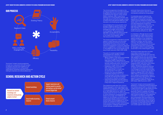

The Active\* Consent schools programme includes four components that are founded on research and that work together as an integrated experience for young people supported by awareness raising for parents and training for teachers and other professionals:

#### SCHOOL RESEARCH AND ACTION CYCLE



The schools programme is founded on the ecological approach that has been endorsed by guideline documents and expert advice on addressing the need for culture change (Willis & Jozkowski, 2018). It does this by reaching out to young people, teachers, and the wider school community through a variety of means that invite personal reflection, peer discussion, and shared group experiences.

Acknowledging that young people's social ecology is digital as well as in person, the Active\* Consent sexual media eLearning package encourages critical thinking on pornography. This recognises that teenagers may be affected directly through their own consumption of pornography or as a result of pornography use by their sexual partners and peers.

The schools programme is intended to provide research-based resources and structured learning experiences framed around the achievement of positive, active consent. The method of engagement is practical, interactive and non-judgemental, consistent with findings on the preferences that young people have for sexual health education (Allen, 2005, 2008).

The goals of consent programming for young people are to develop consent preparedness and capacity by:

- Being confident in their personal knowledge of consent as ongoing, mutual and freely given (OMFG), supported by an understanding of how issues such as gender, sexuality, relationship status, and the use of alcohol or drugs impact on consent.
- Possessing consent communication skills, including verbal and nonverbal approaches to consent that are appropriate to the types of intimacy that they are engaged in.
- Challenging negative and/or nonconsensual peer attitudes and behaviours, using safe and appropriate strategies to advocate for equality and respect.
- Supporting themselves and their peers to access appropriate supports and services if they have a negative experience.

The programme goals stem from common threads apparent in recent Irish research on adolescents (D'Eath et al., 2020; Walsh, 2021) and young adults (Burke et al., 2020; MacNeela of having high quality consent education et al., 2017, 2018, McIvor et al., 2020). This research leads the Active\* Consent programme to call for initiatives for young people that Support, Encourage, and Challenge: (a) Support for the strengths and resources that young people already possess for positive, active consent; (b) Encouragement for young people who experience embarrassment or social concerns about consent; and (c) Enable young people to challenge misperceptions of peer attitudes and behaviours, in

particular those actions that are not consistent with positive values for respect and equality endorsed by young people.

Considerable research attention has been given in recent years to studying experiences of harassment and sexual violence among adolescents (Ofsted, 2021; Walsh, 2021). In turn school-based education and skills development programmes have been designed as a response to the high level of these problems that have been identified, such as the Manuela programme from Tusla and the rape crisis centre movement (D'Eath et al., 2020).

In comparison, although sexual consent has emerged as a highly topical issue in the past decade, there is relatively little research evidence on how adolescents engage in consent communication and respond to complex, real-life consent scenarios. This reflects an international issue whereby the development of consent awareness and education programmes for teenagers is still at an early stage (The Government of the United Kingdom, 2014).

Yet sexual consent education has been advocated as essential, not only in safeguarding young people from harm but also in equipping them with the values and skills needed to ensure that sexual encounters are equitable and mutually pleasurable (The Government of the United Kingdom, 2014; International Planned Parenthood Federation [IPPF], 2010; NCCA, 2019; World Health Organization [WHO], 2010). In addition, facilitating adolescent learning on respect for one another's boundaries is encouraged to promote shared societal values on sexual autonomy without fear of shame or judgment (IPPF, 2010; UNESCO, 2018). There is a growing body of research which highlights young people's interest in learning more about the positive, relational aspects of sexual health (Bauer et al., 2020; Goldfarb & Lieberman, 2020; NCCA, 2019; Nolan, 2018; Pound et al., 2017). **ACTIVE CONSENT FOR SCHOOL COMMUNITIES:** CONSENT FOR SCHOOL COMMUNITIES: OVERVIEW OF THE SCHOOL COMMUNITIES (COMMUNITIES) and the consent and the consent and the community of the consent and the community of the community

The Active\* Consent schools programme is designed to complement existing programmes that address sexual health or sexual violence. It takes practical steps to help realise the vision resources in place to engage and interest young people, prompting group discussion as well as personal reflection. The programme is founded on ecological principles that see young people, teaching professionals, families and other supporters comprising a community, emphasising culture change to ensure that young people possess relevant knowledge, have the skills they need, and can access supports when required.

*ACTIVE\* CONSENT FOR SCHOOL COMMUNITIES: OVERVIEW OF THE SCHOOLS PROGRAMME AND RESEARCH FINDINGS*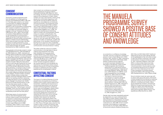#### CONSENT **COMMUNICATION**

The Active\* Consent programme works from the definition of consent given by Hickman and Muehlenhard (1999, p. 259), that it is "the freely given verbal or non-verbal communication of a feeling of willingness to engage in sexual activity." The legal definition is also incorporated in programming, that "a person consents to a sexual act if he or she freely and voluntarily agrees to engage in that act" (Criminal Law (Sexual Offences) Act, 2017, s. 48.9.1). The principle of consent in these definitions is founded on the achievement of communication – ideally going beyond giving permission or agreement to the point where communication leads to a shared, mutual understanding. While these principles have been identified in research as being endorsed by young people, the same work shows contradictions in how these principles are applied (Holmström et al., 2020; Javidi et al., 2020).

Young people communicate consent in varied ways (Muehlenhard et al., 2016; MacNeela et al., 2018; D'Eath et al., 2020). Jozkowski and Peterson (2014) included five consent strategies in a self-report measure of consent behaviours for sexual intercourse for young adults. Verbal consent strategies identified by Jozkowski and Peterson (2014) in their work with U.S. college students included: Telling the other person what you want sexually, saying that you want to engage in sex, asking the partner if they want to be intimate, talking about intimacy, giving permission, or saying it is okay to have sexual activity. Three nonverbal strategies were included in the measure, demonstrating the complex differences between behaviours in this category. The first of these, nonverbal consent, includes smiling, moving closer, foreplay, and body language. Passive consent refers to not resisting a partner's advances, not telling the person to stop, and letting the person engage in touching or sex. Initiator behaviours include starting intimacy to see how the other person reacts, to 'make a move', or to keep moving forward until the partner stops them. The final type is 'removal strategies', which vary from asking someone if they want to come back home to going somewhere private with the other person.

While these means of communication may be used interchangeably during intimacy, verbal consent may be perceived as awkward or embarrassing. This results in indirect consent being relied on as the basis for consent communication in many cases (O'Byrne, et al., 2008; Humphreys, 2004). Indirect or tacit consent is problematic since sexual activity without

- Traditional gender roles framed by expectations for male sexual initiation and female gatekeeping in heterosexual encounters (Baldwin-White, 2019; Hirsch et al., 2019). Research on LGBTQI+ youth is less developed but now emerging (Beres et al., 2004; Griner et al., 2021).
- The impact of alcohol and drug consumption on capacity alongside false beliefs about the continued ability to give consent and engage in sexual decision-making while under the influence (Drouin et al., 2018; Jozkowski & Satinsky, 2013; Orchowski et al., 2020).
- Sexual scripts that give rise to expectations for how consent is to take place in relationships or in casual encounters (Marcantonio et al., 2018; Groggel et al., 2021).

clear consent can contribute to unwanted sexual experiences and sexual violence (Jozkowski & Satinsky, 2013; Silke et al., 2017). Accordingly, the Active\* Consent programme supports the achievement of direct, verbal consent, but only in the manner in which young people are comfortable integrating it with their gender and sexual identity, personal experience, and preferences as individuals and sexual partners. The programme works to support young people to feel confident with consent, being empowered as 'sexual citizens' with awareness of their rights and responsibilities (Aggleton et al., 2018). The programme reaches beyond identifying types of consent with young people, towards a focus on consent communication. This entails a mode of engagement that does not didactically teach young people that 'no means no' and 'yes means yes'. Rather, young people are trusted, as individuals, couples and peer groups, to be capable of identifying and learning how to respond to the complexities and grey areas that can be involved in consent communication and sexual decision-making.

The wider context for a focus on consent communication is the high levels of sexual violence and harassment that have been identified among young adults in Ireland (Burke et al., 2020) and more recently among adolescents (Walsh, 2021). These findings echo research carried out internationally (Bauer et al., 2020; Javidi et al., 2020; Ofsted 2021). Although the Active\* Consent programme adopts a sex-positive approach that recognises the importance of conversations about mutual pleasure, the security of those conversations is based on addressing the risks to safety experienced by young people in Ireland.

#### CONTEXTUAL FACTORS AFFECTING CONSENT

The impact of contextual features of young people's lives and experiences of intimacy overlap across consent, sexual violence and harassment, underlining the importance of incorporating these factors into the Active\* Consent schools programme. Contextual factors were acknowledged in Walsh's (2021) recent report, concluding that the major contributing factors for sexual harassment among Irish adolescents include lack of adequate RSE within educational settings, unsupportive social norms, and gender inequality. Early research by the Active\* Consent team, supported by Rape Crisis Network Ireland, identified that young people see consent having "grey areas" (MacNeela et al., 2014). Many of the grey areas arise from the context in which consent and intimacy take place in real life encounters. These influences that arise from society and culture can act

as constraints on confidence, knowledge, and skills, and may contribute to adoption of passive or tacit consent (Bauer et al., 2020; Fantasia, 2011; Javidi et al., 2020; Jozkowski & Humphreys, 2014; NCCA, 2019, Walsh, 2021). Several contextual factors relevant to consent have been identified and discussed in the literature. These include:

Gender roles have been repeatedly explored by researchers as a core contextual factor that affects consent. Recent studies have demonstrated how interpretations of consent are influenced by sexual double standards (Jozkowski et al., 2017, 2018). Active\* Consent promotes critical reflection on gendered sexual scripts as one highly visible reflection of social and cultural conditions (Gavey et al.,

# PROGRAMME SURVEY SHOWED A POSITIVE BASE OF CONSENT ATTITUDES



2021; Hills et al 2021; Walsh 2021). Traditional heterosexual sexual scripts identify females as the gatekeepers of sex who either accept or deny the initiator's advances, with males as the initiators of sexual activity (Curtis et al., 2017; Jozkowski & Peterson, 2013, 2014). Within a culture where these social roles have connotations of power and control, 'miscommunication' may be used as a way of concealing intentional acts of violence, given that many heterosexual men have a clear awareness of normative refusal mechanisms (Beres, 2014; Kitzinger & Frith, 1999; Muehlenhard et al., 2016; O'Byrne, 2008).

Since its initiation nearly ten years ago with in-person peer group discussions, the Active\* Consent programme has devised an extensive repertoire of resources for prompting critical reflection, including social media, videos, group experiences of drama, and personal reflection through eLearning resources. This range of in-person and online resources is reflective of the blurring of boundaries taking place between digital intimacy and experiences offline (Scott et al., 2020).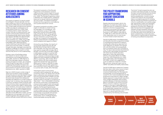- 
- 
- 
- 
- 
- 
- 

#### RESEARCH ON CONSENT ATTITUDES AMONG ADOLESCENTS

The majority of research on sexual consent has emerged in the past decade, and has been carried out in the U.S. with young adult participants. While there are some indications that consent belief and behavioural intention profiles are similar for adolescents as for young adults (D'Eath et al., 2020), there is a pressing need to assess meanings of consent, the role of contextual factors, and consent communication practices among this developmentally distinct group. Recent Irish research identifies that approximately 25% of 15-17-year olds have had sexual intercourse (Kolto et al., 2020), rising to 85% for young people entering college (Byrnes & MacNeela, 2017). While exposed to vicarious learning of sexual scripts through media and social role models, or indirectly through their peers, teenagers are posed the significant challenge of coming to a personal understanding of what consent is to them and how they will act on this understanding.

However, many of the findings arising from research on sexual consent and adolescence is encouraging (Holmström et al., 2020; Javidi et al., 2020; Righi et al., 2021). Most teenagers appear to endorse positive principles of consent, yet complexity arises through the 'grey areas' of consent in applying the principles and due to the impact of social pressures, gender norms, and the prominence of alcohol in sexual scripts (Holmström et al., 2020; Javidi et al., 2020).

Righi et al. (2021) showed a similar range of verbal and nonverbal consent strategies among this group as was described in college students (Jozkowski & Peterson, 2014). While the same study showed that adolescents identified with definitions of consent based on a verbal "yes" to intimacy, they assumed that, in practice, nonverbal consent would be used more commonly, there is an expectation that consent communication differs in relationships due to familiarity, and spoke about traditional gender roles such as males initiating intimacy until told to stop. Javidi et al. (2020) supports the idea that teenagers hold supportive attitudes toward affirmative consent, yet that teenage boys and teenagers who hold more traditional gender roles typically have less positive attitudes towards affirmative consent.

The research evaluation of the Manuela Programme on the prevention of sexual violence provides a recent insight on consent beliefs among adolescents in Ireland (D'Eath et al., 2020). The Manuela Programme content is delivered over multiple sessions, addressing issues such as sexual violence, pornography use, and consent. The research evaluation showed that the programme is both effective and a positive resource for schools.

The research evaluation provides a unique insight on attitudes to consent among Irish teenagers, as it included pre- and post-intervention surveys of 707 young people from schools across Ireland (52% male, 47% female, 1% non-binary gender identification; over 90% aged 15-16 years). The pre-intervention survey findings can be taken as a snapshot of young people's feelings of empowerment, knowledge, and social confidence with regard to consent.

Among the survey findings, the majority of young people agreed that they felt well informed about consent (66% of males, 64% of females), that they have all the skills they need for consent (62% of males, 53% of females), and that they would feel confident in talking about consent to a partner (49% of males, 55% of females). Looking in more depth, a relatively small percentage strongly agreed that they possessed knowledge and skills for consent (e.g., 26% of males, 14% of females). Almost one-third of respondents agreed that people their age would think talking about consent is odd (33% of males, 27% of females), and one-fifth agreed that they would find it hard to talk about consent to a partner (22% of males, 20% of females).

These figures support some positive conclusions about adolescents' self-efficacy concerning consent, yet viewed more critically there is substantial work remaining to ensure that all young people feel confident and wellinformed. Moreover, the survey documented significant levels of neutrality or acceptance of 'rape myths' – that is, false beliefs concerning the role that victims play in the perpetration of sexual violence against them and excuses that can be provided for perpetrators. Taken together, the Manuela Programme preintervention survey findings echo the Active\* Consent programme aims of supporting the existing positive attitudes young people hold, to encourage young people who perceive barriers to consent such as being shy or embarrassed, and to challenge negative, misinformed beliefs among their peers.

#### THE POLICY FRAMEWORK FOR SUPPORTING CONSENT EDUCATION IN SCHOOLS

Despite international expert calls for the integration of consent into holistic sexual health education for adolescents, empirical research on this form of programming continues to be lacking (The Government of the United Kingdom, 2014; IPPF, 2006; Pound et al., 2017; UNESCO, 2018; Willis et al., 2018). Yet it is clear that Irish youth and other stakeholders want to have access to school-based consent education.

The NCCA (2019) review of the Relationships and Sexuality Education programme included a comprehensive programme of research, including 650 online survey responses from youth aged from 12-18 years, focus groups with over 600 children and young people, and a consultation event with Comhairle na nÓg. The report demonstrated dissatisfaction among youth, their families and educators with school sexual health education, especially on topics like relationships, intimacy, and consent (Bauer et al 2020; Fisher et al., 2019; McNamara et al., 2020; NCCA, 2019; Walsh, 2021; MacNeela et al., 2017, 2018). Consent was suggested by youth as additional content for a revised RSE curriculum, along with topics such as LGBTQ+ sexualities and healthy relationships.

The NCCA (2019) report stated that "students feel they need to learn about sexual consent and the associated skills to negotiate consensual relationships that are respectful and enjoyable, not just the legal basis of consent" (p. 16). It recommended that the RSE programme moves beyond a deficit danger/ disease approach to sexual health education, which students repeatedly cited as being a limited reflection of their lived experience. Reform of the RSE for Irish Primary and Post-Primary schools is underway, supported by research on the topic in Ireland (Keating et al., 2018; Nolan, 2018; NCCA, 2019). Drawing on all stakeholders' perspectives, the NCCA (2019) recommended moving to a sex-positive approach to sexual health education, underpinned by the following core principles:

The Active\* Consent programme aims are consistent with these principles. For example, this report will demonstrate that the schools programme uses youth participation in resource development, contains inclusive content that supports all young people, takes an ecological approach to including teacher training and parental involvement as critical to sustainability, and carefully judges age-appropriate content and messaging. One of the important learnings from the experience of working with colleges has been the importance of engaging staff members through awareness raising and training. Given the practical requirement to involve secondary school teachers at all levels in implementing consent education, there will be an ongoing need for several tiers of training and professional preparation.





A wholeschool approach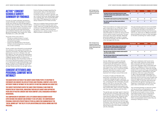#### ACTIVE\* CONSENT SCHOOLS SURVEY: SUMMARY OF FINDINGS

A survey of consent attitudes, perceptions of peer attitudes, and responses to consent stories was carried out with 613 teenagers in Transition Year and Fifth Year in Autumn 2019 in consent for all these activities were more five schools across Ireland. The survey content drew on the research team's experience over the past decade conducting quantitative and qualitative research with young people (Byrnes & MacNeela, 2017; D'eath et al., 2020; MacNeela et al., 2014, 2017, 2018).

The goals of the survey were to:

- Provide an evidence base of consent attitudes and consent communication among Irish teenagers.
- Support the development of the Active\* Consent schools programme, in particular the consent workshop.

Survey content was informed by young people who advised on the wording and inclusion of questions and stories. The age range of survey participants was from 14-18 years-old, with 52% aged 16. Just over half of the respondents were male (51%), 47% were female, and 2% had a different gender identity or chose not to state their gender. Given the limited number of non-binary identifying students in the survey, it is not appropriate to generalise findings to this group. A majority of the pupils (57%) attended a mixed gender school, while 19% were in an all-boys' school and 24% in an all-girls' school.

#### CONSENT ATTITUDES AND PERSONAL COMFORT WITH INTIMACY

#### You always need to get consent before the start of activity like touching a breast, genitals (penis or vul or sexual intercourse.

There should be verbal consent for any of those sexual activities.

THE QUANTITATIVE SECTION OF THE SURVEY ASKED YOUNG PEOPLE TO RESPOND TO STATEMENTS ON CONSENT-RELATED ATTITUDES AND PERSONAL COMFORT LEVELS WITH DIFFERENT FORMS OF INTIMACY IN THE CONTEXT OF MEETING SOMEONE ON A NIGHT OUT.

#### Non-verbal consent for any of those sexual activities sometimes OK.

THE SURVEY PARTICIPANTS RATED THE SAME ITEMS PERSONALLY AND FROM THE PERSPECTIVE OF THEIR PEERS, INDICATING THEIR BELIEFS ABOUT HOW SUPPORTIVE PEERS ARE OF POSITIVE CONSENT AND THEIR COMFORT LEVELS ENGAGING IN INTIMACY BEHAVIOURS.

Most other teenagers think there should be verbal any of those sexual activities.

Most other teenagers think non-verbal consent for sexual activities is sometimes OK.

THE COMPARISON OF AGREEMENT LEVELS BY GENDER ENABLED GENDER-BASED EXPECTATIONS FOR CONSENT AND INTIMACY TO BE EXPLORED. THE COMPARISON OF PERSONAL VIEWS WITH PERCEPTIONS OF PEERS ALLOWED FOR EXAMINATION OF THE 'SOCIAL NORMS GAP' THAT HELPS TO EXPLAIN INTERNALISED SOCIAL NORMS AND PEER PRESSURE.

Positive findings emerged regarding the school pupils' views on the importance of having consent for a sexual activity – including touching a breast or genitals, oral sex or sexual intercourse. Nevertheless, there was a gender gap, with more females (93%) than males (79%) agreeing that consent is always needed for all of these activities.

Views as to whether there should be verbal mixed. There was a smaller gender gap but overall just over 60% felt that consent should be verbal. In addition, 60% of the group agreed that non-verbal consent for any of these activities is sometimes OK.

> The gender agp was larger again in response to the next form of intimacy. Half of the males (51%) said they were comfortable touching the other person's genitals (e.g., fingering, hand job) compared with 7% of females. Finally, the gap between male and female comfort levels remained substantial on the final type of intimacy. Just over one-third of males (35%) reported that they would be comfortable with sexual intercourse in this context, compared with 5% of females.

|                              | <b>All participants</b> | <b>Males</b> | <b>Females</b> | <b>Other gender</b> |
|------------------------------|-------------------------|--------------|----------------|---------------------|
| a sexual<br>ulva), oral sex, | 86                      | 79           | 93             | 82                  |
| kual activities.             | 62                      | 58           | 67             | 55                  |
| es is                        | 60                      | 59           | 61             | 40                  |

|                              | <b>All participants</b> | <b>Males</b> | <b>Females</b> | <b>Other gender</b> |
|------------------------------|-------------------------|--------------|----------------|---------------------|
| consent<br>breast,<br>ourse. | 51                      | 50           | 54             | 27                  |
| consent for                  | 37                      | 42           | 32             | 27                  |
| any of those                 | 61                      | 57           | 67             | 46                  |

*Table 1. Percentage of survey respondents who agreed with statements about the need for consent.*

*Table 2. Percentage of survey respondents who agreed with statements about what 'most other teenagers' believe about the need for consent.*

#### Most other teenagers think you always need to get before the start of a sexual activity like touching a genitals (penis or vulva), oral sex, or sexual intercourse.

There was evidence of a large social norms gap in responses to two of the items. Many survey respondents believed that other teenagers were less supportive than they were themselves of consent for sexual activity and for verbal consent in particular. This was particularly the case for females. While 93% personally agreed that consent is needed for all sexual activities, only 54% agreed that other teenagers felt this way.

The gap between personal and social beliefs is an important finding as it may explain how young people internalise social pressure to engage in actions that they may not actually want to do. There was no difference between personal beliefs and views of other teenagers on the item concerning non-verbal consent.

Gender differences in consent attitudes among survey respondents extended to comfort levels with taking part in intimacy with someone that they just met. Comfort with these forms of intimacy help to explore attitudes to 'hook-ups' or casual encounters that may take place at a party or social gathering. Four types of intimacy were explored, from kissing to sexual intercourse.

A majority of males and females were personally comfortable with kissing, with a relatively small gender gap in personal comfort levels (86% of males comfortable with this, compared with 72% of females). The gap grew to over 30% on the next item. Threequarters of males reported that they were comfortable touching the other person over their clothes (75%), while a minority of females said they were comfortable with this (41%).

There was a relatively small 'social norms gap' when males' personal comfort levels were compared with their perceptions of what other teenagers were comfortable with. There was a difference of 5% at most across the four types of intimacy. There was stronger evidence of a social norms gap among female survey respondents. Depending on the type of intimacy, there was a gap of between 17-38% in the percentages of females who said they were personally comfortable with a particular activity and how many thought that other teenagers were comfortable with it. For instance, while 7% said they were personally comfortable with genital touching such as fingering or masturbation, 42% felt that their peers were comfortable with this activity.

The contrasting findings on personal comfort with sexual activity and perceptions of peers' comfort levels underline the potential for female school pupils to have a strong internalised image of what is expected of them when they are asked to engage in sexual activity. Such expectations may also inform young people's actions when they are initiating or asking for intimacy.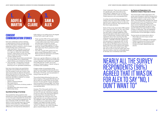#### **CONSENT** COMMUNICATION STORIES

Each story presented a person initiating or seeking sexual intimacy and described how the other person reacted. The stories presented a distinct scenario in which consent communication was a critical issue:

Each story had at least one quantitative rating item and qualitative response box that the students could use to write in their views and provide any relevant information about their reactions to the stories. The stories included references to contextual factors previously identified as relevant to consent communication, including:<br>• Alcohol use.

- 1. 'Aoife and Martin': Oral sex in a hook-up between two cisgendered adolescents on a night out where the male initiates intimacy. Three versions of this story were used to assess the impact of varying consent-related actions.
- 2. 'Jim and Claire': Sexual intercourse between two young adults not in a relationship where intimacy was initiated by the female.
- 3. 'Sam and Alex': Turning down a partner looking for sex in a relationship context featuring two non-gendered adolescents.

- 
- Verbal or physical pressure.
- Peer expectations.
- Consent to other forms of intimacy earlier in the evening.
- Gendered roles within sexual scripts.
- Relationship status.

#### Quantitative Ratings of the Stories

The quantitative rating questions that followed the consent stories provided insights on how the pupils interpreted the stories from a consent communications perspective. The story characters 'Aoife' and 'Martin' were distinct in that the pupils read one of three versions of the same story. The different versions were included to explore potential differences in the importance attributed to

Aoife smiling or not smiling and to the degree of force Martin used to get oral sex.

- Three-quarters (75%) of the pupils agreed that Aoife gave her consent following Story 1, where Aoife smiled when Martin pushed her head down to give him oral sex.
- A total of 62% of pupils agreed that she gave her consent following Story 2, where she smiled when Martin pushed her head down 'firmly'.
- One-fifth of pupils (21%) agreed that she gave consent following Story 3, when Martin pushed her head down and Aoife's response was not indicated.

There was a gender difference in ratings, with more male students agreeing that Aoife gave consent. Besides those students who agreed that Aoife gave her consent, up to onequarter of students gave a 'neutral' rating as to whether she consented.

A larger number of quantitative rating questions were presented following the story about 'Jim' and 'Claire'. In this story Claire was the initiator of intimacy and was persistent in trying to have sex with Jim.

The positive finding following this story was that a majority of the pupils (61%) felt that Jim did not give his consent when he and Claire had sex. An even greater majority disagreed that he wanted to have sex (68%). Two-thirds of the pupils said that Claire's behaviour was unacceptable (65%).

However, 71% of the pupils said that Jim's friends might not have understood if he did not want to have sex, indicating a neaative social norm about men lacking the freedom to walk away from a situation they are uncomfortable with. More than four in ten (43%) said that Jim was willing to have sex. This highlights a grey area regarding how men's behaviour is understood by these students, and reflects broader societal understandings that men will always be 'up for it'. In addition, up to 25% of students gave a neutral rating on the 'Jim and

Claire' statements. There was also evidence of a gender gap, with more male survey respondents in agreement that Jim gave consent (19%) and fewer males who said that Claire's behaviour was unacceptable (50%).

A number of positive findings emerged from ratings of the story about Sam and Alex, which explores Sam's negative reaction to Alex who did not want to have sex. They had sex for the first time a week previously.

Nearly all the survey respondents (98%) agreed that it was OK for Alex to say "No, I don't want to" in response to Sam wanting sex. There was also nearly complete agreement (92%) that people need to talk about consent even when in a relationship. However there was less agreement about Sam assuming that Alex would be into sex just because they had done it before – while 83% of females agreed that this assumption of ongoing sex was 'not OK', fewer males (57%) agreed that it was not OK to assume and 31% were neutral on this point. Nearly half of the male students (47%) agreed that 'Sam is right to be worried' about why Alex did not want to have sex again given that they did it before, while the comparable figure for females was considerably lower (25%).

#### Key Trends and Observations in the Qualitative Analysis of Responses to Stories

The school pupils' written responses to the stories were analysed to identify the key points that arose in reaction to each story. These are described in detail in a later section of the report. The findings below represent key trends and observations from the qualitative content analysis of story responses. These boxes show common trends identified across many of the survey respondents as well as more specific findings that were limited to smaller numbers of responses. They are highlighted to present an overall landscape of consent communication across teenagers in Ireland.

The key trends and observations refer to:

- What helps and what stops consent communication.
- Capabilities and challenges for teenagers.
- Threats to positive and mutual consent.
- Gender differences and expectations.
- Context of consent: Relationships and alcohol.



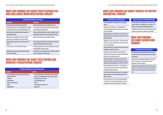| <b>Capabilities and Challenges for Teenagers</b>                                                                             |                                                                                                                                 |  |  |
|------------------------------------------------------------------------------------------------------------------------------|---------------------------------------------------------------------------------------------------------------------------------|--|--|
| <b>Capabilities</b>                                                                                                          | <b>Challenges</b>                                                                                                               |  |  |
| Strong support for the principle of getting consent.                                                                         | Verbal consent not being seen as required in all cases.                                                                         |  |  |
| The ability to recognise non-consenting behaviour, including<br>the capacity to take into account multiple information cues. | Less support for the principle of consent in the real-life stories<br>than in the general rating questions.                     |  |  |
| Clear refusal to accept initiator behaviour when there is<br>considerable aggression.                                        | Lacking a standard perspective on consent, reflected in varied<br>interpretations made of the same story by different students. |  |  |
| Referencing clear standards for consent such as legal<br>requirements (e.g., definition of rape, age of consent).            | High levels of neutral and non-committal comments.                                                                              |  |  |
| Acknowledging the negative impact of social pressure on<br>consent.                                                          | Consent explanations that focus on the motives and intentions<br>of the person affected rather than the initiator.              |  |  |
| It is ok to say 'no' to sex or other forms of intimacy.                                                                      | If someone engages in intimacy then this behaviour is taken as<br>visible agreement or passive consent.                         |  |  |
| Talking about consent is the main strategy for managing<br>consent in a relationship.                                        | Consent not seen as ongoing at all time - If intimacy is agreed to<br>earlier it is thought to carry forward later.             |  |  |

#### Gender Differences and Expectations

Gender differences in how consent stories are interpreted and responded to, with males less likely to endorse positive, active consent.

Gendered expectations applied to making sense of consent stories. For example, a man should be able to assert themselves if he does not want sex.

Traditional gender expectations feeding into social pressure to perform. For example, male peers assumed to expect their friends to have sex if possible and 'slag' friends who do not do so.

#### Context of Consent: Alcohol and Relationships

Alcohol is looked to as an explanation for incidences of nonconsent. However, it is sometimes used as an excuse – For example, "it is not assault if both people were drunk".

The belief that it is OK to have sex in a relationship, but not for one partner to assume sex is available in a relationship.

#### WHAT OUR FINDINGS SAY ABOUT GENDER AND **CONSENT**

#### Gender Differences and Expectations

Non-verbal behaviour was emphasised as a key signal of consent.

'Should', 'could' or 'would have' – This explanation was extensively applied to the person whose consent is in doubt, but not to the initiator.

Negative standards – If someone does not stop something from happening, this could mean they wanted to do it or were passively accepting.

Willingness as a grey area of consent – If someone does not want to have sex but is willing to do so this scenario may not be seen as overly serious.

Saying no indirectly (e.g., saying they want to leave) may not be registered as verbal non-consent.

Acceptance of initiator behaviour so that the initiator's behaviour could be viewed as wrong without identifying the scenario as non-consenting or assault.

Informal descriptions of the initiator's behaviour that can minimise their impact, for example using general everyday language or hesitant language (e.g., he 'kind of' forced her).

Clarity in definitions of sexual violence – Describing some acts as rape when they are assault, seeing other actions as acceptable when they are assault.

Lack of sensitivity to initiator behaviour (e.g., acceptance of someone pushing or even firmly pushing someone's head down for oral sex).

Acceptance of behaviour if it fits with a social expectation or sexual script – For example, sexual behaviour is seen as consenting if someone had agreed to go into a bedroom.

| <b>What Helps and What Stops Consent Communication</b>                         |  |                                                                                                                       |  |
|--------------------------------------------------------------------------------|--|-----------------------------------------------------------------------------------------------------------------------|--|
| <b>Facilitators</b>                                                            |  | <b>Barriers</b>                                                                                                       |  |
| Good relationship (e.g., openness, knowing the person,<br>feeling comfortable) |  | Being uncomfortable (e.g., awkwardness, embarrassment)<br>Afraid (e.g., of being judged, ruining the mood, rejection) |  |
| Confidence                                                                     |  | Being insecure, shy or nervous                                                                                        |  |
| Communication                                                                  |  | Lack of knowledge or skills                                                                                           |  |
| Awareness and education                                                        |  | Pressure                                                                                                              |  |
| <b>Talking</b>                                                                 |  | Getting caught up in the moment                                                                                       |  |
| Talking to others                                                              |  | Social norms                                                                                                          |  |

#### WHAT OUR FINDINGS SAY ABOUT YOUTH CAPABILITIES AND CHALLENGES WHEN NEGOTIATING CONSENT

#### WHAT OUR FINDINGS SAY ABOUT FACILITATORS AND BARRIERS TO NEGOTIATING CONSENT

#### WHAT OUR FINDINGS SAY ABOUT THREATS TO POSITIVE AND MUTUAL CONSENT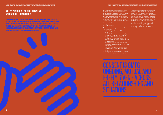#### <span id="page-10-0"></span>ACTIVE\* CONSENT SEXUAL CONSENT WORKSHOP FOR SCHOOLS

The consent workshop is based on theories of sexual scripts, social norms, and the consent research literature. It draws on sexual health promotion principles in engaging young people as participants with valued existing knowledge and skills. The workshop is research-driven, drawing on the Active\* Consent schools survey with 613 Transition Year the influences on their sexual decisionand Fifth Year pupils.

- Be knowledgeable and confident about consent.
- Be able to describe consent as ongoing, mutual, and freely given (OMFG), and recognise when these are present.
- Understand that consent applies in all relationships, for all sexual orientations and gender identities.
- Discriminate consent from non-consent.
- Have the language to convey consent and non-consent.
- Recognise the impact of factors such as gender norms, alcohol and drug use on consent.
- Understand the legal meaning of consent.

#### Learning Outcomes

The workshop learning outcomes are for participants to:



THE WORKSHOP LASTS FOR ONE HOUR. IT WAS DEVELOPED USING THE TEMPLATE OF THE ACTIVE\* CONSENT COLLEGE CONSENT WORKSHOP, AND ADAPTED WITH THE HELP OF YOUTH PANELS INCLUDING MEMBERS OF THE EXECUTIVE OF THE IRISH SECOND-LEVEL STUDENTS UNION. IT WAS PILOTED WITH 993 SCHOOL PUPILS IN 10 SCHOOLS DURING 2020 AND 2021. A RESEARCH EVALUATION FOUND IT TO BE EFFECTIVE FOR YOUNG PEOPLE AND WELL SUPPORTED BY TEACHERS AND PARENTS OR GUARDIANS.

The workshop is grounded in an ecological perspective that links to the wider school community. It can be delivered by teachers and other professionals using a standardised manual and workshop resources. Teachers are offered training that includes: Learning about school pupils' sexual behaviour and making, how to respond to disclosures, as well as training to deliver the school consent workshop. Delivery of the workshop is supported by a manual and PowerPoint presentation.



ONGOING, MUTUAL AND FN - AI ALL RELATIONSHIPS AND

#### *ACTIVE\* CONSENT FOR SCHOOL COMMUNITIES: OVERVIEW OF THE SCHOOLS PROGRAMME AND RESEARCH FINDINGS*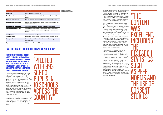| <b>Workshop activity</b>                       | <b>Brief description</b>                                                                                                                                                                                                 | Table 3. Overview of the Active*<br>Consent schools consent workshop. |
|------------------------------------------------|--------------------------------------------------------------------------------------------------------------------------------------------------------------------------------------------------------------------------|-----------------------------------------------------------------------|
| <b>Group contract</b>                          | Creates a safe space to explore a sensitive topic.                                                                                                                                                                       |                                                                       |
| Pre- and post-workshop survey                  | A pre- and post-workshop survey measures the impact of the workshop and pupil feedback after the<br>workshop.                                                                                                            |                                                                       |
| <b>Exploring the meaning of consent</b>        | Pupils share their ideas on what consent is, what stops or helps communication about consent.                                                                                                                            |                                                                       |
| <b>Definitions and legal basis for consent</b> | - Legal definitions and how these apply to their age group. Introducing the idea that consent is OMFG<br>ongoing, mutual, and freely given.                                                                              |                                                                       |
| Defining gender, sex, and orientation          | The components of human sexuality are discussed, including gender, sex, and orientation.                                                                                                                                 |                                                                       |
| Applying consent knowledge to stories          | Three consent stories with different forms of intimacy, relationship status, and sexual orientation.<br>Used to explore perceptions of consent in realistic scenarios, including how the situation could be<br>improved. |                                                                       |
| <b>Language of consent</b>                     | An animation on consent in everyday situations.                                                                                                                                                                          |                                                                       |
| Social norms and gaps                          | Peer norm misperceptions are described to enhance understanding of internalised peer pressure.                                                                                                                           |                                                                       |
| The grey area of consent                       | Information on how contextual factors such as gender roles or alcohol use affects capacity and<br>choice about intimacy.                                                                                                 |                                                                       |
| Key take home message                          | A short video to review the consent is OMFG message.                                                                                                                                                                     |                                                                       |

#### EVALUATION OF THE SCHOOL CONSENT WORKSHOP

THE WORKSHOP WAS PILOTED WITH 993 SCHOOL PUPILS IN 10 SCHOOLS ACROSS THE COUNTRY DURING 2020-21, WITH AN INTERRUPTION DUE TO COVID-19 PUBLIC HEALTH RESTRICTIONS. A TOTAL OF 31 TEACHERS TOOK PART IN TRAINING ON WORKSHOP DELIVERY AND 353 PARENTS ENGAGED IN ZOOM-BASED SEMINARS.

Comparing pre- and post-workshop survey responses, there was a statistically significant increase in pupils agreeing that consent needs to be agreed before the start of any sexual activity and the belief that this consent should be verbal. In addition, there was a significant positive change in self-ratings of being well prepared with knowledge, skills and in views of peer support for consent. For example, the percentage of students who agreed with the item 'I have all the skills I need to deal with sexual consent' went from 61% to 92%. The findings also included a significant change in beliefs about how alcohol affects capacity to consent.

Nearly all of the parents who took in the seminar rated it positively. Written feedback showed that it provided relevant information in an accessible manner. Parents emphasised the research and knowledge base of the programme as a key strength. Talking openly about consent was remarked on as an important responsibility for parents to engage with. A number of parents said they planned to use their learning to support conversations with their teenagers.

Almost all the pupils agreed that the workshop was relevant to them (99% of females, 95% of males, and 100% of non-binary pupils) and would recommend it to their peers (97% of females, 86% of males, 84% of non-binary pupils).

"PILOTED WITH 993 SCHOOL PUPILS IN **0 SCHOO ACROSST** COUNTRY"

### "THE CONTENT WAS<sub>.</sub> EXCELLENT, **ING** THE RESFAR **STATISTICS** 'H FFR INRMS AND THE IISE OF CONSENT STORIES"

In their written feedback, the pupils expressed satisfaction that their schools provided the Active\* Consent workshop. They stated that the content was excellent, including the research statistics such as peer norms and the use of consent stories. The workshop delivery was described as open and inclusive, both of sexual and gender minorities and males.

Focus groups and interviews with teachers following the consent workshop showed that it was appraised to be a high quality resource. The content was described as realistic and relatable. The workshop gave the structure needed to address a topic recognised to be important. It was viewed as effective and was credible given its grounding in research.

The teachers were committed to incorporating the workshop into the school programme on Relationship and Sexuality Education. Several teachers remarked that the parent seminar was important for gaining support for the workshop and that there were no issues with parents subsequently approving their child's participation in the workshop.

Parent seminars took place in all of the schools. The seminar was designed to introduce the Active\* Consent programme, to address any uncertainty or concerns, and to raise awareness about consent and strategies for talking to their children about intimacy.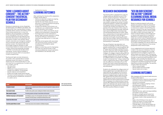#### 'HOW I LEARNED ABOUT CONSENT': THE ACTIVE\* CONSENT THEATRICAL FILM FOR SECONDARY **SCHOOLS**

Tackling both light and dark dimensions of consent, How I Learned About Consent addresses issues that impact on consent, shape how we communicate about it, and can arise from our experiences of consent and non-consent, such as:<br>• Sex education.<br>• Gender norms.<br>• Differences in sexual experiences for

Drawing on experiences across all genders, all relationships and different sexualities, the theatrical film How I Learned About Consent combines drama, humour and satire to share these diverse experiences in a way that speaks to all young people. It contributes to the messaging in the Active\* Consent schools programme through sketches that dramatise assumptions young people may have about consent, how we learn about consent, and what can change for ourselves and our partners when we practice active, positive consent. The theatrical film also encourages audience members to take mutual responsibility for shared culture around consent using active bystander principles – whether or not they are sexually active themselves. The film will be available to schools from Autumn 2021 to incorporate in consent programming.

After watching this theatrical film adaptation, students will be able to:<br>• Define and describe consent as ongoing,

- 
- 
- straight and LGBTIQ+ young people.
- Sexual violence and harassment.
- Nudes and image-based sexual abuse.
- The role of active bystanders in confronting and intervening in problematic situations if it is safe to do so.

#### • Healing from trauma. LEARNING OUTCOMES

- mutual and freely given (OMFG).
- Identify the role of peer pressure and sex education in shaping individual and group norms regarding consent.
- Analyse how equality and inclusion can contribute to our understanding of gender, sexual orientation and consent.
- Discuss how to define and identify sexual violence and harassment in everyday life.
- Exchange views on how individuals or groups might positively intervene in calling out sexual violence or harassment or assisting those affected by it in their peer groups.
- Describe and recognise skills associated with practicing active, positive consent, including but not limited to verbal communication.
- Reflect on what they want for themselves from their own sexual journey in their individual preferences, sexual orientation, and readiness to be sexually active.

| <b>Content</b>                              | <b>Brief description</b>                                                                                                                                                           |
|---------------------------------------------|------------------------------------------------------------------------------------------------------------------------------------------------------------------------------------|
| <b>Principles of consent</b>                | Exploring consent as a dynamic process that we use to ensure that agreement is ongoing, mutual and<br>freely given (OMFG).                                                         |
| <b>How consent is shown</b>                 | The skills of active, positive consent, including but not limited to verbal communication.                                                                                         |
| When consent is not given                   | The meaning, experience and impact of sexual violence and harassment.                                                                                                              |
| Individuals and groups as active bystanders | How individuals or groups can be active bystanders who intervene in calling out sexual violence or<br>harassment in their peer groups or assisting those affected by these issues. |
| <b>Consent and cultural norms</b>           | The impact of norms for gender and sexual orientation that shape how consent is understood and<br>experienced.                                                                     |
| <b>How other people influence consent</b>   | The role of peer pressure and sex education on individuals and groups.                                                                                                             |

*Table 4. Overview of the Active\* Consent filmed theatrical drama.*

#### RESEARCH BACKGROUND

After engaging with the sexual media resource, students will be able to:<br>• Understand what is meant by 'sexual media'

The theatrical film is adapted from a play for college audiences delivered as part of the Active\* Consent programme, The Kinds of Sex You Might Have in College, which toured Irish colleges in 2019-2020. In turn, that play was rooted in evidence from Active\* Consent programme research, created using devised and applied theatre techniques from 2014 onwards with students and researchers. The premise of the use of drama in this context is that cultural engagement provides 'rehearsal type' opportunities where moral responses can be explored (Kaszynska & Crossick, 2016). How I Learned About Consent gives audience members the chance to work through a nuanced and thought-provoking discussion about sex and consent, without the anxiety or personal exposure that may arise from actively participating in it themselves.

The use of theatre in sex education can increase knowledge and skills among young people, enabling them to exercise greater selfefficacy in sexual decision-making (Munro et al., 2007). More than 3,000 third level students watched The Kinds of Sex You Might Have at College in 12 colleges in Ireland during 2019-20. In How I Learned About Consent, the aim is to engage adolescents with the same impact as college students, for example, one college student commented that: "Using a medium like a play or performance about a taboo subject was very effective as the taboos fly out the window. From start to finish the performance had a perfect balance between entertaining and informative".

Students who attended the college version of drama agreed that it provided relevant and useful learning: 96% agreed that the drama performance represented the sexual issues/ situations college students might encounter, 93% agreed that the performance showed ways for good mutual communication, 87% agreed that the drama performance increased their knowledge and understanding of sexual assault, 89% agreed that the performance will inform how they deal with sexual consent, and 88% agreed that the performance would help them be a positive influence on peers.

#### 'SEX ON OUR SCREENS': THE ACTIVE\* CONSENT ELEARNING SEXUAL MEDIA RESOURCE FOR SCHOOLS

Based on extensive research with young people and parents in Ireland by the Active\* Consent research team, Sex on Our Screens is a resource to support critical thinking and decision-making on the use of sexual media such as pornography and how sexual media can affect consent and body image. The impact of sexual media on body image and on sexual script expectations is explored in detail from a consent perspective. Sexual scripts are common ways of representing and talking about sex and intimacy that draw on stereotypes and fixed expectations. Sex on Our Screens addresses how sexual media have come to be a major influence on how young people learn about sexual scripts.

A non-judgemental and inclusive approach is taken in the resource materials so that all young people who engage with it can feel supported and encouraged to explore how sexual media may impact them. The resource consists of a 1-hour learning package delivered through an interactive eLearning platform and related in-class activities that teachers can use with their students. The eLearning package is designed to facilitate engagement through interactive activities and quizzes. The resource contains three main sections:

- What is 'sexual media'.
- Sexual media and body image.
- Sexual media and consent.

#### LEARNING OUTCOMES

- and have a critical understanding of how and why it is produced.
- Identify that consent is ongoing, mutual, and freely given (OMFG).
- Discuss what is meant by sexual scripts and how they shape our expectations and behaviour.
- Describe the laws, rights and responsibilities that relate to sexual media.
- Be able to navigate sexual media from an informed perspective on how media developers create a false representation of sex.
- Apply critical thinking to how sexual media can impact on body image and expectations for sexual behaviour.
- Critically reflect on how sexual media can impact on beliefs about consent that are shared with peers.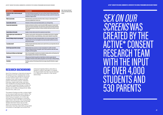| <b>Workshop activity</b>                                   | Table 5. Overview of the Active*<br>Consent sexual media eLearning                                                                                                                                                                                                                                                             |           |
|------------------------------------------------------------|--------------------------------------------------------------------------------------------------------------------------------------------------------------------------------------------------------------------------------------------------------------------------------------------------------------------------------|-----------|
| Introductory video, content warning and<br><b>supports</b> | Short video introducing young people to the resource and how it intends to help you develop critical<br>and questioning media engagement skills. Content warning on the topics covered in the resource and<br>information on support services.                                                                                 | resource. |
| What is sexual media                                       | Video that introduces sexual media and how these media can shape our understanding of what is<br>normal and acceptable when it comes to sex.                                                                                                                                                                                   |           |
| Sexual media and the law                                   | Information on Irish laws around sexual media production, use, and image sharing.                                                                                                                                                                                                                                              |           |
| <b>Consent and communication</b>                           | Animation and interactive activities are used to describe the OMFG components of consent and the<br>importance of consent communication. The consent process used to ensure the safety of performers<br>in the pornography industry is described. An intimacy coordinator talks about how safety is ensured<br>in film and TV. |           |
| <b>Sexual violence in the media</b>                        | Examples of common media scenarios that can glamourise sexual violence.                                                                                                                                                                                                                                                        |           |
| Sexual scripts in peer conversations and<br>media          | Animation is used to provide a critical perspective on how traditional sexual scripts can negatively<br>inform advice from friends on sexual relationships, and how consent is depicted in sexual media.                                                                                                                       |           |
| <b>Research findings and quiz on pornography</b>           | Research findings used to explore pornography attitudes and use among young people in Ireland,<br>including research on the use of pornography to learn about how bodies should look and function<br>during sexual encounters.                                                                                                 |           |
| Is my body normal?                                         | Animation characters illustrate body-related concerns about first time sex and expectations that arise<br>from friends or the media.                                                                                                                                                                                           |           |
| Genital image expectations and quiz                        | Idealised genital norms are pervasive, not only in pornography but in scientific and medical<br>textbooks, omitting the diversity of real genitals. A quiz is used to provide facts about male, female,<br>transgender, and intersex genitals.                                                                                 |           |
| How does porn influence our body image?                    | Video on how pornography is manufactured and marketed, including selection and hiring biases that<br>shape pornography content and impact on viewer body image.                                                                                                                                                                |           |
| Photoshop                                                  | Editing processes illustrate how genitals and naked bodies are altered in popular media and<br>pornography. An interactive activity enables young people to assess the impact of editing techniques.                                                                                                                           |           |
| <b>Conclusion</b>                                          | Presenting a summary of the learning and take home messages along with information on support<br>services.                                                                                                                                                                                                                     |           |

# RESEARCH TEAM WITH THE INPUT OF OVER 4,000 STUDENTS AND

#### RESEARCH BACKGROUND

Apart from drawing on international research, the research base for development of Sex on Our Screens was created by the Active\* Consent research team with a combined sample of over 4,000 students and 530 parents. Participatory groups, individual interviews, large scale surveys, and input from adolescent and sexual health experts were used to generate findings to shape the content included in the eLearning resource (Dawson et al., 2019a, b; Dawson et al., 2020; Dawson et al., 2021, a, b).

The research findings provide a unique insight on how sexual media are used in Ireland. The findings demonstrate that young people in Ireland see pornography at an early age and report that pornography is commonly used to learn about sex. Most young people believe that pornography does not provide reliable information about sex but also report not having access to the types of information that they need. Both young adults and parents of teenagers recommend that

critical pornography literacy education is needed to support teenagers to navigate the sexual media that they may be exposed to or affected by indirectly in their sexual relationships.

SEX ON OUR SCREENS WAS CREATED BY TIVE\* 530 PARENTS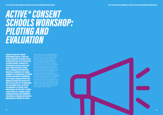# <span id="page-14-0"></span>*ACTIVE\* CONSENT SCHOOLS WORKSHOP: PILOTING AND EVALUATION*

GUIDED BY THE ACTIVE\* CONSENT DEVELOPMENT PROCESS, A PRACTICAL CONSENT WORKSHOP FOR SCHOOL PUPILS IN TRANSITION YEAR, FIFTH YEAR OR SIXTH YEAR WAS DESIGNED TO ADDRESS THE OPPORTUNITIES AND CHALLENGES THAT AROSE FROM THE SURVEY OF SCHOOL PUPILS. WORKSHOP IMPLEMENTATION INCLUDES ALL MEMBERS OF THE SCHOOL COMMUNITY AS STAKEHOLDERS, INCLUDING TEACHERS AND PARENTS OR GUARDIANS. BOTH TEACHER TRAINING SUPPORTS AND AWARENESS RAISING WITH PARENTS ARE CORE TO THE DELIVERY OF THE WORKSHOPS ON A SUSTAINABLE BASIS. DELIVERY OF THE WORKSHOP BY TEACHERS, OTHER PROFESSIONALS OR THE ACTIVE\* CONSENT TEAM IS GUIDED BY A TRAINING SESSION, A WORKSHOP MANUAL AND POWERPOINT PRESENTATION. A WEBINAR FOR PARENTS IS MADE AVAILABLE THROUGH THE SCHOOL.

The template of how to engage effectively with young people on consent was taken from the Active\* Consent college consent workshop, which has been taken by over 30,000 students since 2015 (MacNeela et al., 2017, 2018). Teenagers helped the development team to adapt and extend this approach to schools. Two youth panels were convened for this purpose and took part in day-long participatory sessions. The involvement and advice of panel members was key to ensure that the language, tone and learning outcomes were relevant, engaging and effective. Panelists enjoyed their role in the workshop development, giving comments afterwards such as: "You treated us with respect and didn't shy away from talking about sexual activity and gave us an opportunity to learn and ask questions and opened a discussion". The workshop was first piloted in March 2020 with 133 pupils in one school in collaboration with Sexual Health West outreach team members.

*ACTIVE\* CONSENT FOR SCHOOL COMMUNITIES: OVERVIEW OF THE SCHOOLS PROGRAMME AND RESEARCH FINDINGS*

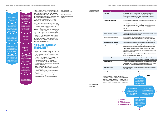<span id="page-15-0"></span>

Figure 2 and the Covid-19 public health restrictions led to the Figure 1. Initial workshop active and the consent of further wild in a development certicial workshop active and the consent workshop activity and the consent postponement of further piloting until Spring 2021, when 860 students took part across nine schools nationally. The flexibility required to provide the workshop in the changing context of the pandemic resulted in the consent workshop being designed for in-person delivery in the class or online in real time.

- A. Fully remote
- B. Teacher-led
- -

#### WORKSHOP OVERVIEW **AND DELIVERY**

*Figure 1. Initial workshop* 

*development carried out in 2020. Figure 2. Process of workshop adaptation to Covid-19 public health* 

*restrictions.*

*Table 6. Active\* Consent sexual consent workshop overview.*

*Figure 3. Mode of consent workshop delivery.*

In 2021, the development team worked with the Union of School Students in Ireland (USSI) through two new youth panels to adapt the workshop to be suitable for remote delivery. The workshop was also revised to be compliant with Covid-19 guidelines during inclass facilitation. Both in-class and remotely delivered workshops use an online opinion and voting system (Slido.com) to engage pupils in real time voting. In addition, participants are asked to complete an anonymous and confidential pre- and post-workshop survey and feedback questionnaire.

The workshop is delivered over one hour. The learning outcomes are for participants to:

- Be knowledgeable and confident about consent.
- Be able to describe consent as ongoing, mutual, and freely given (OMFG), and recognise when these are present.
- Understand that consent applies in all relationships, for all sexual orientations and gender identities.
- Discriminate consent from non-consent.
- Have the language to convey consent and non-consent.
- Recognise the impact of factors such as gender norms, alcohol and drug use on consent.
- Understand the legal meaning of consent. • Be well informed about peer social norms.

Group contract Used to agree a safe space to explore a sensitive topic and clarify that no one shares personal experiences in the workshop. The principles are to respect the opinion of others and listen to each other so everyone feels comfortable, and that each person can choose their own level of engagement. Time keeping and the use of mobile phones are discussed. Pre- and post-workshop survey A pre- and post-workshop survey measures the impact of the workshop and is administered via Slido. com or on hard copy. The survey includes items adapted from the consent preparedness measure used in previous Active\* Consent research, the positive attitudes to sexual consent sub-scale from Humphreys and Brousseau's (2010) attitudes measure, and one item from Ward et al.'s (2021) alcohol and sexual consent scale. Participants are also asked for their views on the workshop itself. Exploring the meaning of consent Three questions are used to explore pupils' perceptions about what consent is, what it might look like, and what stops or helps communication about consent. Definitions and legal basis for consent Definitions are introduced that build on pupils' responses. These include research and legal definitions grounded in practical examples, and include the legal age of consent and reference to image-based sexual abuse (IBSA). Consent is introduced as OMFG – ongoing, mutual, and freely given. Defining gender, sex, and orientation The components of human sexuality are discussed, including gender, sex, and sexual orientation. Applying consent knowledge to stories Three consent stories are used to explore different ways in which people act as initiators and the responses that people give to someone who initiates intimacy or attempts to keep moving forward. The stories allow forms of consent to be discussed (e.g., active and passive consent, verbal and nonverbal consent). Contextual factors embedded in the stories allow for relationships, alcohol use, and gendered scripts to be explored. The stories enable consent to be distinguished from sexual assault and rape. Practical strategies are introduced (e.g., how to ask and say 'yes', 'maybe', and 'no'). Language of consent **An animation is used to illustrate consent and agreement in everyday situations, including examples** of language to use in intimate contexts regardless of relationship status, gender, or sexual orientation. Social norms and gaps Social norms are described and explored through practical examples. The difference between what young people feel or think on a personal level is distinguished from expectations for what their peers think or feel. Peer norm misperceptions are used to describe internalised social pressure. The grey area of consent Moving to the conclusion phase, a summary is provided of factors that affect people's capacity and consent communication.

Reviewing OMFG key home message A short video is presented to review the message that consent is OMFG.



During the piloting phase in 2021, the workshop was facilitated by Active\* Consent team members via Zoom or in-person, working with teachers in each school, or by teachers trained to deliver the workshop independently.

A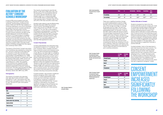#### <span id="page-16-0"></span>EVALUATION OF THE ACTIVE\* CONSENT SCHOOLS WORKSHOP

A total of 993 school students took part in piloting of the Active\* Consent schools workshop. The first phase of piloting took place in 2020 with 133 Fifth Year students in 7 workshops delivered in one school, facilitated by a team from Active\* Consent and Sexual Health West. Nine secondary schools participated in the 2021 pilot of the Active\* Consent schools workshop, with 860 young people taking part across 29 workshops. A total of 717 of these students completed the post-workshop evaluation survey. The survey form for the 2020 workshop was later amended, and the evaluation presented here focuses on the piloting carried out as Covid-19 restrictions eased in 2021. A broadly similar pattern of findings emerged from the original pilot workshops held in 2020.

The impact of the Active\* Consent secondary school workshop was assessed by comparing pre- and post-workshop survey responses on measures of attitudes and intentions concerning consent, using: (a) The consent preparedness scale (MacNeela et al., 2018), (b) the positive attitudes to consent sub-scale (Humphreys & Brousseau, 2010), and (c) one item from the alcohol and sexual consent scale (Ward et al., 2012). The suitability of the workshop was assessed through quantitative and qualitative evaluation questions presented on the post-workshop survey form. The data were inputted into SPSS and analysed, using IBM SPSS Statistics for Windows, Version 26.0. (IBM Corp, 2019).

#### **Demographics**

Students were asked to rate the Relationship, Sexuality Education (RSE) they received so far in school. The findings showed a mean rating of 5.16 out of 10 (SD = 2.1), with a range of 1-10. One-fifth of the students (21.6%) gave a rating between 1-3 indicating a high level of dissatisfaction. Half of the students (51.3%) rated their RSE as between 4-6 suggesting a neutral evaluation. The remaining 27.1% of students gave a rating between 7-10, indicating satisfaction with their RSE experience to date.

The majority of students who reported their age were 16 years old (64%; n=465), followed by 17-year-old students (14%; 104) and 18-year-old students (12.4%; n=90). One 14-year-old and 5 19-year-old students responded.

|                                        | <b>Number</b> | <b>Percentage</b> |
|----------------------------------------|---------------|-------------------|
| <b>Male</b>                            | 295           | 37.1              |
| <b>Female</b>                          | 479           | 60.2              |
| <b>Transgender female</b>              |               | 0.1               |
| <b>Transgender male</b>                | 4             | 0.5               |
| <b>Gender variant / Non-conforming</b> | 13            | 1.6               |
| <b>Gender not listed</b>               |               | 0.1               |
| Prefer not to say                      | 3             | 0.4               |

|                          | Pre-Work-<br>shop | <b>Post-Work-</b><br>shop |
|--------------------------|-------------------|---------------------------|
| <b>Strongly Disagree</b> | 1.0               | 0.4                       |
| Disagree                 | 7.8               | 1.0                       |
| <b>Neutral</b>           | 30.3              | 6.3                       |
| Agree                    | 45.6              | 49.2                      |
| <b>Strongly Agree</b>    | 15.3              | 43.2                      |
|                          |                   |                           |

| <b>Post-Work-</b><br>shop |
|---------------------------|
| 0.8                       |
| 0.8                       |
| 6.4                       |
| 47.5                      |
| 44.4                      |

|                          | Pre-Work-<br>shop | Pos<br>sho |
|--------------------------|-------------------|------------|
| <b>Strongly Disagree</b> | 1.3               | 0.8        |
| Disagree                 | 3.6               | 0.8        |
| Neutral                  | 19.2              | 6.4        |
| Agree                    | 43.3              | 47.5       |
| <b>Strongly Agree</b>    | 32.5              | 44.4       |

|               | <b>Mean</b> |     | <b>Std. Deviation</b> | <b>Male Mean</b> | <b>Female Mean</b> | <b>Other</b><br><b>Mean</b> |
|---------------|-------------|-----|-----------------------|------------------|--------------------|-----------------------------|
| Pre-workshop  | 22.24       | 647 | 3.20                  | 22,50            | 22,05              | 22,37                       |
| Post-workshop | 24.68***    | 647 | 3.08                  | 23,88***         | $25.26***$         | $25.11***$                  |

*Table 7. Percentage of students in each gender category.* 

*Table 8. Consent preparedness mean total scores, pre- and postworkshop.*

*Table 9. Percentage of students who selected each response option to the statement 'I have all the skills I need to deal with sexual consent'.*

*Table 10. Percentage of students who selected each response option to the statement 'My peers think that sexual consent is an* 

*important issue'.*

The majority of participants were female (60.2%; n=479), 37% (n=295) were male, and the remaining 2.7% of participants did not use a binary gender identification. Most students were not in a relationship (82%, n=47) and 18% were in a relationship. Over three-quarters were in Transition Year (77.1%), with 2.9% in Fifth Year and 20% in Sixth Year.

#### Consent Preparedness

Consent preparedness was measured using six questions scored on a 1-5 scale pre- and post-workshop. When compiled, the items have a minimum score 6 and maximum score of 30. Two items evaluate personal feelings of self-efficacy, two items refer to confidence in talking about consent with peers, and two items describe talking about consent with a partner. Statements included 'I have all the skills I need to deal with sexual consent' and 'I feel well informed about sexual consent'. Reverse coding was applied to the statement 'People my age would think that talking about sexual consent with a partner is odd' and to 'I'd find it difficult to talk about sexual consent with a romantic partner'. As a result, all items are scored in the same direction, with higher numbers indicating more positive attitudes.

A paired samples t-test showed a significant positive change (p<.001) in mean total scores on consent preparedness. Mean scores went from 22.24 (pre-workshop) to 24.68 (post-workshop). A significant change at the p.05 level from pre- to postworkshop is indicated by one asterisk, significant changes at the p.01 level by two asterisks, and significant change at the p.001 level is identified with three asterisks.

There was a significant positive change in consent preparedness scores for males, females, and non-binary participants. The size of the change was larger on average for females than for males. The next two Tables illustrate responses to two consent preparedness items. For the item 'I have all the skills I need to deal with sexual consent', the percentage of participants that 'strongly agreed' went from 15.3% pre-workshop to 43.2% post-workshop. There was also a large increase in the percentage of participants 'strongly agreeing' with 'My peers think that sexual consent is an important issue', increasing from 32.5% pre-workshop to 44.4% post-workshop. There was a decrease in the percentage of respondents who selected the 'neutral' response option for both items at post-workshop evaluation.

#### Positive Attitudes to Consent

Students answered two items from the positive attitudes to sexual consent sub-scale on Humphreys and Brousseau's (2010) sexual consent scale. The items refer to attitudes towards verbalising sexual consent ('You always need to talk about consent before the start of sexual activity') and obtaining consent before any sexual activity or intimacy ('Getting consent is important before any kind of sexual behaviour happens, including kissing/ petting, etc.'). A 1-5 scale of agreement was used from 'Strongly Disagree' to 'Strongly Agree'. The items are phrased so agreement indicates a positive attitude.

A paired samples t-test on the responses to each item found that the mean score for 'You always need to talk about consent before the start of sexual activity' item improved significantly from pre-workshop (4.10) to postworkshop (4.31, p < 0.001). The mean score for 'Getting consent is important before any kind of sexual behaviour happens, including kissing/petting, etc.' increased from preworkshop (4.00) to post-workshop (4.17), which was also a significant change (p < 0.001).

### CONSENT **EMPOWERMENT** INCREASED **SIGNIFICANTLY** FOLLOWING THE WORKSHOP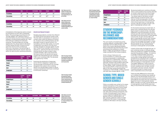

<span id="page-17-0"></span>

|               | <b>Mean</b> |     | <b>Std. Deviation</b> | <b>Males</b> | <b>Females</b> | <b>Others</b> |
|---------------|-------------|-----|-----------------------|--------------|----------------|---------------|
| Pre-workshop  | 4.10        | 646 | .951                  | 3.86         | 4.27           | 3.95          |
| Post-workshop | $4.31***$   | 646 | .892                  | $4.05***$    | $4.49***$      | 4.37          |

|               | <b>Mean</b> |     | <b>Std. Deviation Males</b> |      | <b>Females</b> | <b>Others</b> |
|---------------|-------------|-----|-----------------------------|------|----------------|---------------|
| Pre-workshop  | 1.98        | 646 | 1.08                        | 2.22 | 1.78           | 2.40          |
| Post-workshop | $1.80***$   | 646 | 1.04                        | 2.13 | $1.59***$      | 1.40*         |

|               | <b>Mean</b> |     | <b>Std. Deviation Males</b> |         | <b>Females</b> | <b>Others</b> |
|---------------|-------------|-----|-----------------------------|---------|----------------|---------------|
| Pre-workshop  | 4.00        | 645 | .945                        | 3.85    | 4.11           | 4.05          |
| Post-workshop | $4.17***$   | 645 | .990                        | $3.98*$ | $4.32***$      | 4.00          |

*Table 11. Mean scores for the statement 'You always need to talk about consent before the start of sexual activity', pre- and* 

*post-workshop.*

*Table 12. Mean scores for the statement 'Getting consent is important before any kind of sexual behaviour happens, including kissing/petting, etc.', pre-*

*and post-workshop.*

A breakdown of the response options chosen by participants for each item is presented below. The percentage of participants that 'strongly agreed' with 'Getting consent is important before any kind of sexual behaviour happens, including kissing/petting, etc.' went from 31.2% pre-workshop to 41.6% postworkshop. The percentage who strongly agreed with 'You always need to talk about consent before the start of sexual activity' went from 40.1% to 51.7%. Furthermore, there was a decrease in the percentage of respondents selecting the 'neutral' response option for items at post-workshop evaluation.

#### Alcohol and Sexual Consent

Students responded to one item from Ward et al.'s (2012) alcohol and sexual consent scale. This item refers to perceptions of capacity to consent when under the influence of alcohol (i.e., 'A person who is drinking heavily can still give legal consent to sexual activity'). For consistency with the other scales, a 1-5 scale of agreement was used for this item (from 'strongly disagree' to 'strongly agree'). For this item, a lower score indicates a more positive attitude (i.e., rejecting the idea that someone drinking heavily can give consent). Using a paired samples t-test it was found that the mean score for the alcohol and sexual consent item decreased from pre-workshop (1.98) to post-workshop (1.80). This decrease was significant (p <0.001).

Examining the distribution of responses across the five categories of agreement, the percentage of participants who strongly disagreed that a person who is drinking heavily can still give legal consent to sexual activity increased from 43.4% (pre-workshop) to 49.4% (post-workshop).

|                          | <b>Pre-Work-</b><br>shop | <b>Post-Work-</b><br>shop |
|--------------------------|--------------------------|---------------------------|
| <b>Strongly Disagree</b> | 1.7                      | 1.0                       |
| <b>Disagree</b>          | 5.8                      | 4.0                       |
| <b>Neutral</b>           | 15.7                     | 9.0                       |
| Agree                    | 36.7                     | 34.3                      |
| <b>Strongly Agree</b>    | 40.1                     | 51.7                      |

|                          | Pre-Work-<br>shop | <b>Post-Work-</b><br>shop |
|--------------------------|-------------------|---------------------------|
| <b>Strongly Disagree</b> | 43.4              | 49.4                      |
| <b>Disagree</b>          | 29.2              | 31.0                      |
| <b>Neutral</b>           | 16.5              | 10.2                      |
| Agree                    | 8.1               | 6.0                       |
| <b>Strongly Agree</b>    | 2.7               | 3.5                       |

|                          | Pre-Work-<br>shop | <b>Post-Work-</b><br>shop |
|--------------------------|-------------------|---------------------------|
| <b>Strongly Disagree</b> | $1.3\phantom{0}$  | 1.4                       |
| <b>Disagree</b>          | 6.2               | 4.7                       |
| <b>Neutral</b>           | 18.0              | 10.7                      |
| Agree                    | 43.2              | 41.6                      |
| <b>Strongly Agree</b>    | 31.2              | 41.6                      |

*Table 13. Percentage of students who selected each response option to the statement 'You always need to talk about consent before the start of sexual activity'.*

*Table 16. Percentage of students who selected each response option to the statement 'A person who is drinking heavily can still give legal consent to sexual activity', pre- and post-workshop'.*

*Table 14. Percentage of students who selected each response option to the statement 'Getting consent is important before any kind of sexual behaviour happens, including kissing/petting, etc.'*

*Table 15. Mean scores for the statement 'A person who is drinking heavily can still give legal consent to sexual activity', pre- and post-workshop', pre- and post-workshop.*

#### STUDENT FEEDBACK ON THE WORKSHOP: RELEVANCE AND RECOMMENDATIONS

The vast majority of students found the workshop relevant, including 99.0% (n=380) of females, 94.7% (n=265) of males, and 100% of non-binary identifying students. Nearly all females reported that they would recommend the workshop to a friend (96.6%, n=358), alongside 86.2% (n=260) of males, and 84.2% of non-binary students.

Similar ratings of relevance and recommendation to a friend were noted among young people in a relationship and those not in a relationship. There was little difference in ratings by year of school, although Transition Year students were more likely to report the workshop was relevant to them (97.8%, n=551), compared with Sixth Year students (93.7%, n=142), and were more likely to say they would recommend the workshop to a friend (92.8%, n=505) compared with Sixth Year students (86.3%, n=139).

#### SCHOOL TYPE: MIXED GENDER AND SINGLE GENDER SCHOOLS

Follow-up analysis was carried out to assess whether perceptions of the workshop or its impact varied by the type of school where it was delivered. There is some caution in drawing inferences of this kind across four sub-sets of the workshop participants. The number of female pupils in each type of school ranged from 126 (females in mixed gender schools) to 328 (females in allgirls' schools), while the number of males ranged from 133 (males in mixed gender schools) to 159 (males in all-boys' schools).

Reviewing baseline pre-workshop attitudes, there is some evidence that positive attitudes to consent varied across the school types. For instance, the mean score on the item 'You always need to talk about consent before the start of sexual activity' was 3.62 out of 5.00 among pupils in all-boys' schools, lower than the mean score for the other school types (boys in mixed gender schools: 4.18; girls in all-girls' schools: 4.20; girls in mixed gender schools: 4.42).

On the alcohol and sexual consent item, 'A person who is drinking heavily can still give legal consent to sexual activity', the mean agreement score among pupils in all-boys' schools was 2.35, which was higher than the equivalent score among boys in mixed gender schools (2.12), all-girls' schools (1.82), and girls in mixed gender schools (1.66). However, the baseline consent preparedness mean total score was lowest among girls in mixed gender schools (21.70), followed by all-girls' schools (22.22), all-boys' schools (22.36), and boys in mixed gender schools (22.68).

In terms of the scale of change from pre- to post-workshop scores on attitude ratings, there was evidence to suggest that females reported the greatest change – for instance a change of approximately 3.00 points in the mean consent preparedness score among girls in single gender and mixed gender schools compared with a change of approximately 1.00 in all-boys' schools and 2.00 among boys in mixed gender schools. The largest difference in mean scores for the item on alcohol and consent from preto post-workshop was in all-girls' schools and lowest in all-boys' schools. Changes in positive attitude to consent scores were comparable across school type.

There was little difference by school type as to whether the workshop was viewed as relevant, but the percentage of boys in allboys' schools who would recommend it to a friend (83.4%) was lower than the comparable figure from boys in mixed gender schools (89.9%). Females in all-girls' schools (96.2%) and in mixed gender schools (97.4%) were most likely to recommend the workshop to a friend.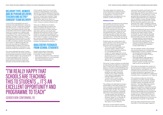#### <span id="page-18-0"></span>DELIVERY TYPE: REMOTE AND IN-PERSON DELIVERY, TEACHER AND ACTIVE\* CONSENT TEAM DELIVERY

A total of 545 young people took part in workshops that were delivered in-person by teachers or Active\* Consent team members, while 319 took part in workshops delivered remotely. The baseline attitude scores were comparable across the two modes of delivery. There was no evidence of a different level of change in the pre- and post-workshop ratings linked to the mode of delivery of the workshop. Changes in scores on consent preparedness, positive attitudes to consent, and beliefs about alcohol and consent did not differ according to whether the workshop was in-person or delivered remotely. Nor was there any evidence of differences in the percentage of students who rated the workshop as relevant to themselves or who would recommend the workshop to a friend.

Two schools delivered the Active\* Consent schools workshop through trained secondary school teachers (without any Active\* Consent team member present). This comprised 24.7% of the young people (n=213). The Active\* Consent team delivered the workshop to seven secondary schools (in-person and remotely) and reached 651 students (75.3%

of the students). Given that not all of the students provided feedback, 129 students reported on workshops delivered by teachers only and 588 students on workshops delivered by Active\* Consent team members. These figures were compared to assess whether the facilitator type had an impact on satisfaction with the workshop and changes in pre- and post-workshop attitude scores.

There was no difference by facilitator type in the percentage of students who rated the workshop as relevant or who would recommend it to a friend. Teachers were able to get the same results when delivering the workshop as Active\* Consent facilitators. The same trend applied when scores on attitude items were reviewed, with similar levels of changes in scores identified pre- and post-workshop irrespective of whether teachers or Active\* Consent team members had delivered the workshop.

#### QUALITATIVE FEEDBACK FROM SCHOOL STUDENTS

Students responded to three openended questions after participating in an Active\* Consent workshop:

- What did you respond to in this workshop?
- Did anything surprise you in the workshop? • Was there anything you wish you
- had covered in the workshop?

- I thought maybe I was just behind everyone else's level of what they like doing but I guess I'm not (Female, 16).
- I was surprised to see the opinions or views of my peers and how similar they were to my own (Male, 16).

"I'M REALLY HAPPY THAT SCHOOLS ARE TEACHING THIS TO STUDENTS ... IT'S AN EXCELLENT OPPORTUNITY AND PROGRAMME TO TEACH"

The written replies from students are summarised below to explore reactions to the content of the workshop, levels of engagement, comments on the workshop process, and relevance to the students' concerns and daily lives.

#### Workshop Content

Some students remarked that the workshop was welcome because they typically did not receive consent education and yet wanted to know more about the topic ("how educational it was because, many young people nowadays don't get the required education", Male, 16). The workshop was seen as highly informative and useful ("all exercises were very useful and explanatory", Female, 18), and "should definitely be done everywhere" (Female, 18).

- The example stories really helped me to understand consent in normal day to day life (Male, 15).
- There were different ages/genders. It was realistic because people will say they're fine with the whole consent thing but wouldn't actually know how/ when to ask for sex (Female, 16).

Students were very positive about their school's decision to provide the workshop, given that consent was an important issue that had to be addressed:

- This is a very important subject that should be taught in depth in both the home and an educational setting so I was grateful (Female, 16).
- I loved it, I'm really happy that schools are teaching this to students and young people because this is so important to learn about. It's an excellent opportunity and programme to teach (Gender non-conforming, 16).

The Active\* Consent workshop was described as empowering the students to communicate about consent and to feel more confident in doing so. Comments included feedback that all aspects of the workshop were beneficial:

- I thought this workshop was very beneficial and useful. Everything covered in this consent workshop is very relevant to teenager's lives, making it helpful (Female, 15).
- I honestly think it covers consent good so I can't think of something to add about that" (Male, 16).

The workshop was described as having a positive effect in educating students on what constitutes a consensual experience and also helped students learn about what their peers thought. The workshop surprised some students as it reassured them about other people's experiences:

The Active\* Consent research statistics from other Irish secondary school students

- 
- 
- 
- 
- 
- 
- 
- 
- 
- 
- 
- 

surprised the students, particularly the social norms gap: "All the graphs and research results especially the one where what we think other people are comfortable with vs what we personally comfortable with" (Female, 17). Students appreciated the use of information such as statistics on peer attitudes ("[they] helped put things into perspective", Female, 18). The interactive questions used in the workshop were "useful + interesting" (Female, 17) and the use of Slido was beneficial "to give our own opinion anonymously" (Female, 16).

Students remarked that the use of consent stories "enhanced the effectiveness of the workshop and made it easier to relate to" (Female, 16). Some students discussed the stories in groups in class and enjoyed exploring these scenarios with their peers: • I enjoyed talking in the small groups

- and discussing the stories. It was really informative and useful (Female, 16).
- I enjoyed analysing different situations and discussing them to understand consent better (Male, 17).

The use of realistic stories in the workshop was a positive feature as it furthered the understanding of consent in realistic situations:

The stories also illustrated that consent can be nuanced and complex in some situations, requiring attention and reflection. Som e students were surprised that it was difficult to assess the behaviour described in the workshop stories ("how difficult it is determine if a situation truly is consensual or not", Male, 16).

The workshop provided new information to students in a number of areas. Students commented that the workshop's coverage of LGBTQ+ identity and gender roles was important: "That they talked about sexual orientation and gender, that's highly important for people to understand. And the difference in ideas of how males and female views on sex" (Gender non-conforming, 16). Students appreciated that the workshop did not just focus on males being perpetrators and felt inclusive ("There wasn't a focus of male to female sexual misconduct, which is good because sometimes as a man that can be alienating", No gender or age stated).

Some girls were surprised that boys in their class were "on the same page in regard to

(GENDER NON-CONFORMING, 16)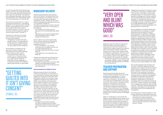consent" (Female, 18). One female (No age stated) wrote that "[the boys] all seemed to think it was a really important thing and they knew more than I expected. The workshop also challenged the gender script that boys are always up for sex", while another noted "that boys feel pressure too" (Female, 18).

Some of the new information on consent surprised the students (e.g., "that getting guilted into it isn't giving consent", Female, 16). Prior to participating in the workshop some students did not know about having the capacity to consent: "I did not know that someone under the influence could not give consent" (Female, 17).

Information on Irish laws surrounding sexual consent and rape was novel for some of the students:

• The legality of consent when both people are drunk. The legal definition of rape, the law of someone having sex with someone under 17 if they're two years older than them (Male, 16).

Some students commented on the point that consent is needed in all relationships and that body language is not synonymous with consent:

- That consent had to mean you wanted to do it I thought as long as you agreed it was consent even if you didn't want to" (Male, 16).
- Small signs of body language isn't consent and consent still is needed in relationships (Female, no age stated).

"GETTING **GUILTED INTO** IT ISN'T GIVING CONSENT" (FEMALE, 16)



#### WORKSHOP DELIVERY

Students appreciated that the workshop was not too serious. It included humour and informal language ("how relaxed it was, not too serious but it was serious enough to understand consent", Female, 18; "the use of informal language really resonated with me as a young person", Female, 17). This approach appeared to balance well with coverage of sensitive topics in other parts of the workshop:

- How nothing was brushed over just because it's an uncomfortable topic (Male, 16).
- I liked that it was casual and lighthearted while still keeping it serious. It gave perspective (Female, 16).

Some students had a preconceived idea that a consent workshop would be formal or boring, and were surprised with the experience they had:

- That it was relevant. A lot of other workshops are so unrealistic but this one was really helpful (Female, 16).
- I thought it would be very boring, it wasn't (Male, 16).
- I was surprised on how interested I was (Male, 16).

Students found the open and informal tone surprising but useful as it helped create an open discussion on consent:

- Very open and blunt which was good. Help me feel comfortable (Male, 18 years).
- How easy and chill it was to talk about this topic (Female, 16).

#### Recommendations for Additional Topics

References were made to the workshop covering "everything that was important to know" (Female, 15). However, there were also suggestions made about other topics that the students wanted to know about. These suggestions ranged across positive sexual health, sexual violence, and harassment. Some students wanted to know more about what to do if an assault or rape happens. Students would have liked to understand the "effect of sexual assault/rape on the victim" (Male, 17) and who else they can go to for support: "Possibly how to handle a bad situation or the impact afterwards or options when you're in trouble and don't want to talk to a parent" (Female, 15). More stories were also suggested by students so they "can understand the grey areas" (Female, 16), and to learn about how to respond to assault or harassment:

• Situations that are more confusing and difficult regarding sexual assault/ harassment/rape and what to do if you are ever in that situation or position (Female, 16).

References were also made to wider sexual health information, with some students requesting information like "handouts with names of crisis centres, health clinics, abortion clinics" (Female, 18). Students wanted the workshop to include on other aspects of RSE including STIs, contraception, and "how to put on a condom" (Male, 16 years). Furthermore, some students wanted "more LGBTQ content" to be covered in the workshop, for example: • Possible talk more about sex between same sex couples, LGBTQI+ couples, transgender people. But regardless good job :) (Gender

non-conforming, 16).

#### TEACHER PREPARATION AND SUPPORT

Given the goal of providing the Active\* Consent schools workshop as part of a wider programme of engagement, it is critical to prepare teachers directly involved as supporters or facilitators. The long-term aim is to ensure that all stakeholders in the school community have access to awareness raising, education, and training, so that culture change and a whole of school approach can receive comprehensive and practical support. These ambitions will be challenging to achieve, and so a teacher support initiative was devised and piloted in 2021 alongside the piloting of the consent workshop for teenagers in schools.

While it is challenging to work towards the objective of sustainable culture change in how schools address consent education, it is clear that the second-level educational system is becoming more receptive to supporting work of this kind. As part of the strategic approach taken by the National Council for Curriculum and Assessment, Nolan's (2018) report

highlighted the potential for teachers to have a central role in the delivery of effective RSE in Irish schools. In that report, school pupils expressed support for their teachers having specialist knowledge and training to perform this role, placing particular value on teacher openness, non-judgmental attitudes, and confidence in the role. A background report of current RSE standards conducted by Keating et al. (2018) identified teacher confidence and competence as central challenges in the existing provision of quality RSE.

These challenges are understandable given the traditional lack of emphasis on systemwide resourcing and support for sexual health education, for example in offering a specialised focus on RSE and sexual health education in teaching training and ongoing professional development. Variations in the quality and delivery of RSE have been noted in earlier reports (Department of Education & Skills, 2009, 2013). These have been attributed to the flexibility of the RSE curriculum and an associated tendency for teachers to avoid highly sensitive subject areas. Teachers of RSE and SPHE are not required to have a specialist knowledge of the subject matter and there is currently no standard route to a professional qualification in sexuality education for teachers (Duffy, 2020). A systematic review concluded that school-based RSE is best supported by teachers having access to training, a school culture that prioritises the subject and promotes the importance of RSE in schools and in society (Walker et al., 2020).

This was the background for teachers who took part in training to deliver the schools workshop and to support the Active\* Consent research team to engage directly with their pupils. A teachers' manual was created as the script for the workshop, to be used in conjunction with a PowerPoint presentation. A training session for teachers was designed alongside an awareness-raising webinar for parents. Preparation for teachers was intended to enable them to acquire the knowledge, skills and confidence to facilitate the Active\* Consent workshop and to identify how to integrate the workshop within the RSE curriculum. Training for teachers delivering the workshop is also relevant to other teachers, administrative staff, school leadership and management.

The training used in the pilot research on the schools workshop provided participants with:

- Information on the aims, ethos, and actions of the Active\* Consent programme.
- An understanding of the context within which school pupils explore their sexuality and the influences that inform their sexual decision-making.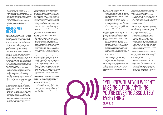

#### FEEDBACK FROM **TEACHERS**

- <span id="page-20-0"></span>appropriately to disclosures, as well as help-seeking options and supports.
- The opportunity to participate in the school consent workshop to gain insights into the content and process underpinning the student experience.
- The confidence to facilitate the school Active\* Consent workshop using the teachers' manual and PowerPoint presentation.

A total of 31 teachers took part in the piloting of the schools consent workshop, supporting workshop implementation or being directly involved in workshop delivery. Nine teachers took part in interviews and focus groups on the pilot workshops. Two teachers were interviewed individually, and seven teachers took part in one of two focus groups. The participants included a school principal, a deputy principal, and two Transition Year coordinators, which contributed a management and coordination perspective.

The teachers spoke about having decided to pilot the workshop because of previous positive engagement with the Active\* Consent team and due to the need they saw for students to receive appropriate education on consent. In this example, the requirement for consent education arose because of issues of non-consent and a realisation that the topic was "rearing its head":

- I really just wanted to get involved in giving them the correct, positive information (S3).
- I think they need to know but they might not understand what they need to know. There's like a gap in their mind, … [they] might hear the word consent, but the gap is there, what does that really mean. It's kind of like filling in the blanks (S1).

• You touched on the LGBTQ+ community with one of the scenarios [Sam and Alex], you had the gender issue in another scenario where you were flipping it a little bit [Jim and Claire], and then you, we had the younger group where alcohol was involved [Aoife and Martin]. … they all could relate to, something every type of student that you'd come across. … I thought that all types of student were being catered for  $(S4)$ .

• We had too many stories of students who have found themselves in situations whereby they retrospectively realised that they partook in something that didn't involve their consent … we are always asking ourselves what we can do differently. Being an all-girls school, I suppose we are particularly attuned to what needs are changing over time and it just seems over time that this area is rearing its head (S3).

Teachers were concerned about pupils being exposed to misinformation, and looked to the Active\* Consent workshop to empower the young people through knowledge and information:

The teachers were overwhelmingly positive about the content of the workshop. They saw it as having comprehensive content ("all the teachers that came back … they found it really profound and, you know, so relevant to what's going on," S1). The consent stories were highlighted as particularly effective ("they got them really thinking," S2), and credible to the student demographic:

• It's the first RSE based resource that I have, that I haven't had to change the stories for, you know to make them more realistic, to make them more appropriate to their age level (S3).

The inclusivity of the consent stories was identified as a strength as it meant that all student interests were referred to and engaged with:

One focus group described how the workshop gave them access to high quality resources that they would struggle to find on their own:

• It takes time to find videos online and find stuff that's free to have. The videos, they found them really engaging. And for us to go and try to find, we have our own exam subjects as well, so we just don't have time to give to SPHE and find all those videos, trawling through the Internet. So, it's brilliant to have ones that work. And they were really good, and they really engaged them (S4).

Teachers felt very supported by the workshop manual. They were reassured that they were covering all of the material properly and that there was a standardised approach to preparation and delivery:

• Having the script was really good … it's nice to have a script to go by that you're making sure that you are hitting everything … you knew that you weren't missing out on anything, you're covering absolutely everything (S4).

The teachers were impressed with the feedback from the pupils:

- Trying to get feedback out of young fellas is like pulling teeth. But in fairness, they kind of commented on it saying it was a good workshop (S2).
- What the students said was all very positive. They were like 'that was great', I don't know what your role is in life, but this is my second-year teaching boys so if there's any sort of response, I'll absolutely grab it and go. So, they said 'thank you very much, that was really great, I'm glad I was part of that' (S1).

The realism of the consent stories and the relatability of the language used in the workshops contributed to pupil engagement. The material was seen as authentic and impactful, enabling it to 'hit home' with the students:

• Well, we had a wonderful reaction throughout, but particularly when it came into the scenarios. I think they themselves were taken aback by how realistic they found each of the scenarios and even the really intense discussion that was taking place afterwards … I thought that that was where they really gain something from it. I think they were surprised by how these were hitting home (S3).

All the teachers were highly positive about their experience of piloting the Active\* Consent school workshop. They were committed to incorporating it into their school Relationship and Sexuality Education programme. Teacher feedback on awareness raising for parents indicated how important they felt the parent seminar had been to support workshop implementation in their schools.

The seminar was an opportunity for parents to learn about the consent programme so they can make an informed choice:

• You can't assume that they're ok, you know. [The seminar] will give them time and space to think about 'well, do I want my son hearing this, at this point?' They are the guardians of the students that we teach and we're not there to make that decision on their behalf (S1).

The Active\* Consent programme was viewed as being based on a solid foundation. Coming from a university base of research the team was seen as credible, well informed, and on top of current developments:

• It's really important that all of this comes from research, and I think the parents were very interested in being involved in something that is evolving to very immediate and contemporary needs. I guess so much of the school curriculum gets outdated quite quickly and quite stale and I mean of all areas, this needs to be really personal and up to date, so there was a real sense that this was fresh off the press and still evolving (S3).

The experience of the seminar was positive, and despite the sensitive nature of the topic, the mode of engagement and care taken to work with the parents was successful in securing their support:

• I was shocked and surprised [that there was no negative feedback from the parents' evening] … we would have a certain element of conservative tradition and certainly in the past we would have had queries to do with content, be it to do with RSE or areas like that. And I was actually really surprised that it was entirely positive which was fantastic (S3).

## "YOU KNEW THAT YOU WEREN'T MISSING OUT ON ANYTHING, YOU'RE COVERING ABSOLUTELY

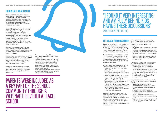#### <span id="page-21-0"></span>PARENTAL ENGAGEMENT

Parents, guardians, and other caregivers are an important influence on the sexuality education of their children. Yet many parents underestimate their impact on their adolescents' decisions about sex, especially as their children start to become more independent and involved with their peers (Ashcroft & Murray, 2017).

For many parents and children, the prospect of talking about topics related to sexuality is daunting. It can be challenging to discuss issues when parents feel that they lack information or skills for communication and dialogue. Research on parents' perspectives has revealed barriers to communication including the wish to protect "childhood innocence", suitable timing and age appropriateness of explanations, personal discomfort, and fear of criticism or judgement (Stone & Ingham, 2012).

A community process can contribute to a sexual citizenship approach to promoting sexual decision-making and awareness raising on ethical intimate relationships (Robinson, Smith, & Davis, 2017).

Accordingly, an information session for parents was developed as part of the Active\* Consent schools workshop implementation plan to address parental anxieties about consent, to inform them about the workshop, and to promote conversations at home.

The seminar was delivered via Zoom using a webinar format. Invitations to attend were made through the school. The aims of the webinar were to support parents and guardians to:

- Gain an understanding of the aims, ethos, and actions of the Active\* Consent programme.
- Be aware of the language and tone used in the consent workshop, so as to gain their support for its roll out within the school.
- Better understand the context in which school pupils may be starting to explore their sexuality and the influences informing their decisions to do so.
- Share resources supportive of conversations to enable their children to safely navigate and explore sexual experiences.

#### FEEDBACK FROM PARENTS

Parents' seminars took place with each school prior to the delivery of the Active\* Consent workshops. A total of 353 parents attended an Active\* Consent parents' seminar, with 181 parents providing feedback using Slido.com and 147 completing an online feedback survey.

The parents ranged in age from 31-60 years old. The majority (55%) were between 41-50 years old, with 37% aged 51-60. The majority (87%) were female. Their children ranged in age from 3 to 25 years old. The majority had children aged 16 years.

The parents shared their view of the seminar through responses to quantitative items:

- schools:<br>
Delighted to know our girls will be participating in this programme. A really informative session. Many thanks (Zoom chat).
- An excellent programme, to discuss everything before sexual experiences begin (Female, 51-60).
- I found it very interesting and am fully behind kids having these discussions (Male, 51-60).
- Very enjoyable and very happy my child will have access to this workshop. Well done (Female, 51-60).
- 97% of parents found the seminar to be informative.
- 88% agreed that their confidence to communicate with their child about sexual consent had increased.
- 90% stated their confidence had increased in terms of communicating about sexual media, in particular pornography.
- 99% of parents felt that the Active\* Consent workshop would provide children aged 15- 17 years with important learning.
- 100% felt that Active\* Consent sexual media resource would provide children aged 15-17 years old with important learning. • 100% of the respondents would recommend
- the seminar to other parents.

Qualitative feedback made through the feedback survey and Zoom chat provided additional insight on how the parents experienced the seminar, the context in which they approach the topic of consent, the aspects of the Active\* Consent programme that resonated most with them, and their support for the workshop to take place in their children's school.

PARENTS WERE INCLUDED AS A KEY PART OF THE SCHOOL COMMUNITY THROUGH A WEBINAR DELIVERED AT EACH SCHOOL

Several parents commented on having minimal information to begin with through their own education or preparation for communicating about sex with their teenagers:

- We never received anything (Female, aged  $51 - 60$
- How little I was equipped! (Female, 41-50).<br>• I felt like the only parent I knew that wanted
- this kind of resource for my kids (Female, 41- 50).
- It's the information and seminar I would've hoped for when I was young and at school (Female, 31-40).

In that context, the seminar was very helpful for parents to provide them with relevant information in an accessible manner:

### "I FOUND IT VERY INTERESTING AND AM FULLY BEHIND KIDS HAVING THESE DISCUSSIONS" (MALE PARENT, AGED 51-60)

- Informative and easy to understand (Female, 51-60).
- I've benefited from listening to you and look forward to my daughter participating in your workshop. Invaluable stuff (Zoom chat).
- Thank you very much for providing support on these absolutely vital topics for our teenagers (Female, 41-50).

This positive evaluation carried forward into support for the workshop to take place in the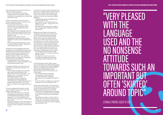There was praise for the school's decision to take part in the programme:

• Good to hear (school) is still piloting programmes that benefit their students and will do so for generations to come. Well done (Zoom chat).

Parents commented on the positive and proactive approach taken to consent in the Active\* Consent programme:

- I love the way you show sex in such a positive way to young people, when it occurs in a loving consensual manner (Female, 41-50).
- Very pleased with the language used and the no nonsense attitude towards such an important but often 'skirted' around topic (Female, 41-50).
- Really found this useful. The nonjudgemental, realistic attitude towards teenagers is exactly what is needed (Zoom chat).
- They are being treated like adults as this is an adult matter and that's important so well done (Female, 41-50).

- Great information, thank you. The more knowledge the children get the better. The internalised peer pressure can be so dangerous, so it's very beneficial to let them know the true situation. Thanks again (Zoom chat).
- Teenagers realising that their perception of what everyone else is doing is not correct. I think that will be so helpful to them (Female,  $41 - 50$

The research and knowledge base of the programme was emphasised by parents as a strength that was distinctive and impressive. It was important that the programme was based on "actual research from young people" (Female, 41-50). It was clear that the programme was based on considerable primary research and reflection:

• The great extent of your research and enlightenment on the boys' attitudes to sex and consent (Female, 51-60).

The research findings on social norms and perceptions of peers were remarked on in particular:

- What children thought about what their peers were thinking (Female, 51-60).
- Information about communication … the gender norms … the surveys were very interesting (Female, 51-60).
- The research results and statistics especially about what people are comfortable doing. Really informative and makes me feel supportive. I wish I had known this when I was younger (Female, 41- 50).

This topic registered with parents as they could visualise its importance in how their children make decisions:

"VERY PLEASED WITH THE LANGUAGE USED AND THE NO NONSENSE ATTITUDE TOWARDS SUCH AN IMPORTANT BUT OFTEN 'SK AROUND TOPIC"

A number of comments were made about the take home messages parents were taking from the seminar, and how they planned to use them in conversations with their teenagers. In relation to points that resonated, parents referred to:

- Understanding sexual competence and OMFG (Female, 41-50).
- Very happy to have complete clarity on definition of consent - very good to have (Female, 51-60).
- Importance of communication. Insight to how young people's understand consent (Male, 51-60).

References were made to the relevance of attending a seminar of this kind in order to inform how parents approach talking about consent with their children ("great information to support conversations at home", Zoom chat). Of particular note was the reference to 'my child', showing a strong personal resonance among the parents and a commitment to supporting their children after the seminar. These parents used phrases such as "acutely aware" and "owe it to my son" when describing the importance they attributed to talking openly about consent:

- This talk really made me more acutely aware of the issue of consent and my son (Female, 51-60).
- Knowing that I owe it to my son (for his safety and happiness) to have this conversation with him (Female, 41-50).

In these examples, parents refer to being more comfortable and confident following the seminar. This response from parents highlights the priority of breaking down barriers that parents themselves experience when approaching consent communication with their children:

- What I learned about framing the conversation to make myself less uncomfortable about having the discussions with my daughters (Female, 41- 50).
- It's given me more confidence to approach this topic with my son! (Female, 31-40).

Finally, these parents refer to the importance of the seminar in prompting discussions about consent to be ongoing and a continuing dialogue between parents and children:

- The fact that I had forgotten this should be an ongoing conversation with my daughter not a once off imparting of facts (Female, 41-50).
- Reminding me to keep in contact with my children about sex/sexual activity/sexual consent etc. Can be easy to forget to stay in communication because they are getting older (Female, 41-50).

(FEMALE PARENT, AGED 41-50)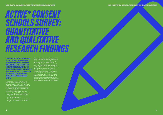# <span id="page-23-0"></span>*ACTIVE\* CONSE SCHOOLS SURVEY: QUANTITATIVE AND QUALITATIVE RESEARCH FINDINGS*

THE DEVELOPMENT PROCESS USED IN THE ACTIVE\* CONSENT PROGRAMME BEGINS WITH PRIMARY RESEARCH TO IDENTIFY RELEVANT ISSUES AND TRENDS WITH HE KEY GROUP BEING TARGETED. TH DN IS THEN USED TO INFORM THE EVELOPMENT OF PRACTICAL AWAI **AISING, EDUCATION AND TRAININ** INITIATIVES FOR YOUNG PEOPLE AND ADULTS.

In the case of the schools programme, the knowledge generation for the consent workshop took the form of a survey of 613 teenagers in five schools across Ireland. The survey was designed to assess attitudes to consent and consent communication, including how beliefs of consent communication are applied in realistic scenarios. The goals of the survey were to:

- Provide an evidence base of consent attitudes and consent communication among Irish teenagers.
- Support the development of the schools programme, in particular the consent workshop.

During the summer of 2019, seven Transition Year (TY) pupils (6 female, one male) worked with the research team to design an ageappropriate pen and paper survey on consent. The students provided feedback on consent attitude and peer perception questions taken from the academic literature and previous Active\* Consent surveys. They also gave their views on three stories that featured consent communication to ensure the stories were realistic. The stories were designed to elicit Transition Year and Fifth Year school pupils' views on consent communication, foregrounding verbal and non-verbal consent, gender and relationship status, and communication of non-consent.

*ACTIVE\* CONSENT FOR SCHOOL COMMUNITIES: OVERVIEW OF THE SCHOOLS PROGRAMME AND RESEARCH FINDINGS*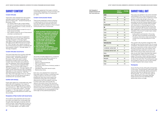#### <span id="page-24-0"></span>SURVEY CONTENT

#### Consent Attitudes

Three items were adapted from the positive attitudes toward consent subscale of the sexual consent scale – revised (Humphreys & Brousseau, 2010):

- You always need to get consent before the start of a sexual activity like touching breasts, genitals (penis or vulva), oral sex, or sexual intercourse.
- There should be verbal consent for any of those sexual activities.
- Non-verbal consent for any of those sexual activities is sometimes OK.

Respondents give their level of agreement to each item on a 5-point Likert scale from 'Strongly Disagree' to 'Strongly Agree', with higher scores indicating more positive attitudes toward affirmative sexual consent (α = .579). The item 'Non-verbal consent for any of those sexual activities is sometimes OK' was reversed coded (1 = 'Strongly Agree', 5 = 'Strongly Disagree').

#### Consent Attitudes: Social Norms

indicating agreement that peers would be comfortable engaging in sexual activities with someone they met a disco or house party  $(α = .643)$ .

The same three items from positive attitudes toward consent subscale of the sexual consent scale – revised (Humphreys & Brousseau, 2010) were used to assess perceptions of peer social norms about consent. Each of the items was prefaced with the statement 'Most other teenagers think …'. The participants registered their agreement on a 5-point Likert scale (1 = 'Strongly Disagree' to 5 = 'Strongly Agree'), with higher scores indicating that they considered their peers to have a positive attitude toward affirmative sexual consent ( $\alpha$  = .572). The item 'Most other teenagers think non-verbal consent for any of those sexual activities is sometimes OK' was reverse coded.

The stories included references to contextual factors previously identified as relevant to consent communication, including:<br>• Alcohol use.

- 
- Verbal or physical pressure.
- Peer expectations.
- Consent to other forms of intimacy earlier in the evening.
- Gendered roles within sexual scripts.
- Relationship status.

#### Comfort with Intimacy

Pupils were asked how comfortable they were personally with engaging in four types of intimacy with someone they met at a disco or house party ( $\alpha$  = .882). Pupils responded to items on a 5-point Likert scale (1 = 'Strongly Disagree', 5 = 'Strongly Agree'), with higher scores indicating more personal comfort with the activities.

#### Perceptions of Peer Comfort with Social Norms

The survey was piloted in one school and then administered in four more schools across the country in the Autumn term of 2019 (two mixed gender schools, one all-girls' school, two all-boys' schools). Research ethics approval was given by the NUI Galway Research Ethics Committee. School principals were provided with information on the backaround of the Active\* Consent programme, the survey and what involvement with the pilot would entail. With agreement of the principal and teachers, members of the Active\* Consent team visited each class group to:<br>• Invite pupils to participate in the survey.<br>• Tell them what involvement would entail.

The students were presented with the same four items and asked how comfortable they thought other teenagers would be with the same activities. Pupils responded to items on a 5-point Likert scale (1 = 'Strongly Disagree' to 5 = 'Strongly Agree'), with higher scores

#### Consent Communication Stories

Three stories presented a person initiating or seeking sexual intimacy and described how the other person reacted. Each story presented a distinct scenario in which consent communication was a critical issue.

Each story was adapted from stories that have been used in surveys or workshops with college students by the Active\* Consent programme. Each story had at least one quantitative rating item and qualitative response box that the students could use to write in their views and provide any relevant information about their reactions to the stories. The language and tone of the quantitative items and the stories used in the schools survey were checked for acceptability and comprehension by young people of the same age as the potential participants.

1. 'Aoife and Martin': Oral sex in a hook-up between two cisgendered adolescents on a night out when the male initiates intimacy. Three versions of this story were used to assess the impact of varying consent-related actions.

- 2. 'Jim and Claire': Sexual intercourse between two young adults not in a relationship where intimacy was initiated by the female.
- 3. 'Sam and Alex': Turning down a partner looking for sex in a relationship context featuring two non-gendered adolescents.

#### SURVEY ROLL OUT

- 
- Provide an information sheet and parental consent form to be returned prior to the survey.

The consent rate of parents ranged from 75% and 98% across the five schools. Prior to survey completion, the research team spoke to pupils about the importance of their views and how the data would be used. The students were advised that they could fill in as much or as little of the survey as they chose and could stop at any time. Pupils indicated their assent to participate by ticking a box on the first page of the survey. A team member read the survey aloud ensuring that all pupils finished at about the same time. The participants were encouraged to write as much as they wished in order to explain their answer choices.

#### **Participants**

Across the five schools, 613 pupils participated in the survey. The participants were evenly split across males and females. Eleven participants said that they did not identify with male or female gender. Just over half were aged 16 years. Almost 60% of the pupils attended mixed schools and most identified their relationship status as single.

|                                       | <b>Number of</b><br>participants | Perc |
|---------------------------------------|----------------------------------|------|
| Gender                                |                                  |      |
| Female                                | 287                              | 46.8 |
| Male                                  | 312                              | 50.9 |
| Other                                 | 11                               | 1.8  |
| No gender specified                   | 3                                | 0.5  |
| Age                                   |                                  |      |
| 14 years                              | 1                                | 0.2  |
| 15 years                              | 149                              | 24.3 |
| 16 years                              | 319                              | 52.0 |
| 17 years                              | 141                              | 23.0 |
| <b>Missing</b>                        | 3                                | 0.5  |
| <b>Relationship Status</b>            |                                  |      |
| Single                                | 479                              | 78.2 |
| In a relationship - Less than 1 month | 29                               | 4.7  |
| In a relationship - More than 1 month | 100                              | 16.3 |
| Missing                               | 5                                | 0.8  |
| <b>Type of School</b>                 |                                  |      |
| <b>Mixed gender</b>                   | 352                              | 57.4 |
| All-boys                              | 115                              | 18.8 |
| All-girls                             | 146                              | 23.8 |

#### **Percentage**

| 46.8 |
|------|
| 50.9 |
| 1.8  |
| 0.5  |
|      |
| 0.2  |
| 24.3 |
| 52.0 |
| 23.0 |
| 0.5  |
|      |
| 78.2 |
| 4.7  |
| 16.3 |
| 0.8  |
|      |
| 57.4 |
| 18.8 |
|      |

*Table 17. Demographics of participants who took part in the Active\* Consent schools survey.*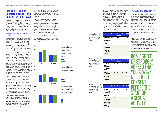

#### <span id="page-25-0"></span>RESEARCH FINDINGS: CONSENT ATTITUDES AND COMFORT WITH INTIMACY

#### Consent Attitudes: Personal Beliefs and Peer **Perceptions**

Statistical comparisons were made between genders using paired sample t-tests corrected for multiple comparisons using a post-hoc Bonferroni corrected alpha level (p = .0.004). Eleven of the school pupils who identified as non-binary gender were not included in the gender-based statistical analyses but were included in other analyses.

The vast majority of survey respondents (86%) agreed or strongly agreed that you always need to get consent before the start of a sexual activity (touching someone's breast or genitals, oral sex or sexual intercourse). However there was a gender difference in agreement (93% of females, 79% of males, and 82% of other students agreed that consent is always needed).

Six out of ten (62%) of the survey respondents agreed or strongly agreed that there should be verbal consent for any of these activities, with a smaller gender difference compared with responses to the previous item (67% of females, 58% of males, 55% of other students).

A similar percentage of students (60%) agreed that there should be non-verbal consent for any of the activities, with no gender difference (61% of females, 59% of males, and 40% of students). Significant numbers of the survey respondents chose the neutral option on these items, ranging from 12-28% across the three statements.

Fewer survey respondents agreed that 'most other teenagers' believed that consent was always needed. Just half (51%) of the students agreed or strongly agreed that other people their age believed that consent was always needed before the start of a sexual activity. There was little evidence of a gender difference in responses to this statement (54% of females, 50% of males, and 27% of other students agreed). While the percentage of non-binary students who agreed was lower, the size of this group of students was small.

The suggestion of a 'social norms gap' between personal agreement and beliefs about peers continued in responses to the statement that most other students think that there should always be verbal consent for sexual activities. Only 37% of the survey respondents agreed with this statement, with some evidence of a gender difference

*Figure 7. Percentage of male and*   $\Box$  Female

in responses as well (32% of females, 42% of males, and 27% of other students agreed). These ratings reflect a relatively low level of confidence that verbal consent is supported by peers.

Finally, 61% of the respondents agreed or strongly agreed that most other teenagers think that non-verbal consent is sometimes ok for any of the sexual activities that were described. There was no social norms gap on responses to this statement and the equivalent statement on personal beliefs. There was some evidence of a minor gender difference in beliefs about peers (67% of females, 57% of males, and 46% of other students agreed that most other teenagers think non-verbal consent is sometimes ok). A relatively large percentage of the survey respondents gave a neutral responses to the three social norms statements, ranging from 26% to 37%.





Mean N Std. **Deviation** There should be verbal consent for any of those sexual activities. 3.76 613 0.98 3.70 Most other teenagers think there should be verbal consent for any of those sexual activities. 3.15 610 0.94 3.27

*Figure 5. Percentage of male and female students who responded 'Agree' or 'Strongly Agree' to the item 'You always need to get consent before the start of a sexual activity like touching breast, genitals (penis or vulva), oral sex, or sexual intercourse'.*

**Male Female**  *Table 18. Mean agreement scores for* 

*personal attitude and social norm versions of the statement that 'You always need to get consent before the start of a sexual activity', t test by gender.*



*Table 19. Mean agreement scores for personal attitude and social norm versions of the statement 'There should be verbal consent for any of those sexual activities', t test by gender.*

*Table 20. Mean agreement scores for personal attitude and social norm versions of the statement 'Non-verbal consent for any of those sexual activities is sometimes ok', t test by* 

*gender.*

*Figure 6. Percentage of male and female students who responded 'Agree' or 'Strongly Agree' to the item 'There should be verbal consent for any of those sexual activities'.*



**Male** 

**Male** 

*female students who responded sexual activities is sometimes OK'.*

The mean agreement scores for the personal beliefs and peer perception versions of the three consent attitudes statements were compared by gender using independent t tests. There was a significant gender difference on agreement levels for the personal beliefs versions of the first two items (that consent is always required, p.005; that verbal consent is always required, p.001). There was one gender difference on perceptions of peers, with males having a higher mean score than females on the statement that most other teenagers think that verbal consent is always required (p.001).

#### Personal Comfort with Intimacy and Social Norms Perceptions of Comfort Levels

Consent applies across all forms of intimacy, but different expectations for verbal and nonverbal consent may be held depending on the type of intimacy involved. It is important to know whether personal comfort levels with different types of intimacy are consistent with expectations for what peers may expect. The survey participants were asked to indicate their level of comfort with four types of intimacy with someone they met at a house party (kissing, touching over clothes, touching under clothes, oral sex / sexual intercourse). This was intended to equate to a 'hook up' or casual encounter.

A large majority of the survey respondents indicate that they would be comfortable with kissing someone they met at a house party and expected other teenagers to feel the same way. Three of the four figures presented in Figure 8 are approximately 90%. The lowest figure in response to this item was in females' personal comfort levels, with 72% of females saying they were comfortable with kissing.

|      | <b>Males</b> Females |  |
|------|----------------------|--|
| 4.26 | 4.60**               |  |
| 3.40 | 3.37                 |  |

Mean N Std. **Deviation You always need** 4.41 613 0.82 4.26 4.60\*\* to get consent before the start of a sexual activity. Most other teenagers think you always need to get consent before the start of a sexual activity. 3.37 611 1.02 3.40 3.37

|      | <b>Males</b> Females |
|------|----------------------|
| 3.70 | $3.84**$             |
| 3.27 | 3.02                 |
|      | <b>Males</b> Females |
| 2.36 | 2.49                 |
| 2.38 | 2.29                 |

Mean N Std. Deviation  $M<sub>a</sub>$ Non-verbal consent for any of those sexual activities is sometimes OK. 2.43 610 0.93 2.36 2.49 Most other teenagers think non-verbal consent for any of those sexual activities is sometimes OK. 2.35 611 0.87 2.38 2.29

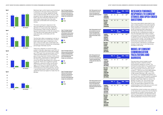Figure 11

<span id="page-26-0"></span>







*Figure 8. Percentage of males and females personally comfortable with kissing someone they had met at a house party, and who believed other teenagers were comfortable with it.*

*Figure 9. Percentage of males and females personally comfortable with touching over clothes someone they had met at a house party, and who believed other teenagers were comfortable with it.*

**Male Female** 

*Figure 10. Percentage of males and females personally comfortable with touching or masturbating genitals of someone they had met at a house party, and who believed other teenagers were comfortable with it.*

*Figure 11. Percentage of males and females personally comfortable with oral sex or sexual intercourse with someone they had met at a house party, and who believed other teenagers were comfortable with it.*







Relatively high comfort levels were maintained in response to the next intimacy behaviour of touching over clothes. Agreement levels were at approximately 75% for this item. The exception was for females' personal comfort levels. Less than half (41%) of female survey respondents responded that they were personally comfortable with touching over clothes.

#### RESEARCH FINDINGS: RESPONSES TO CONSENT STORIES AND OPEN-ENDED **QUESTIONS**

This trend continued in response to the item that referred to touching someone's genitals at a house party (e.g., fingering or masturbating). Three of the four figures in Figure 10 are between 42-55%. By comparison, 7% of female survey respondents said they were personally comfortable with this behaviour.

The final item refers to engaging in oral sex or sexual intercourse at a house party. Comfort levels were lower again in response to this item. A third of males were comfortable with this level of intimacy whereas the comparable percentage of females was 5%.

There was a disparity or social norm gap evident in females' responses to each form of intimacy, with personal comfort percentages up to 39% lower than perceived peer comfort. There was little evidence of a social norms gap among responses made by males across the four items. The final set of Tables displays the mean agreement level on each item across the survey respondents as a whole and by gender. There was a significant gender difference in personal comfort across each type of intimacy and a significant gender difference in ratings of peer comfort on two of the behaviours (touching genitals, oral sex / sexual intercourse). In each case the mean agreement level was higher for males than for females.

The survey respondents responded to two open-ended questions that were explicitly about consent communication as well as rating statements connected to consent stories and giving written responses to the stories. The ratings and comments provide the first comprehensive insight on how Irish teenagers think about consent communication and link consent principles to applied consent scenarios that feature communication issues. The findings are first presented as a model of the facilitators and barriers associated with consent communication, followed by a qualitative analysis of responses to the three stories included in the survey.

#### MODEL OF CONSENT **COMMUNICATION** FACILITATORS AND BARRIERS

The secondary school student survey asked the pupils to identify barriers and facilitators related to consent. The participants responded to two questions on consent communication (i.e., "What do you think stops people communicating about consent?"; "What do you think helps people communicating about consent"). A total of 582 students (female n=281, male n=297, non-binary n=4) completed the question on consent barriers, and 548 students completed the question regarding consent facilitators (female n=268, male n=269, non-binary n=9, gender not given n=2). The answers were typically not framed in directly personal terms, the respondents tapped into their understanding of what they saw as norms and shared beliefs about communication.

A qualitative content analysis was carried out on the responses to group the main facilitators and barriers to consent communication. The barriers and facilitators are described below, with a full description of the themes and subthemes presented at the end of this section.

*Table 21. Mean agreement scores for personal attitude and social norm versions of the statement that 'I would be comfortable kissing them', t test by gender.*

*Table 22. Mean agreement scores for personal attitude and social norm versions of the statement that 'I would be comfortable touching or feeling over their clothes', t test by gender.*

*Table 23. Mean agreement scores for personal attitude and social norm versions of the statement that 'I would be comfortable touching or feeling under their clothes', t test by gender.*

*Table 24. Mean agreement scores for personal attitude and social norm versions of the statement that 'I would be comfortable with further intimacy like oral/sexual intercourse', t test by gender*

|                                                                                  | <b>Mean</b> | N   | Std.<br><b>Deviation</b> | <b>Males</b> | <b>Females</b> |
|----------------------------------------------------------------------------------|-------------|-----|--------------------------|--------------|----------------|
| would be<br>comfortable<br>kissing them.                                         | 4.14        | 611 | 1.07                     | 4.39         | $3.88***$      |
| <b>Most other</b><br>teenagers<br>would be<br>comfortable<br>kissing them.       | 4.52        | 613 | 0.71                     | 4.51         | 4.54           |
|                                                                                  |             |     |                          |              |                |
|                                                                                  | <b>Mean</b> | N   | Std.<br><b>Deviation</b> | <b>Males</b> | <b>Females</b> |
| would be<br>comfortable<br>touching or<br>feeling over<br>t <b>heir clothes.</b> | 3.56        | 612 | 1.31                     | 4.06         | $3.02***$      |

|                                                                            | <b>Mean</b> | N   | Std.<br><b>Deviation</b> | <b>Males</b> | <b>Females</b> |
|----------------------------------------------------------------------------|-------------|-----|--------------------------|--------------|----------------|
| I would be<br>comfortable<br>kissing them.                                 | 4.14        | 611 | 1.07                     | 4.39         | $3.88***$      |
| <b>Most other</b><br>teenagers<br>would be<br>comfortable<br>kissing them. | 4.52        | 613 | 0.71                     | 4.51         | 4.54           |
|                                                                            |             |     |                          |              |                |
|                                                                            | <b>Mean</b> | N   | Std.                     | <b>Males</b> | <b>Females</b> |
|                                                                            |             |     | <b>Deviation</b>         |              |                |
| I would be<br>comfortable<br>touching or<br>feeling over<br>their clothes. | 3.56        | 612 | 1.31                     | 4.06         | $3.02***$      |

|                                                                                                             | <b>Mean</b> | N   | Std.<br><b>Deviation</b> | <b>Males</b> | <b>Females</b> |
|-------------------------------------------------------------------------------------------------------------|-------------|-----|--------------------------|--------------|----------------|
| I would be<br>comfortable<br>touching or<br>feeling under<br>their clothes.                                 | 2.73        | 612 | 1.37                     | 3.45         | $1.92***$      |
| <b>Most other</b><br>teenagers<br>would be<br>comfortable<br>touching or<br>feeling under<br>their clothes. | 3.46        | 613 | 1.01                     | 3.64         | $3.28***$      |
|                                                                                                             |             |     |                          |              |                |
|                                                                                                             | --          |     |                          | -- -         |                |



 $2.71***$ 

|                                                                                                                      | <b>Mean</b> | N   | Std.<br><b>Deviation</b> | <b>Mal</b> |
|----------------------------------------------------------------------------------------------------------------------|-------------|-----|--------------------------|------------|
| I would be<br>comfortable<br>with further<br>intimacy like<br>oral/sexual<br>intercourse.                            | 2.30        | 612 | 1.39                     | 3.02       |
| <b>Most other</b><br>teenagers<br>would be<br>comfortable<br>further<br>intimacy like<br>oral/sexual<br>intercourse. | 2.97        | 613 | 1.12                     | 3.20       |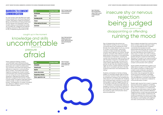

#### <span id="page-27-0"></span>BARRIERS TO CONSENT **COMMUNICATION**

Six main barriers were identified that might prevent people from communicating about consent, described in Table 25 and Figure 1. Being uncomfortable and being afraid were the two themes most frequently cited by students. Being uncomfortable was made up of smaller sub-categories that referred to feeling awkward (n=152), embarrassed (n=113), or experiencing discomfort (n=31).

| <b>Theme</b>                           | <b>Percentage of students</b> |
|----------------------------------------|-------------------------------|
| <b>Uncomfortable</b>                   | 47.1                          |
| Afraid                                 | 46.6                          |
| <b>Knowledge and skills</b>            | 20.3                          |
| <b>Pressure</b>                        | 11.7                          |
| <b>Getting caught up in the moment</b> | 8.9                           |
| <b>Social norms</b>                    | 4.8                           |
|                                        |                               |

| <b>Theme</b>                        | <b>Percentage of students</b> |
|-------------------------------------|-------------------------------|
| <b>Being judged</b>                 | 33.9                          |
| <b>Ruining the mood</b>             | 24.4                          |
| <b>Rejection</b>                    | 20.7                          |
| <b>Insecure, shy or nervous</b>     | 18.1                          |
| <b>Disappointing or offending</b>   | 12.9                          |
| <b>Violence, aggression or rape</b> | 3.3                           |

*Table 25. Percentage of students coded for the main barriers to consent communication.* 

*Figure 12. Word cloud of barriers* 

*identified in response to the question "What do you think stops people communicating about consent".*

*Figure 13. Word cloud of factors associated with the category of 'Afraid' as a barrier to communicating about consent.*

*Table 26. Percentage of students coded for 'Afraid' who were coded for subthemes..*

These unpleasant feelings of being 'uncomfortable' were matched by being afraid, which encompassed negative beliefs associated with consent communication. The comments associated with being afraid reflected an insecurity in communicating about consent. The students described negative consequences of open consent communication that could be anticipated, such as ruining the mood, disappointing, upsetting or offending the partner, being rejected or judged by their partner or peers. A small number of students noted fears about violence, anger, or rape as communication barriers. The breakdown of number of students who referred to different aspects of being afraid is referred to below.

Fear of disappointing the partner was often linked to wanting to say no but being concerned about the consequences. More females than males referred to this as a barrier to consent communication, while similar numbers of males and females identified concerns about rejection as a barrier. Female students' comments often referred to people being afraid of the impact on the relationship if the partner is turned down, including the concern that the partner might not want to be with the person anymore or would like them if they were told no. Although comments from male students reflected fears about losing a partner as well, they also stated that people might not ask for consent explicitly and would rather rely on nonverbal cues due to the fear of being turned down and awkwardness with talking.

Students commented on the fear of being judged. For example, people might be afraid of a partner's reaction if they did not want to do something or wanted to do something the other person is not comfortable with. Students also mentioned there could be a concern with being judged or getting slagged by peers for not wanting to have sex or for wanting to do it. This related to a perceived peer pressure to engage in intimacy, consisting of a pressure to be sexually active because of the perception that their peers are sexually active. This could be a barrier to open communication about personal preferences.

Many students remarked that communicating about consent could be awkward or lead to an uncomfortable situation. Students commented that people are easily embarrassed because they are unsure about what to say or do. Furthermore, consent and sex were identified by some students as a taboo topic in society. This could contribute to awkwardness about the topic, preventing people asking for consent but also limiting discussion of consent in non-sexual situations. Additionally, people might not know enough about consent or know how to approach consent communication with a partner.

Some students remarked that consent is not talked about enough in school RSE and that the societal constraints on talking about consent could contribute to discomfort and awkwardness in communicating. In this context, they recognised the need to further promote awareness, knowledge, and confidence to communicate consent. This was reflected in comments that people might not see it as important or relevant to communicate about consent.

People might assume that consent is ongoing because the partner agreed to something else or because sexual intimacy is perceived as the norm, if someone is in a relationship, or because the other person does not speak up themselves. Other comments referred to forgetting about consent because people get caught up in the moment. Furthermore, the students recognised that alcohol and drugs are barriers to consent and that being under the influence could interfere with judgment and clear communication of boundaries.

### ruining the mood disappointing or offending

### insecure shy or nervous violence agression or rape rejection being judged

caught up in the moment

#### knowledge and skills uncomfortable pressure social norms

afraid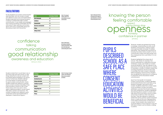*52 53*

#### FACILITATORS

Six key facilitators of consent communication were identified, with the number of pupils who referred to each one summarised below. Students reported that knowing the person or being in a relationship helps consent communication. It was widely acknowledged that trusting and being comfortable with the other person helps openness and honesty about what one is comfortable doing and discussing consent with the partner.

| <b>Theme</b>                   | <b>Percentage of students</b> |
|--------------------------------|-------------------------------|
| <b>Good relationship</b>       | 40.0                          |
| Confidence                     | 26.1                          |
| <b>Communication</b>           | 25.0                          |
| <b>Awareness and education</b> | 20.8                          |
| <b>Talking</b>                 | 17.3                          |
| <b>Talking to others</b>       | 5.8                           |

| <b>Sub-Theme</b>             | <b>Percentage of students</b> |
|------------------------------|-------------------------------|
| <b>Openness</b>              | 73.5                          |
| <b>Knowing the person</b>    | 36.1                          |
| <b>Feeling comfortable</b>   | 31.5                          |
| <b>Confidence in partner</b> | 16.4                          |
| <b>Honesty</b>               | 8.7                           |
| <b>Taking things slow</b>    | 7.8                           |
| <b>Respect</b>               | 3.7                           |
| <b>Privacy</b>               | 2.7                           |

*Table 27. Percentage of students coded for the main facilitators to consent communication.*

*Table 28. Percentage of students coded for 'Good relationship' theme who were coded for sub-themes.*

*Figure 14. Word cloud of key facilitators identified in response to the question "What do you think helps people communicating about consent".* *Figure 15. Word cloud of factors associated with the category of 'good relationship' as a barrier to communicating about consent.*

confidence talking awareness and education communication good relationship

talking to others

Students highlighted the unique role of schools. They stated, for example, that school is perceived as a safe place and that workshops, surveys, and classes on consent would be beneficial. They also referred to the importance of having the capacity to consent. For example, a number of students stated that not being impaired by alcohol would make it more likely that clear consent is obtained before engaging in sexual activity. Students also recognised the importance of confidence in using both active and passive consent communication.

Students stated that it would help to be on the same page with their partner, to take things slowly and to discuss consent and boundaries before engaging in any sexual activity. Furthermore, students referred to mutual respect as being important for good consent communication. Some students stated that talking to a partner about consent would be more likely if they knew the person would not talk to their friends about what was said or done, again underlining students' concern about their peers' opinions and reactions. The number of students who referred to each component of the 'Good relationship' is displayed in Table 28 and Figure 4.

#### opennesty<br>Opennesty<br>honesty respect confidence in partner knowing the person feeling comfortable privacy taking things slow

Moreover, students recognised that having knowledge, understanding and skills would facilitate communication, making consent more approachable and easier to address themselves. They stressed the importance of knowing more about what consent is, how to communicate consent with their partner, and the consequences that could follow if it is not obtained.

Apart from the benefit of immediate consent communication, students identified environmental factors that could help young people to engage in discussions about consent. Students stated that consent needs to be normalised in society and openly addressed, a process that should commence from early adolescence. Students highlighted that learning about consent in school could help reduce the social taboo around consent and prompt students to think more about the topic. They also referred to media and stated that active, positive consent should be shown in media as the norm. Representation in the media would prompt conversations on consent. Some students also stated that it would be helpful to have someone to ask and talk about consent, such as friends, a sibling, or parents.

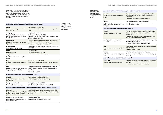Media as facilitator of talking about consent (e.g., YouTube porn)

People talking about the topic of consent or the importance consent

Talking to others: Having a support network and so

| Good relationship: Knowing the other person, being in a relationship, having a good relationship                                       |                                                                                                                                             | Table 29. Description of the<br>consent facilitator themes 'Good  |
|----------------------------------------------------------------------------------------------------------------------------------------|---------------------------------------------------------------------------------------------------------------------------------------------|-------------------------------------------------------------------|
| <b>Openness</b>                                                                                                                        | "Open, non-judgemental conversations" (SE64F)                                                                                               | relationship, 'Communication'<br>and 'Confidence', including sub- |
| Being open about consent, feelings, concerns helps with<br>consent communication                                                       | "If one person in the relationship opened up about it or asked the person they are with"<br>(SB18M)                                         | themes and examples.                                              |
| Knowing the person                                                                                                                     | "Having a healthy relationship" (SC161F)                                                                                                    |                                                                   |
| Having a good quality relationship with the other person                                                                               | "Knowing each other well. Talking about it" (SC126M)                                                                                        |                                                                   |
| helps, being in a relationship, being close, being friends, or<br>knowing the other person                                             | "If they know each other better, it would be easier to talk about consent. It would be more<br>difficult with somebody you just met" (SB2M) |                                                                   |
| <b>Feeling comfortable</b>                                                                                                             | "Feeling comfortable with the person you're being intimate with is important so that you                                                    |                                                                   |
| Being comfortable in the situation or with the person would                                                                            | don't feel pressured to do anything you don't want to" (SE68F)                                                                              |                                                                   |
| help communicating consent                                                                                                             | "Feeling comfortable and accepted by the person they're with" (SB32M)                                                                       |                                                                   |
| <b>Confidence in partner</b><br>Trust as foundation of communicating consent                                                           | "Trust with each other, if both people are going slow and no pressuring the other and going<br>too fast" (SE29F)                            |                                                                   |
| Honesty                                                                                                                                | "Being straight up" (SB36M)                                                                                                                 |                                                                   |
| Honesty helps with consent                                                                                                             | "Being open and honest with your partner" (SC12F)                                                                                           |                                                                   |
| <b>Taking things slow</b><br>Slowing things down as an aid to consent, taking a break<br>after kissing                                 | "To move slower and don't just rush into everything" (SE42M)                                                                                |                                                                   |
| Respect                                                                                                                                | "Mutual respect and concern for them" (SE132M)                                                                                              |                                                                   |
| Respecting the other person / mutual respect is helpful for<br>consent                                                                 | "Thinking about how you would feel as the other person, and respect their choice" (SA84F)                                                   |                                                                   |
| <b>Privacy</b>                                                                                                                         | "Keeping your personal life private from others to avoid pressure from friends" (SA68F)                                                     |                                                                   |
| If the partner would not tell their friends about what they did,<br>the importance of privacy and confidentiality                      | "If the other person keeps what happens private, they don't disclose anything to their<br>friends" (SA81F)                                  |                                                                   |
|                                                                                                                                        | "Talking about it privately" (SB23M)                                                                                                        |                                                                   |
| Confidence: Consent communication are supported by confidence and capacity                                                             |                                                                                                                                             |                                                                   |
| <b>Confidence</b>                                                                                                                      | "If they're comfortable with the person. Confidence" (SA80F)                                                                                |                                                                   |
| Having the confidence or not being afraid to talk about<br>consent would help                                                          | "Confidence and being comfortable in the relationship" (SDB11M)                                                                             |                                                                   |
| <b>Capacity to consent by being sober</b>                                                                                              | "Obviously if you are both sober, it helps" (SA143F)                                                                                        |                                                                   |
| Being sober contributes to consent communication                                                                                       | "Being sober, calm and just talk and make sure about everything" (SDB9M)                                                                    |                                                                   |
|                                                                                                                                        | Communication: Being on the same page with the partner, communication with the partner in general or about rules / boundaries               |                                                                   |
| Communication                                                                                                                          | "Having a more open relationship, expressing your concerns with your partner" (SE2M)                                                        |                                                                   |
| Talking about consent / boundaries with partner helps, talking<br>to your partner, being vocal, expressing concerns to your<br>partner | "Being patient, understanding, having a talk with your partner about what your boundaries<br>are" (SA126F)                                  |                                                                   |
| Being on the same page, agree on rules / boundaries                                                                                    | "If they feel the same way" (SDA9M)                                                                                                         |                                                                   |
| It is easier to communicate if both people are on the same<br>page either about sex or consent                                         | "Starting off a thing or relationship explaining boundaries" (SA139F)                                                                       |                                                                   |

#### Awareness

The need to achieve awareness and understanding about consent

#### Education

Using the school setting or consent education to promote awareness, through RSE, classes, surveys like this, or learn about consent

#### Talking: Normalising consent and open discussion

Normalise

Talking about / asking for consent should be normal

| n are supported by awareness and education |                                                                                                                                                                                                                 |  |  |  |
|--------------------------------------------|-----------------------------------------------------------------------------------------------------------------------------------------------------------------------------------------------------------------|--|--|--|
|                                            | "People need to be made more aware of how consent applies in different situations<br>and make it an approachable topic. People need to know when consent is/isn't given +<br>UNDERSTAND" (SC67F)                |  |  |  |
|                                            | "Raising awareness about consent helps people communicate" (SA106F)                                                                                                                                             |  |  |  |
|                                            | "Surveys like this, Laws on it, Asking Consent, Education on it" (SA1F)                                                                                                                                         |  |  |  |
| ning                                       | "Teaching students in secondary schools might make it a more approachable topic in<br>conversations with partners" (SB41M)                                                                                      |  |  |  |
|                                            | in relationships or society                                                                                                                                                                                     |  |  |  |
|                                            | "If you say it like it's not a big deal instead of just whispering it or something it makes<br>the topic a lot less daunting. You can make it a casual conversation to make people more<br>comfortable" (SE41F) |  |  |  |
|                                            | "If it was a topic that was made more normal and talked about more frequently then it<br>would come up in conversation and be discussed" (SB20M)                                                                |  |  |  |
| лiс                                        | "If someone starts the conversation first people find it easier to talk about it as people don't<br>want to bring that topic up first" (SA12F)                                                                  |  |  |  |
|                                            | "Like someone isn't afraid to talk about Start the conversation" (SC140M)                                                                                                                                       |  |  |  |
| , TV,                                      | "If people were to see ads around the place to make it more normalised it would be easier<br>to talk about" (SE181M)                                                                                            |  |  |  |
|                                            | "Social media can talk about it" (SC109M)                                                                                                                                                                       |  |  |  |
|                                            | "Raising awareness about consent helps people communicate" (SA106F)                                                                                                                                             |  |  |  |
| e of:                                      | "Greater awareness for issues surrounding consent. More conservations involving young<br>people" (SB38M)                                                                                                        |  |  |  |
|                                            | omeone you trust to talk to                                                                                                                                                                                     |  |  |  |
|                                            | "School, having someone in your life that can communicate, such as a parent or brother/<br>sister" (SE65M)                                                                                                      |  |  |  |

#### Someone / something that starts the conversation

It would help if someone / something else prompts the top

#### Media

#### Awareness

#### Talking to others

Someone trustworthy to talk to, such as friends or family

"Talking to someone who will understand and not slag you" (SC13M)

*Table 30. Description of the consent facilitator themes 'Awareness and education', 'Talking', and 'Talking to others', including sub-themes and examples.*

#### Awareness and education: Consent communication

Taken together, the categories and themes developed as a result of the qualitative analysis provide a unique model of consent communication. This model is set out below, grounded in relevant examples from the students.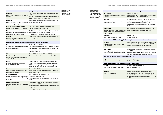Lack of knowledge or education as a reason that stops consent communication

A person might not see the need for consent communication, they do not need to ask, that the other person feels the sam consent carries forward

Peer pressure or peer norms influence the decision to ask for consent or saying no / yes

References to pressure in general or pressure on a person, someone feels that they have to do something or that they of say no

Getting caught up in the moment: The impact of the

Consent is a difficult, taboo topic which it makes it difficult t communicate about it

|                                                                                                                                                            | Uncomfortable: Perception of awkwardness or embarrassing feelings with the topic or situations, which can result in discomfort                                                                | Table 31. Description of the<br>consent barrier themes |
|------------------------------------------------------------------------------------------------------------------------------------------------------------|-----------------------------------------------------------------------------------------------------------------------------------------------------------------------------------------------|--------------------------------------------------------|
| <b>Awkwardness</b><br>References to consent as awkward, concerns about awkwardness                                                                         | 'Uncomfortable' and 'Afraid'.<br>"They don't want to make things awkward between the two people if someone says no"<br>including sub-themes and<br>(SE7M)                                     |                                                        |
| after saying no                                                                                                                                            | "They might think that the other may not want to talk about it or they might think it would<br>be awkward to talk about or it might be awkward after" (SA56F)                                 | examples.                                              |
| <b>Embarrassment</b>                                                                                                                                       | "Embarrassment. Fear of being considered a prude or a slut. Fear of retribution or eager of<br>the other party. Self-image" (SA145F)                                                          |                                                        |
| References to embarrassment of not wanting to do something, in<br>wanting to do something, or in asking                                                    | "Embarrassment, Nervous, Don't want to ruin the moment. They just go with it" (SB43M)                                                                                                         |                                                        |
| Lack of trust/comfort (not knowing the person)                                                                                                             | "They don't think they need to. Not knowing the other person well" (SB12M)                                                                                                                    |                                                        |
| Lack of trust or closeness in a relationship as barrier to consent                                                                                         | "Don't know the person well enough to say no" (SA29F)                                                                                                                                         |                                                        |
| Relying on non-verbal consent as a consequence<br>References to nonverbal consent as a barrier that people rely on                                         | "People like giving hints more than telling directly or saying the obvious, sometimes it<br>can be embarrassing to say it directly or it might feel awkward" (SB1M)                           |                                                        |
| nonverbal consent to avoid uncomfortable situations                                                                                                        | "In case it gets awkward when asking, they'll just show signals instead" (SA137F)                                                                                                             |                                                        |
| <b>Discomfort</b><br>People being uncomfortable asking for consent or afraid of an                                                                         | "People may become uncomfortable about talking about it. It depends on who you are<br>communicating to"(SA89F)                                                                                |                                                        |
| uncomfortable situation                                                                                                                                    |                                                                                                                                                                                               |                                                        |
| Afraid: Concerns and fears about consequences perceived to be related to asking for consent or speaking up                                                 |                                                                                                                                                                                               |                                                        |
| <b>Being judged</b>                                                                                                                                        | "You don't want to look stupid" (SB40M)                                                                                                                                                       |                                                        |
| The fear of being judged or slagged by the partner or peers stops<br>people communicating about consent                                                    | "They feel like people may slag/talk about it if they say no. It is generally "accepted" that if<br>you're in a relationship you want to have sex with the person, which isn't right" (SC99F) |                                                        |
|                                                                                                                                                            | "What their friends will think if they don't have sex. They might be embarrassed if it's with<br>a person you just met" (SC25F)                                                               |                                                        |
| <b>Ruin the mood</b>                                                                                                                                       | "Some people don't want to interrupt or ruin the moment" (SDB5M)                                                                                                                              |                                                        |
| People might be afraid of the consequences of talking about<br>consent, for ruining the moment, ruining or killing the mood, or<br>changing the atmosphere | "It may make a situation awkward and take away from the atmosphere" (SA93F)                                                                                                                   |                                                        |
| Rejection                                                                                                                                                  | "People don't talk about consent because they  are afraid of being told no" (SE112F)                                                                                                          |                                                        |
| People being afraid to be told no if they ask for consent or afraid                                                                                        | "People don't want to ruin the relationship, hurt their feelings or look uncool" (SA61F)                                                                                                      |                                                        |
| to say no if they are asked for consent                                                                                                                    | "I think the atmosphere might change with asking for consent.  causing second<br>thoughts about things like the outcomes which were not thought of before" (SB44M)                            |                                                        |
| Insecure, shy or nervous                                                                                                                                   | "They are too shy to ask" (SC36M)                                                                                                                                                             |                                                        |
| Insecurity in general about consent communication or that a<br>person might be scared, nervous or shy                                                      | "Because sometimes they are afraid to be talking about all these type of things to their<br>friends and families" (SE151F)                                                                    |                                                        |
| <b>Disappointing or offending</b>                                                                                                                          | "They are afraid of how the other person will react" (SE31M)                                                                                                                                  |                                                        |
| People might be afraid of the other person's reaction to consent                                                                                           | "Fear of upsetting the other person" (SA75F)                                                                                                                                                  |                                                        |
| communication, such as disappointment, offending or upsetting<br>the other person                                                                          | "If one person wants to do it and the other doesn't want to disappoint them/anger them"<br>(SA126F)                                                                                           |                                                        |
| Afraid of violence or aggression                                                                                                                           | "Being embarrassed, nervous or pressured or people being too sexually aggressive and<br>not caring- not a good buzz" (SB32M)                                                                  |                                                        |
| References to concerns about violence, anger or rape as a barrier<br>to say no                                                                             | "People are afraid that the situation they are in may get worse than it already is, physical<br>or aggressive" (SA131F)                                                                       |                                                        |
|                                                                                                                                                            | "Fear of bullying/threats/danger from the other person/friends" (SA68F)                                                                                                                       |                                                        |

#### Lack of knowledge

#### Lack of skills

Now knowing how, when, or how often to talk about consent impedes communication about it

#### Not seeing the need

#### Alcohol / drugs

References to drugs or alcohol as barriers to consent

#### Pressure: Feeling some kind of pressure to engage in

#### Peer pressure

|                    | communicate about consent due to knowledge, skills, recognition, or capacity                                                                                                                                                                                                         |
|--------------------|--------------------------------------------------------------------------------------------------------------------------------------------------------------------------------------------------------------------------------------------------------------------------------------|
|                    | "Uneducated about consent" (SA112F)                                                                                                                                                                                                                                                  |
| sent               | "Unawareness of the fact that they can say no and that is ok. People being embarrassed<br>to see them interested in having a sex being intimate" (SA68F)                                                                                                                             |
|                    | "Not sure what to ask and how to say no. Not sure when / how often to ask" (SE62F)                                                                                                                                                                                                   |
| nt                 | "Teenaged boys tend to think it's not necessary,  Some of my friends wouldn't know<br>how to communicate with sexual partners regarding consent" (SA13F)                                                                                                                             |
|                    | "It can be an awkward question. Unsure of what you need to ask and how you ask for it"<br>(SDA3M)                                                                                                                                                                                    |
|                    | "When they know the person they don't think they have to ask for consent" (SA108F)                                                                                                                                                                                                   |
| on, that<br>ne, or | "The other person assumes that they already have their consent" (SB61M)                                                                                                                                                                                                              |
|                    | "Being drunk" (SC150F)                                                                                                                                                                                                                                                               |
|                    | "Alcohol, peer pressure" (SC34F)                                                                                                                                                                                                                                                     |
|                    | in intimacy and negative influences on open consent communication                                                                                                                                                                                                                    |
| for                | "Inexperience. Some people get slagged off by their friends for not being sexually active<br>so therefore they give consent just to do what other teenagers do (sex)" (SE13M)                                                                                                        |
|                    | "If people are doing it in order to keep up to impress their friends" (SC11F)                                                                                                                                                                                                        |
| that               | "Feelings or how you feel towards a person can sometimes pressure you into being<br>intimate" (SA110F)                                                                                                                                                                               |
| cannot             | "You could be slightly intimidated by the person you're with. You might be seen as stuck<br>up. you may still like someone but not want to go as far as they do" (SA136F)                                                                                                            |
|                    | situation, eagerness or desire                                                                                                                                                                                                                                                       |
|                    | "They might be caught up in the moment or just trying to impress their partner" (SA60F)<br>"Being horny. Loosing focus" (SE158M)                                                                                                                                                     |
|                    | tal perceptions of consent communication                                                                                                                                                                                                                                             |
|                    | "It's a taboo and triggering for certain people" (SA130F)                                                                                                                                                                                                                            |
| ∶to                | "Social taboo, embarrassment" (SDB2M)                                                                                                                                                                                                                                                |
|                    | "They mightn't be comfortable doing so. Old views and opinions" (SDB10M)                                                                                                                                                                                                             |
|                    | "Pressure, social norms and expectations. People push themselves to be intimate<br>because they felt that their partners want to or that they should have sex by a certain<br>age. They can put pressure on themselves to do something they aren't necessarily ready<br>for" (SC30F) |

#### Feeling pressured

#### Caught up in the moment

Emotions and desire having an impact on decision-making

#### Social norms: Beliefs about other people's or societ

#### Taboo topic

#### Social norms

References to societal or social norms

*Table 32. Description of the consent barrier themes 'Knowledge and skills', 'Pressure', 'Getting caught up in the moment', and 'Social norms', including sub-themes, and examples.*

#### Knowledge and skills: Concern about the ability to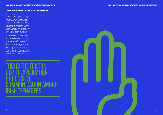Little attention has been given to date on understanding the process that underlies judgements of consent. This analysis of responses to consent stories explores how young people make judgements of consent and non-consent in the context of communication issues and dilemmas. It uses quantitative and qualitative analysis to explore the frequency of use and salience of the information cues presented across three stories. It also examines how information cues contained in the stories were combined and integrated.

The analysis gives us an insight into the distinctive narratives that emerged when young people were asked to make sense of consent issues. Both positive and negative implications arose from the findings, illustrating the strengths and capacity of young people to identify and critically analyse consent while raising concerns about the continued acceptance of scenarios where consent is not ongoing, mutual or freely given. These findings help to direct our future priorities and campaigns on awareness raising and education.

#### CONSENT COMMUNICATION STORIES: QUALITATIVE RESEARCH ANALYSIS

### THIS IS THE FIRST IN-DEPTH EXPLORATION OF CONSENT COMMUNICATION AMONG IRISH TEENAGERS

and the contract of the contract of the contract of the contract of the contract of the contract of the contract of



*ACTIVE\* CONSENT FOR SCHOOL COMMUNITIES: OVERVIEW OF THE SCHOOLS PROGRAMME AND RESEARCH FINDINGS*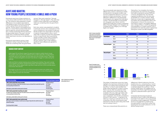#### <span id="page-32-0"></span>AOIFE AND MARTIN: HOW YOUNG PEOPLE DESCRIBE A SMILE AND A PUSH

Participants read one of three variations on a story about Aoife and Martin who had oral sex. The variations were presented to assess differences in how students responded to cues related to each of the story characters. In each version Martin was the initiator of oral sex. The first version is the baseline story (Story 1), in which Martin pushed Aoife's head down to give him oral sex and she smiled. Story 2 further emphasises Martin's behaviour. He gave Aoife's head a "firm push" and she smiled. Story 3 stated that Martin pushed Aoife's head down and she is not described as smiling.

Participants responded by giving a Likert agreement rating in response to the item "Aoife was consenting when she gave Martin

oral sex" (five-point scale from "'Strongly Disagree' to 'Strongly Agree'"). They were then invited to write a response to the statement 'Aoife was consenting when she gave Martin oral sex'.

Each story version was presented to students in particular schools. One consequence of this was an imbalance in the number of male and female students who responded to the stories. A majority of respondents to Story 1 and 3 were male. A majority of those who responded to Story 2 were female. Mean quantitative ratings of Aoife's consent were consistently higher among males across all three of the story versions, with a t test yielding a significant mean difference by gender for Story 1 and 3.

The young people were responsive to the different story versions, indicating an ability and sensitivity to recognise consent cues and form judgements relevant to a hook up scenario in a party environment. This was reflected in differences in the percentage of participants who agreed that Aoife gave consent. The percentage of young people who disagreed, were neutral, and who agreed that Aoife gave consent is presented below ('Strongly Disagree' and 'Disagree' are compiled into one category, as is 'Strongly Agree' and 'Agree').

All participants **Agree** Female participants Agree **Male participants** Agree

Taking Story 1 as a baseline, the majority of participants who read this story agreed that Aoife consented to oral sex (75%) and a minority disagreed (7%). This indicates a general acceptance that this story was acceptable as a consent scenario. While there was a lower rate of agreement (62%) and higher rate of disagreement (15%) in the ratings given on Story 2, this scenario too had majority support. The biggest difference was in ratings of Story 3, which was generally unacceptable as a consent scenario; 21% of participants who read this version agreed that Aoife gave consent and 58% disagreed.

The pattern of responses across story types highlights the importance attributed to Aoife smiling or not smiling. Most participants who read Story 1 or Story 2 were satisfied that Aoife's smile indicated her consent to giving Martin oral sex after he pushed her head down, taking into account the other cues available in the story. Although Aoife's smile could be interpreted differently – that she was in agreement, that she felt committed to intimacy, or felt coercion – it seemed to be taken by a majority to indicate that she was consenting. One-fifth of participants were prepared to make the same rating when Aoife was not smiling in Story 3.

There was comparatively little sensitivity to

differences in Martin's behaviour from the baseline story (i.e., comparing Story 1 and 2). A majority of participants agreed that Aoife consented despite him 'pushing' or 'firmly pushing' Aoife's head. This suggests lack of awareness that Martin might have physically coerced or pressured Aoife to give him oral sex.

Compared with the physical pressure exercised by Martin, Aoife's smile appears to have been more salient to the young people formulating consent judgements. This places the focus of judgement on Aoife having the responsibility to stop Martin rather than requiring him not to exert pressure or on the decision being mutual.

| <b>Alternative story endings</b>                                                                                                                                                                                                                                                            | <b>Number of participants, by gender</b>                                  |
|---------------------------------------------------------------------------------------------------------------------------------------------------------------------------------------------------------------------------------------------------------------------------------------------|---------------------------------------------------------------------------|
| STORY 1: Martin pushed Aoife's head, she smiled<br>He undid her jeans and began to finger Aoife, then undid his trousers and showed that he wanted Aoife to give him<br>oral sex by pushing her head down a bit.                                                                            | 189 people read Story 1:<br>38.7% female<br>57.5% male<br>3.8% non-binary |
| Aoife looked up, smiled at Martin and then gave him a blow job.                                                                                                                                                                                                                             | 1.6% did not specify                                                      |
| STORY 2: Martin pushed Aoife's head firmly, she smiled<br>He undid her jeans and began to finger Aoife. Then undid his trousers and showed that he wanted Aoife to give him<br>oral sex by pushing her head down firmly.<br>Aoife looked up, smiled at Martin and then gave him a blow job. | 208 people read Story 2:<br>69.7% female<br>29.3% male<br>1.0% non-binary |
| STORY 3: Martin pushed Aoife's head, she did not smile<br>Martin began to touch her intimately; he undid her jeans and began to finger Aoife, then undid his trousers and<br>pushed her head down.                                                                                          | 216 people read Story 3:<br>32.4% female<br>66.7% male                    |
| Then Aoife gave Martin a blowjob.                                                                                                                                                                                                                                                           | 1.0% non-binary                                                           |

|                 | Story1 | <b>Story 2</b> | <b>Story 3</b> |
|-----------------|--------|----------------|----------------|
| Agree           | 74.6   | 61.5           | 21.4           |
| Neutral         | 18.5   | 23.6           | 20.5           |
| <b>Disagree</b> | 6.9    | 14.9           | 58.1           |
| Agree           | 66.7   | 58.6           | 2.9            |
| Neutral         | 23.6   | 24.1           | 17.1           |
| Disagree        | 9.7    | 17.2           | 80.0           |
| Agree           | 81.3   | 68.9           | 30.8           |
| Neutral         | 14.0   | 23.0           | 22.4           |
| <b>Disagree</b> | 4.7    | 8.2            | 46.9           |

#### *Table 33. Alternative story endings for Aoife and Martin Story 1-3.*

*Table 34. Summary of quantitative rating responses to the statement 'Aoife was consenting when she gave Martin oral sex', for all participants* 

*and by gender.*

Aoife (aged 15) and Martin (aged 16) were both invited to Aoife's friend's house. The parents were away for the weekend with an older sister left in charge. Martin and Aoife had not met before. He was there with one of Aoife's friends. There was a group of friends altogether and each had almost a naggin of vodka during the evening.

Aoife and Martin started messing around, flirting and chatting. They went outside to be together and Martin started kissing Aoife. Then Martin started to touch Aoife under her top. Martin asked Aoife to go back inside with him to find a private space to be alone. She said OK.

She began to kiss him on the couch. Martin moved his hands onto Aoife's lower body. Then Martin took her by the hand and brought her to one of the bedrooms. Martin began to touch her intimately.

#### SHARED STORY CONTENT



*Figure 16. Percentage of survey respondents who agreed that Aoife consented to giving Martin oral sex,* 

*by gender.*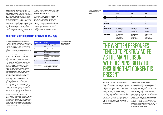*62 63*

A gender pattern was apparent in the quantitative ratings of Aoife's consent, and is particularly relevant given that there was some imbalance in the gender of participants who read each story. Across all three stories, a greater percentage of male participants rated Aoife as consenting, with a gender gap in the percentage of those who agreed of 15% for Story 1, 10% for story 2, and 28% for Story 3. This suggests a greater tolerance among male participants overall for Martin pushing Aoife's head, and less responsiveness to whether Aoife gave any verbal or non-verbal response to Martin's push. Four-fifths of males who read Story 1 rated Aoife as consenting compared

with two-thirds of females. A quarter of males who read Story 3 rated Aoife as consenting, compared with 3% of females.

Nonetheless there were similarities in ratings by gender as well. In response to Story 1, relatively few males (5%) or females (10%) disagreed that Aoife gave her consent to giving oral sex. In addition, significant numbers of male and female students gave a neutral rating of Aoife's consent in response to each story. It was relatively common for young people to be unsure or conflicted as to whether the story reflected a consent scenario.

#### AOIFE AND MARTIN QUALITATIVE CONTENT ANALYSIS

Six content categories were devised for a content analysis coding scheme of the written responses following a review of the content. The categories were reviewed by comparing interrater reliability across a sample of 20% of the responses. There was a concordance of 80% in coding. The categories were refined and the data set was coded by two of the researchers.

A majority of participants were either not coded to any category (e.g., if no written response was made or if the response could not be interpreted to refer to any category) or to one category. Approximately onethird of the participants were coded to two categories. The percentage of participants coded to three or more categories differed according to the story version that was read, with Story 1 attracting fewer complex written responses than Story 2 or 3. This suggests a greater level of processing arising from making sense of Martin's firm push and Aoife not giving any signal that could be interpreted as non-verbal consent.

The focus on Aoife as the main agent of responsibility in the story is apparent in the coding of written participant responses. Over 80% of participants referred to Aoife in discussing Story 1 and 2, and nearly twothirds referred to Aoife in response to Story 3. Martin's role in Story 1 was referenced by only one-fifth of respondents to Story 1, growing to one-third and nearly one-half of participants who responded to Story 2 and 3, respectively.

This difference indicates a higher level of interest in Martin's behaviour when the baseline story was complicated through higher levels of force and an absence of Aoife's response to being pushed. Similarly, compared with Story 1, higher percentages of participants responding to Story 2 and 3 were coded to the remaining categories (alcohol, verbal consent, age).

| <b>Content categories</b> | <b>Definition</b>                                                                                              | Table 35. Qualitative content<br>analysis categories for the |  |
|---------------------------|----------------------------------------------------------------------------------------------------------------|--------------------------------------------------------------|--|
| Aoife                     | Aoife is attributed causality in relation to<br>oral sex.                                                      | Aoife and Martin story.                                      |  |
| <b>Martin</b>             | Martin is attributed causality in relation to<br>oral sex.                                                     |                                                              |  |
| <b>Alcohol</b>            | Alcohol is referred to as an important factor in<br>relation to consent.                                       |                                                              |  |
| Age                       | Age is referenced as a factor in whether there<br>was consent.                                                 |                                                              |  |
| <b>Verbal</b>             | The need for verbal consent is described as<br>being important to consent.                                     |                                                              |  |
| <b>Multiple responses</b> | The number of consent categories that are<br>coded for each participant's qualitative<br>response (range 1-5). |                                                              |  |

| <b>Content categories</b>  | <b>Participants coded to the content category (%)</b>                            |                                                                                   |                                                                                   |  |
|----------------------------|----------------------------------------------------------------------------------|-----------------------------------------------------------------------------------|-----------------------------------------------------------------------------------|--|
|                            | Story 1                                                                          | Story 2                                                                           | <b>Story 3</b>                                                                    |  |
| Aoife                      | 85.7                                                                             | 82.7                                                                              | 63.4                                                                              |  |
| <b>Martin</b>              | 22.8                                                                             | 34.1                                                                              | 45.8                                                                              |  |
| <b>Alcohol</b>             | 21.2                                                                             | 28.4                                                                              | 30.1                                                                              |  |
| <b>Verbal consent</b>      | 6.9                                                                              | 15.9                                                                              | 12.5                                                                              |  |
| Age                        | 1.6                                                                              | 3.4                                                                               | 8.8                                                                               |  |
| <b>Multiple categories</b> | 0-1 categories: 63.0<br>2 categories: 31.7<br>3+ categories: 5.3                 | 0-1 categories: 49.0<br>2 categories: 33.2<br>3+ categories: 17.8                 | 0-1 categories: 52.3<br>2 categories: 29.2<br>3+ categories: 18.5                 |  |
| <b>Aoife's consent</b>     | Non-consensual: 9.0<br>Neutral: 13.2<br>Consensual: 52.4<br>Undeterminable: 25.4 | Non-consensual: 16.8<br>Neutral: 23.6<br>Consensual: 45.2<br>Undeterminable: 14.4 | Non-consensual: 52.3<br>Neutral: 11.1<br>Consensual: 17.6<br>Undeterminable: 19.0 |  |

*Table 36. Percentage of participants coded to each content analysis category.*

> The qualitative content analysis describes and analyses the written material that was coded to the content categories. This enables exploration of the meaning and focus of each category. The primary theme throughout the analysis is one of agency; how the dominant view among the young people in their descriptions and interpretations was that, particularly when she smiled, Aoife exercised independent decision-making and choice despite the circumstances in which she was portrayed – with her head pushed down or pushed firmly by Martin, having consumed alcohol, and being underage with regard to legal autonomy.

There was a relatively high level of acceptance and tolerance of these conditions before descriptions of non-consent were consistently made. The story variations enable us to assess how reductions in her autonomy were dealt with – against a baseline in which she smiled in response to having her head pushed down (Story 1), when the degree of force applied was increased (her head pushed down firmly in Story 2), and when her internal state was even less clearly discernible as she does not smile after her head is pushed down in Story 3. It was only in Story 3 that a clear majority of young people rated Aoife as nonconsenting, and even at that, over 40% of the respondents agreed that she had consented or were neutral in their rating.

# THE WRITTEN RESPONSES TENDED TO PORTRAY AOIFE WITH RESPONSIBILITY FOR ENSURING THAT CONSENT IS

AS THE MAIN PERSON PRESENT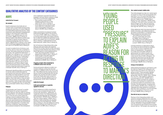

YOUNG

PEOPLE

"PRESSURE"

#### AOIFE

#### Aoife Did Not Consent

#### No consent

Explicit statements that Aoife did not consent were concentrated among young people who read Story 3 in which Aoife did not smile before performing oral sex. These statements were reflected in disagreement ratings on the rating task ("Aoife never verbally or non-verbally gave any sort of consent", SBB2M, Story 3, Rating: 2). Without Aoife's smile, Martin's actions were more likely to appear forceful, linked to unequivocal language, that she "had no option" (SBA17B, Story 3, Rating: 1) and "every time something is happening there should be a yes or no" (SC90M, Story 3, Rating: 2).

Consent to earlier forms of intimacy, such as kissing, did not mean she consented to oral sex, with Aoife positioned as having no autonomy: "He 'pushed her head down' -> she didn't do it willingly i.e. non-consensual" (SC67F, Story 3, Rating: 2). This participant highlights ongoing consent, contrasting Aoife's agreement to go to a bedroom with later loss of agency: "Just because Aoife said that it was ok to go to one of the bedrooms with Martin doesn't really mean she gave permission to take off her trousers or push her head down to give her a blowjob" (SC153F, Story 3, Rating: 1).

Statements identifying Aoife not consenting to oral sex were occasionally given by participants who read story versions where she smiled, but these tended to use more equivocal or uncertain language around agency. This is seen here in "may not have been" and the use of "comfortable" rather than 'consent': "Even though Aoife smiled and gave him a blowjob she may not have been very comfortable" (SA34F, Story 2, Rating: 2).

#### Pressure

Young people used "pressure" to explain Aoife's reason for acting in response to Martin's direction. She was seen as wanting to please Martin, not wanting to disappoint him, or that she was scared. Aoife was making a choice to pleasure Martin, but with reduced agency because his needs or demands were predominant. References to pressure were associated with quantitative ratings of disagreement or neutrality that Aoife was consenting. These examples show pressure arising from the anticipation

of an unpleasant outcome if she did not engage in oral sex; Martin is feared or Aoife may want to avoid harsh judgements:

- She could be scared and felt obliged to because he is a year older (SC151F, Story 3, Rating: 2)
- If she were to say no, then he could have called her a distasteful name and or have gotten more pushy about it (SC161F, Story 3, Rating: 2)

Other connotations to pressure involved Aoife lacking agency due to the situation ("no time to think", SB1M, Story 2, Rating: 2) or having a personality that made it hard for her to assert her preferences generally ("a shy person and doesn't say no to anyone", SA109F, Story 2, Rating: 1; "Aoife seemed to have been easily led", SA54F, Story 2, Rating: 2).

Not all instances of describing Aoife under pressure were associated with negative quantitative ratings. Neutral ratings were given in these examples despite there being to make Martin feel good or avoid displeasing him:

- Aoife may have just been trying to please Martin (SE47O, Story 1, Rating: 3)
- Aoife thought if she didn't give him a blowjob he would have been disappointed so she felt somewhat pressured to (SE48F, Story 1, Rating: 3)

#### Ongoing consent: She consented to a different action than oral sex

Some participants referred to Aoife's nonconsent indirectly, writing that she had agreed to a different action but not to oral sex. They referenced the ongoing nature of sexual consent by identifying what she did agree to do and that this did not extend to oral sex ("Aoife didn't give consent to have oral sex, she only agreed to go to a private place", SC31F, Story 3, Rating: 2).

#### Aoife Did Consent

#### Aoife gave permission or explicitly agreed to oral sex

Explicit reference to Aoife consenting to oral sex was conveyed through the use of terms like 'permission', 'agreement', or 'made the choice'. For these participants, Aoife had exercised free will ("Aoife gave him permission", SE104M, Story 1, Rating: 4; "She very clearly agreed", SE36M, Story 1, Rating: 4; "Aoife consented, she was flirty and touchy from the beginning", SA131M, Story 2, Rating: 5; "she was feeling him kissing him being intimate and made the choice to blowjob", SC138M, Story 3, Rating: 4).

#### Non-verbal consent: Aoife's smile

The smile emerged as a key non-verbal signal of consent to many of the young people who read Story 1 or 2. For some, the smile was a concrete, unequivocal sign of consent, that she was "happy to do it" (SE95F, Story 1, Rating: 4) or was "enjoying it" (SE29M, Story 1, Rating: 5): "She didn't have a problem with Martin's fingers up her. She's just returning the favour like, she gave him a smile that's free reign like" (SE177M, Story 1, Rating: 4).

Other references were more equivocal about Aoife's motivation, with references here to her being 'comfortable' or 'consenting' when Martin pushed her head down firmly:

- "She smiled at him which shows she was comfortable with doing so" (SA84F, Story 2, Rating: 4)
- "She smiled up at him before giving him the blowjob, meaning she gave consent" (SB4M, Story 2, Rating: 5)

A further extension to reservations about her smiling was demonstrated by qualifiers such as 'but' to show a hesitation with clarity of interpretation. The presence of a smile may have been sufficient to demonstrate non-verbal consent, but Martin's firm push and no verbal consent raised doubt about Aoife's willingness: "He pushed her head down but she did smile and not raise an issue with it leading me to believe it was agreed to but maybe not strongly" (SB42M, Story 2, Rating: 4).

#### Going to the bedroom

Aoife entering the bedroom with Martin could be cited as a signal of her willingness and intentionality by students who rated her as giving consent. These examples highlight Aoife choosing to go to a private place, going there "with him" (SE63F, Story 1, Rating: 4) or "for him": "She agreed to getting to a private space for him", SE155M, Story 1, Rating: 4). These comments link closely to a script in which going into a bedroom is an intentional signal of commitment to be intimate, that she would be "knowing what would happen" (SE148F, Story 1, Rating: 4) or "because what else happens in a bedroom" (SDC14M, Story 3, Rating: 4): "So she obviously knew she was going to have sex or suck his chop" (SB33M, Story 2, Rating: 5).

#### She did not say no or stop him

Moving on from interpreting Aoife's overt actions to drawing inferences from what she did not do, Aoife not saying no or not stopping Martin could signal that she willingly gave him oral sex. Attribution of responsibility to Aoife was conveyed through sentence forms based around 'did not'. This student who read the 'no

#### QUALITATIVE ANALYSIS OF THE CONTENT CATEGORIES

AOIFE'S

USED

REASON FOR

ACTING IN

RESPONSE

TO MARTIN'S

**TO FXPI A** 

DIRECTION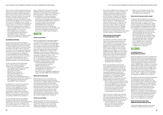smile' story saw Aoife not resisting along with Martin not forcing her, helping to account for rating Aoife as giving consent: "She doesn't ever try to pull away or stop" (SC71M, Story 3, Rating: 4). The use of 'did not' as a rationale for consent positions Aoife as passively consenting to oral sex. If she did not choose to stop then she agreed to it. 'Not' was paired with particular strategies, like not resisting, not saying no, not refusing, not struggling, not trying to stop him or pull away. For example:

- She did not refuse to do so and did not make a struggle (SE61M, Story 1, Rating: 4)
- She did not say no or try to stop Martin (SB50M, Story 2, Rating: 4)
- Aoife never indicated she wanted to stop (SDA13M, Story 3, Rating: 4)
- She let him do things to her and she never stopped him (SA71F, Story 2, Rating: 5).

#### Counterfactual thinking

Young people used several strategies to present counterfactuals of what Aoife could or should have done if she did not consent to oral sex ("Aoife wouldn't have gone inside with Martin if she didn't want to have oral sex with him. She also would have said 'stop' if she didn't want to", SB7M, Story 2, Rating: 3). From this perspective, her willingness could be inferred from Aoife not following one of these alternatives. Aoife is therefore in a position of responsibility for what happened, and this was associated with ratings of neutrality or that she consented.

'Could' was used to frame alternatives such as refusal, leaving, stopping, or saying no, as in these examples:

- She could have gotten up and walked away (SE37M, Story 1, Rating: 3)
- She could have said no (SE163M, Story 1, Rating: 4)
- She could of refused to do it (SC126M, Story 3, Rating: 3)
- She could have reacted differently to a subtle head push (SC12F, Story 3, Rating: 4)
- She could have stopped sucking his dong (SDB7M, Story 3, Rating: 5)

An alternative to 'could' was to describe Aoife as having had opportunities or chances to stop, suggesting that she must have consented because she did not take them ("Aoife had more than one chance to deny Martin's advances", SB46M, Story 2, Rating: 4; "She had many chances to stop him if she didn't want to do anything", SE172M, Story 1, Rating: 4).

An even stronger position was adopted through the use of 'should' terminology, presenting a prescription of behaviour against which Aoife's choice was compared. This was communicated in an 'if / should' or 'if / should not' sentence construction. If Aoife

was not willing then she should have acted differently. This was employed in a general sense ("If she didn't want to do this she should have indicated so", SE131M, Story 1, Rating: 5), or attached to a particular episode:

- If she did not want to get intimate she should have not have gone onto the couch and started kissing (SE69F, Story 1, Rating: 4)
- If she didn't want to she would have stopped him before he took off her jeans (SDA14M, Story 3, Rating: 4)
- If she didn't want to suck his dick she should have just said no and the fella would have left it, should have spoke up if she wasn't up for it (SE91M, Story 3, Rating: 4)

#### MARTIN

#### Martin was proactive

Martin was described as expressing agency. This was reflected in how his actions were portrayed. In this example strong language is used to show how Martin acts on Aoife, with no mutuality or sense of her intentions ("Martin went straight in and started to kiss her then touch her under her top. He then started to finger her", SE173M, Story 1, Rating: 4). Yet seeing him as active was not synonymous with Martin being controlling. These examples were given in response to Story 2, with varied interpretations offered from 'making her', to 'showing her' and 'suggesting to her'. These were reflected in the associated quantitative ratings of Aoife's consent:

- "Martin pushed [Aoife's] head down to make her give him a blowjob" (SA68F, Story 2, Rating: 2)
- "He just pushed her head down and showed her that he wanted oral sex" (SA83F, Story 2, Rating: 3)
- "Martin is just non-verballing suggesting he wants a blowjob" (SB2M, Story 2, Rating: 4)

#### Martin did not force Aoife

Martin's behaviour was most likely to be interpreted as benign among participants who read Story 1. Explicit references to Martin's push being acceptable was associated with quantitative ratings of 4 or 5. From this perspective, Martin's push did not mean that he had forced her at all: "Martin didn't seem to be forcing anything, all decisions were mutually approved. When Martin pushes Aoife's head down, Aoife gives him a smile, if she wanted she could have denied it. Martin did not force" (SE60M, Story 1, Rating: 5).

#### Martin was controlling

Identifying Martin as active to the point of being controlling was mostly associated with quantitative ratings of non-consent (e.g., "Martin was instigating the whole thing", SC25F, Story 3, Rating: 1; "He forced her to

give oral sex", SDB1M, Story 3, Rating: 2). The narrative of Martin in control prioritised his interests, expressing his agency over hers, "influencing her and possibly pressuring her" (SC3F, Story 3, Rating: 1). He "seemed to lead Aoife into sexual activity without properly communicating with her" (SC22M, Story 3, Rating: 2), "doing things to her without asking for consent" (SDA4M, Story 3, Rating: 3). The impact on Aoife was to remove her ability to freely choose ("she didn't get a chance to say no", SDA16M, Story 3, Rating: 1). Despite the negative implication for Aoife's autonomy, some participants who critiqued Martin rated Aoife's consent neutrally or with ratings of 4 or 5.

#### Martin should not have pushed or forced Aoife down on him

The description of Martin 'pushing' Aoife's head down elicited negative evaluation, with comparisons to an act of force or that it should not have happened ("Martin shouldn't have pushed her head down", SB45M, Story 1, Rating: 2). One variation was to soften the idea of 'force' through qualifiers such as "slightly" or "a bit". Such judgements were in response to the stories where Aoife smiled after having her head pushed down, and in these examples are linked to rating Aoife as non-consenting: • Martin was a bit pushy towards the

- end (SA13F, Story 2, Rating: 2)
- I feel that Martin slightly forced her (SE103M, Story 1, Rating: 2)

Martin was identified as forcing Aoife across different quantitative ratings. The examples of rating Aoife as consenting while acknowledging that Martin 'should not' have pushed her head down implies a separation between his behaviour and whether she nonetheless somehow consented to it. The language of these examples shows a recognition that Aoife's capacity to choose was removed, despite ratings that Aoife did consent:

- Martin should not have pushed her head down, he should have just let her do what she wanted (SB35M, Story 2, Rating: 4)
- The boy shouldn't of pushed her head down firmly as she should be able to control her speed etc and not forced to do more than she could do or want (SA24F, Story 2, Rating: 5)

The construction of 'slight force' was also used in connection with a rating of 4 or 5, with these examples offering justifications associated with Aoife (she did not say no) or Martin himself (he was drunk and horny):

• Martin did slightly force Aoife to give him a blow job by pushing her head down but Aoife never said no (SE182F, Story 1, Rating: 4)

• Martin was a bit forceful though. Most likely the drink and the horniness came over (SA104F, Story 2, Rating: 5)

#### Martin should have got verbal consent

Critiques of Martin's behaviour focused on how he did not ask Aoife whether she wanted to give him oral sex, or that he 'could' or 'should' have done so. References to verbal consent ranged across quantitative ratings from agreement to disagreement that Aoife had consented, and across the story types:

- It should be done more appropriately and more like a gentleman, he should have asked and let her go down with her own free will (SDC18M, Story 3, Rating: 2)
- Didn't ask Aoife about wanting to finger her or asking about Aoife wanted to him a blowjob (SC106M, Story 3, Rating: 2)
- Martin should also check in and ask if it's ok (SDA3M, Story 3, Rating: 3)
- Martin didn't ask her would she be ok with it but she went along with it (SA128F, Story 2, Rating: 4)

#### ALCOHOL

#### Contrasting views on drunkenness and consent

Aoife was stated to be 'under the influence' by many participants. Some young people who rated her as not giving consent made general statements about the impact of alcohol (e.g., "you'd be absolutely hammered after all the vodka", SDB10M, Story 3, Rating: 1). Others said specifically that Aoife could not give consent when under the influence ("she couldn't have given proper consent to Martin", SE35M, Story 1, Rating: 2). From this perspective she was not aware of her actions or what was going on (e.g., "Aoife … probably had no idea what was happening", SB22M, Story 2, Rating: 1).

Recognition of the impact of alcohol extended to young people who nonetheless gave neutral ratings of Aoife's consent (e.g., "she wasn't thinking clearly", SA12F, Story 2, Rating: 3). By contrast, references to Aoife's drinking by participants who rated her as consenting depicted her as 'under the influence' but not impaired ("she can still make decisions and decide if she wants to do it or not", SB13M, Story 2, Rating: 4). This acceptance of drinking was particularly evident in responses to the story where she smiled and her head was not firmly pushed down ("even if your drunk you can simply say no if she didn't want to do it", SE45F, Story 1, Rating: 5).

#### Martin should have done things differently because Aoife was drunk

A particular reference to Martin was made in relation to Aoife's drinking. He should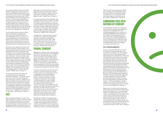have behaved differently because Aoife's decision-making was compromised. He may have exploited her because he went ahead with oral sex ("he took advantage of her because she had drink on her", SE27F, Story 3, Rating: 1). For this participant, that situation could have been alleviated by the use of verbal consent ("Martin should of asked her if she wanted to give him a blowjob", SA82F, Story 2, Rating: 4), but in the next example Aoife could not verbally consent: "Aoife was drunk so even if she said yes, Martin shouldn't have let her because she was drunk" (SC68F, Story 3, Rating: 2).

Alcohol impacted both Aoife and Martin and may have been impaired them The use of 'they' and both 'Martin and Aoife' highlighted alcohol intoxication as a shared explanation of their behaviour. Rather than one being in control and the other lacking control, intimacy may have taken place because they were 'under the influence' and 'not in the right state of mind'.

Participants who spoke about Martin and Aoife having taken alcohol tended to see drinking as impacting both of them. For some participants this was a moderate impact ("If alcohol wasn't involved the pair would have been more vocal with consent", SC10M, Story 3, Rating: 1; "the fact that they were both drunk made them have less control", SA134F, Story 2, Rating: 4). In other instances it had a significant shared impact, that they could not give consent, an interpretation associated with disagreement that Aoife gave consent ("even though she smile that doesn't count as consent", SE179O, Story 1, Rating: 2) or neutral Ratings ("they were both probably drunk so it wasn't proper consent", SB48M, Story 2, Rating: 3).

Alcohol could also be associated with uncertainty about the capacity for autonomous decisions – seen here in terms like 'may not' and 'less able' ("[they] are both 'less able' to consent", SC69M, Story 3, Rating: 2; "[they] may not have been in the right state of mind", SE73M, Story 1, Rating: 4). For some who saw Aoife as consenting, this suggested a question mark over whether alcohol impeded their judgement ("do they really know what's happening or are they pissed drunk?", SA139F, Story 2, Rating: 4; "it is a grey area", SE170M, Story 1, Rating: 4).

#### AGE

Age was typically referred to in one of two ways in relation to consent – either as a clear legal principle of competence to consent or as a contextual factor that impacted the dynamic of giving or receiving consent. It was straightforward for most of those who saw Aoife (or less commonly Martin) as below the

legal age of consent ("Aoife was under the age of consent so couldn't give consent", SC3M, Story 3, Rating: 1; "Aoife is under the legal age for sex (17) and therefore can't legally consent", SA68F, Story 2, Rating: 2).

For some participants the link between age and legal capacity was not clear. This could be linked to a neutral rating ("I'm not sure it is consent because they're both young and under the influence. They are also both under the age of consent", SE57F, Story 1, Rating: 3), or even to a rating that Aoife did give her consent ("age is a problem, even though it seems like she was giving consent. She is 15 years old", SB53M, Story 2, Rating: 4).

Using age as a contextual factor brought up other issues. Aoife may feel pressure as Martin was older ("she might feel pressure just because he's older", SA8F, Story 2, Rating: 2) or they may both be too young to make a decision about oral sex ("they were too young for this kind of intimacy", SDA10M, Story 3, Rating: 2).

#### VERBAL CONSENT

References to verbal consent were typically restricted to Story Types 2 and 3, highlighted when Martin pushed Aoife firmly or where she did not smile ("In future Martin should just go with verbal consent", SA7F, Story 2, Rating: 3; "[Aoife] never gave verbal consent", SDB1M, Story 3, Rating: 2). Lack of verbal consent in the story was usually referred to by young people who rated her as not giving consent, although it was occasionally linked to quantitative ratings that Aoife did consent.

A number of participants mentioned verbal consent to oral sex in particular, in terms of never saying 'yes', giving verbal consent or agreeing to oral sex. Nevertheless, explicit reference to verbal consent for oral sex could also be linked to ratings of Aoife as consenting. In this example a rating was given of consent, despite the value attributed to verbal consent as a guide to Aoife's intentionality: The act of looking up and smiling gives the impression to Martin that Aoife is consenting, but it was not verbal. We do not know what Aoife could have been thinking. Some people don't know how to say no verbal would have been better as she could be really clear about her feelings towards doing the act (SA42F, Story 2, Rating: 4).

Descriptions of Martin not seeking verbal consent (e.g., "he did not verbally ask her for consent", SC1F, Story 3, Rating: 1) extended to statements identifying that he did not achieve consent ("Martin did not get verbal consent from Aoife to continue", SC70F, Story 3, Rating: 2), and on to normative statements

("Martin should have asked Aoife", SB62M, Story 2, Rating: 3). Such sentiments were not always linked to quantitative ratings that Aoife was non-consenting ("Martin was doing things to her without asking for consent", SDA4M, Story 3, Rating: 3).

#### COMBINING CUES INTO RATINGS OF CONSENT

A rating reflects a summary or integration of the cues that captured the participant's attention and interpretive work. Nonconsenting judgements (i.e., a rating of 1-2 indicating disagreement that Aoife gave her consent), neutral judgements (i.e., a rating of 3), and consenting judgements (i.e., a rating of 4-5) were associated with the use of multiple cues in distinctive ways. Consenting judgements in particular were associated with a variety of strategies to combine information cues.

#### Non-consenting judgements

Giving a rating that Aoife did not consent to oral sex was typically reflected in the combination of multiple cues. This example shows how 'alcohol' and 'verbal consent' were aligned and complementary: "They were under the influence of alcohol so they were not thinking as clearly as they would sober and Aoife only said yes to finding a private place" (SA141F, Story 2, Rating: 2). The next example describes some dissonance between cues, but with strong disapproval of Martin outweighing Aoife being attributed a role in going to the bedroom: "Aoife's head was firmly pushed down to Martin's genitals without being asked but yet she allowed herself to go into a bedroom with him" (SA29F, Story 2, Rating: 2). In this example explicit reference is made to linking a rating to the judgement cues that supported it, identifying Aoife as lacking capacity to consent but giving her some responsibility for agreeing to give oral sex: "I chose go disagree as clearly a naggin is too much for a 15 year old, but at the same time she agreed so Martin isn't fully in the wrong" (SC28M, Story 3, Rating: 2).

Responses to the story version where Aoife did not smile and had her head pushed down employed multiple cues in a more polarised manner. For example, terms like "could not", "never", and "pressuring" are used here: "Aoife could not give consent because she was under the influence of alcohol. Aoife never explicitly gave consent, either verbally or non-verbally. Martin was influencing her and possibly pressuring her into being intimate with him. Aoife was under the age of consent so couldn't give consent" (SC3F, Story 3, Rating: 1).

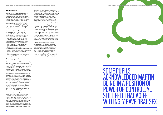#### Neutral judgements

Neutral ratings tended to be associated with incompatible observations and inferences. These information cues had different implications that participants did not reconcile. For example, one participant referred to Martin pushing Aoife's head down, perceiving it as inappropriate ( "Martin pushed her head down which means it wasn't consent", SDB3M, Story 3, Rating: 3), but went on to write "but Aoife didn't stop, so it was non-verbal consent").

Process descriptions of neutral ratings explicitly referred to having two noncompatible pieces of information. The neutral rating did not indicate lacking a view, being unclear, or undecided. This rating was actively chosen to address having two information cues that were equally valued. These cues could relate to both Martin and Aoife, for instance:

- Martin pushed her I believe. But she smiled and did it so I am neutral (SB3M, Story 2, Rating: 3)
- In other instances, participants were weighing up two pieces of information about Aoife:
- I chose neutral because she never gave him verbal consent but it may look like she did give him consent nonverbally (SA37F, Story 2, Rating: 3)

#### Consenting judgements

Young people who rated Aoife as consenting adopted a number of strategies in writing about their judgements. Some acknowledged Martin being in a position of power or control, yet still felt that Aoife willingly gave oral sex. Others identified his behaviour as nonproblematic and her responses as consenting.

In this example, misgivings are identified yet appear to be outweighed by other cues: "I think the smile showed enthusiasm. However she didn't physically say yes. Martin also seemed to have control over what was going on. Aoife said ok to going somewhere private" (SE70F, Story 1, Rating: 4). Here Martin not asking for verbal consent and firmly pushing her head were enough to outweigh Aoife's smile: "It was kind of consent but he didn't ask her and he pushed her head firmly but she did smile" (SA80F, Story 2, Rating: 4).

For other participants, Martin's actions and Aoife's responses could be constructed in ways that normalised his behaviour and retained a sense of her agency ("he was firm but she was comfortable", SB31M, Story 2, Rating: 5). This participant describes Martin unproblematically and references Aoife's smile in strongly evaluative terms: "Seemed grand as it's not like our lad Martin was sober and taking advantage of her. The field was

even. Also the cheeky smile meaned she knew well what was going on" (SE101M, Story 1, Rating: 4). For this participant, the intimacy could be assimilated to a normalising hook up script applicable to parties: "Martin initiated everything and they were both drunk, but things like this happen all the time at house parties … there's never any problems really" (SB32M, Story 2, Rating: 4).

A number of the consenting judgements that referenced multiple cues related back to Aoife specifically. Aoife going to a private space and not saying stop were frequently combined, especially in the context of her smiling. These cues combined into a consent rationale. This participant cites actions that Aoife took and others that she did not take: "Aoife did not resist or stop Martin or complain. She also smiled which meant she was happy to do it" (SB44M, Story 2, Rating: 5).

In this example an explicit relation is made between the rating and multiple information cues that point toward Aoife freely choosing to engage in oral sex: "I chose this answer because there wasn't anything that told me that she did not want to continue. When they began kissing she didn't pull away and when they continued there was no sign of not wanting to continue" (SB19M, Story 2, Rating: 5).



# ACKNOWLEDGED MARTIN BEING IN A POSITION OF POWER OR CONTROL, YET WILLINGLY GAVE ORAL SEX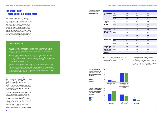*72 73*

<span id="page-38-0"></span>All of the young people read a consent communication story about Jim and Claire. They had kissed a few times previously but are not in a relationship. On this occasion they are part of a group of friends at a house party. Claire asks Jim to come up to her bedroom to help with something. She initiated kissing. He says he wants to go downstairs but she keeps moving forward, then they have sex. In this story the initiator is a young woman, and so this challenges the gender stereotype that men are always looking for sex and play the role of initiator in seeking sexual intimacy.

The participants responded to five statements about this story on a Likert scale from 'Strongly Disagree' to 'Strongly Agree'. The percentages of young people who gave ratings of disagreement, neutrality, and agreement with each of the statements are presented below ('Strongly Disagree' and 'Disagree' are compiled into one category, as is 'Strongly Agree' and 'Agree').

Overall, the young people who read the story broadly agreed that Jim did not consent to sex, he did not want to have sex with Claire. that her behaviour was unacceptable, and his friends might not understand if did not have sex with her. This is a positive finding as it demonstrates recognition that Jim had sex with Claire when the conditions for consent were not present – he gave indications that he was not comfortable with it and sex took place after Claire had verbally pressured Jim.

 $100$ 80 60

40  $20$ 

|                                                                     |                 | <b>All participants</b> | <b>Females</b> | <b>Males</b> |
|---------------------------------------------------------------------|-----------------|-------------------------|----------------|--------------|
| <b>Jim consented to sex</b>                                         | Agree           | 14.8                    | 9.3            | 19.4         |
| with Claire                                                         | <b>Neutral</b>  | 24.6                    | 18.8           | 30.3         |
|                                                                     | <b>Disagree</b> | 60.6                    | 72.0           | 50.7         |
| At the end, Jim<br>wanted to have sex                               | Agree           | 12.6                    | 6.6            | 18.0         |
| with Claire                                                         | <b>Neutral</b>  | 19.4                    | 13.2           | 26.0         |
|                                                                     | Disagree        | 68.0                    | 80.1           | 55.9         |
| At the end, Jim was<br>willing to have sex<br>with Claire           | Agree           | 43.3                    | 38.6           | 47.9         |
|                                                                     | <b>Neutral</b>  | 25.8                    | 23.3           | 28.6         |
|                                                                     |                 | 30.9                    | 37.9           | 23.5         |
| <b>Claire's behaviour</b><br>was unacceptable                       | Agree           | 64.9                    | 80.1           | 52.1         |
|                                                                     | <b>Neutral</b>  | 20.4                    | 11.5           | 28.6         |
|                                                                     | Disagree        | 14.7                    | 8.4            | 19.3         |
| Jim's friends might<br>not understand it if<br>he told them that he | Agree           | 70.8                    | 72.1           | 69.9         |
|                                                                     | <b>Neutral</b>  | 18.3                    | 15.3           | 20.5         |
| didn't want to have<br>sex with Claire                              |                 | 11.0                    | 12.9           | 9.6          |

*Figure 17. Percentage of students who agreed that Jim consent to sex and that Jim's friends might not understand if he did not want to have sex with Claire.* **Male Female** 

*Table 38. Summary of quantitative ratings made, percentage of all participants and by gender.*

Jim (19) and Claire (19) were part of a group of friends who had got to know each other well. The group usually hung out together each week. Jim and Claire had kissed a few times, and usually enjoyed each other's company, but he didn't want to get more involved.

There were a few nights out after the end of term. On the last night the group were pre-drinking beer and spirits in someone's house. Then they went out to two pubs, having a few drinks in each one. The group came back to the house around midnight. They were in the living room watching stuff on YouTube, chatting and messing, and had a few more cans each.

Around 1AM Claire called Jim out of the room to ask him for help with something. She brought him upstairs to a bedroom. She started kissing him. He responded. After 20 minutes Jim said he wanted to go back downstairs. Claire kept moving ahead with intimacy, touching him and saying she wanted sex with him. Claire took out a condom and put it on Jim. Jim was in two minds about it. He didn't really want to do it but he had sex with Claire.

#### SHARED STORY CONTENT

100 80 60

40

19

20<br>م

70





*Figure 18. Percentage of students who agreed that Jim was willing to have sex with Claire, that he wanted to do it, and that Claire's behaviour was unacceptable.*



There were three main qualifications to a positive interpretation of the ratings made of the follow up statements:

• There were notable differences in the

- ratings given by males and females.
- Many participants gave a neutral rating in response to the statements.
- A number of participants thought Jim could have been willing but not consenting.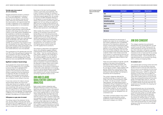#### Females were more aware of Jim not consenting

Female participants showed a consensus of 70% or more agreement in ratings of four of the five statements – all except whether Jim was willing to have sex with Claire. There was more diversity among the male students, with approximately 50% of males in agreement on four statements and strong agreement on one statement.

Gender-based patterns in ratings were reflected in gaps between male and female students in the ratings that they made. A majority of the male students disagreed that he consented or wanted sex and agreed that Claire behaved unacceptably. Yet this represents less consensus than the female students displayed. There was a gap between males and females of 15-25% in the rate of disagreement with three statements – whether Jim consented, if he wanted to have sex, and whether he was willing. There was a gap of 30% between males and females in the percentage agreement with the statement that Claire's behaviour was unacceptable.

The consequence of this gender gap was that one-fifth of the male participants agreed that Jim consented to sex (9% of females), 48% agreed that he was willing to have sex (39% of females), and 19% disagreed that Claire's behaviour was unacceptable (8% of females).

#### Significant numbers of neutral ratings

Young people who chose neutral ratings may not have agreed that Jim consented to sex but they did not disagree either. Overall, between one-fifth and onequarter of the participants made neutral ratings in response to the five statements (a range from 18-26%). For example, one quarter of the participants were neutral with respect to whether Jim consented to sex or whether he was willing to have sex.

It was more common for males to choose neutral ratings. Nearly one-third of the males were neutral as to whether Jim gave consent to sex (along with 19% who said he was consenting). One-quarter or more were neutral as to whether Jim wanted to have sex, was willing to do so, and whether Claire's behaviour was unacceptable. This represented a difference of up to 17% between males and females in the selection of a neutral option.

#### JIM AND CLAIRE QUALITATIVE CONTENT **ANALYSIS**

#### Willingness as a grey area of consent

The ratings made of the statement 'At the end, Jim was willing to have sex with Claire' were distinctive and suggested that Jim could be seen as willing but not consenting, a grey area of consent with significant implications.

Responses to this item had the greatest variation, particularly among females. This is seen in ratings of whether Jim wanted to have sex and if he was willing to do it. Only 7% of female students agreed that Jim wanted to have sex and 80% disagreed. Ratings of his willingness to have sex were much more diverse. The proportion of female students who agreed that Jim was willing was significant (39%) and was as large as the proportion of females who as disagreed that he was willing (38%). In addition, nearly one-quarter of the females were neutral as to Jim's willingness.

While notable, the contrast in male students' ratings of Jim wanting to have sex and being willing to do it was less pronounced. Approximately one-quarter of male students disagreed that he was willing to do it, onequarter were neutral as to his willingness, and nearly half agreed that he was willing. In comparison, a clear majority of males disagreed that Jim wanted to have sex, one-quarter gave a neutral rating, and one-fifth agreed that he wanted to.

The variation in responses to the statement about Jim's willingness suggests different understandings across the students of the term 'willing' – that he could be willing but under duress, willing but with misgivings, or fully willing to engage. For many students, Jim could be willing to have sex while not consenting to it. Willingness in this case could have a more relational or social basis than being an expression of personal preference. He assented to please Claire, avoid conflict, to save face, or due to social pressure. In these instances not wanting or consenting to it seems like a clear depiction of Jim having no control, yet by being willing he nonetheless seems to exercise agency, raising doubts over whether his non-consent would be seen as having a significant impact on him.

Eight content analysis categories were designed following a review of the written responses participants made to the question 'Please write in any thoughts or ideas about how consent applied here for Jim and Claire'. These categories allow the responses to be coded and explored further. The categories were first used to code a sample of responses and assessed through a measure of inter-rater reliability. The categories were then applied to all the written responses to this story. The percentage of participants who referred to each category is presented below, providing an insight on patterns of information use and how participants made sense of the story.

|                              | <b>All participants</b> | <b>Female participants</b> | <b>Male participants</b> |
|------------------------------|-------------------------|----------------------------|--------------------------|
| <b>Claire</b>                | 43.7                    | 58.2                       | 31.7                     |
| Jim did not consent          | 30.5                    | 38.3                       | 23.7                     |
| Jim did consent              | 22.2                    | 21.3                       | 23.4                     |
| Jim should have spoken up    | 10.4                    | 13.2                       | 8.3                      |
| Jim was uncertain or unclear | 8.5                     | 7.7                        | 9.3                      |
| <b>Alcohol</b>               | 10.9                    | 14.6                       | 8.0                      |
| Peer pressure                | 6.4                     | 10.8                       | 2.2                      |
| Role reversal                | 6.0                     | 5.6                        | 6.7                      |
|                              |                         |                            |                          |

*Table 39. Percentage of participants coded to each content analysis category.*

> Despite the relatively low percentage of students who rated Jim as consenting to sex, the content categories show considerable discussion of his motivations, behaviour, and actions. A total of 60% of participants were coded to one of the four categories that refer directly to Jim and 6% were coded to more than one of these categories. Less than half of the participants had their written responses coded for 'Claire'. Given Claire's active role as an initiator, it is surprising that she was not referred to more often, but it reflects a similar pattern to references made to Martin in the previous story.

There was some evidence of gender-specific patterns in the topics that participants described in their written comments, with more females being coded for 'Claire' and for 'Jim did not consent'. Taken together with gender differences in quantitative ratings, despite sharing Jim's gender identity, male participants were less likely than females to empathise with his experience.

The content categories reflected the quantitative ratings of consent that were made. Over 70% of the participants coded to 'Claire', 'Jim did not consent', 'Alcohol', 'Peer pressure', and 'Role reversal' gave a quantitative rating of disagreement that Jim consented to sex. By comparison, only 30% of participants coded for 'Jim did consent', 44% of those coded for 'Jim was uncertain or unclear', and 44% of those coded for 'He should have spoken up' disagreed that Jim consented to sex.

The written comments linked to the content categories are explored below, using a qualitative content analysis approach to review each category as a theme.

#### JIM DID CONSENT

This category explores how participants reviewed the story and decided that Jim did consent to sex with Claire. The key point for these participants was that he had sex with her, which indicated a willingness to engage. Different interpretations were provided of his motivation to do so. Some saw him as actively wanting to have sex while others described more passive states – that he allowed sex to take place either by (a) choosing to go along with it, or (b) by not stopping Claire.

#### He wanted to do it

Jim could be seen as having control over what happened to him and wanting to have sex. He did not have to have sex with Claire if he did not want to, so by extension he must have wanted to do it ("Lol … if he didn't want to he wouldn't have done it", SE17O, no rating). Any expression of discomfort did not reflect his 'real' intentions; his actions in having sex with Claire were a better guide to his true motives. These two participants started with the same phase "If he really didn't want to", with one finishing by writing "all he had to do was say no" (SA49F, Rating: 3) and the other that "he would have put more effort into stopping her" (SE23F Rating: 4).

Some participants saw Jim as having the ability to stop what happened at any time, that he did not have to have sex, and "he could have easily gotten up and left" (SA51F, Rating: 4). Several participants identified Jim as having an equal role or even being the initiator by 'leading Claire on' ("He was obviously horny or just wanted to be able to say that he wasn't a virgin and so he had sex. I don't think he should have, it's unfair to lead someone on like that and he did so willingly" (SA7F, Rating: 4).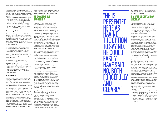While the following participants gave a quantitative rating that Jim did not consent to sex with Claire, the use of 'could' and 'should' language identified that he had options open to him:

- He should have stopped Claire and voiced his feelings about it (SC158F, Rating: 2)
- Jim could of said 'no' directly and walked downstairs" (SE44F, Rating: 2)
- He shouldn't have kissed her if he didn't want to have sex with her. he shouldn't have gone upstairs if you didn't want to have sex (SA133F, Rating: 1)

#### He went along with it

The next level of agreement identified in the qualitative responses shows Jim deciding to go along with having sex with Claire through passive consent rather than making an active, autonomous decision. It was easier for him to agree to have sex than to leave ("he still went along with it", SC130M, Rating: 5; "he just gave in", SA12F, Rating: 2).

- Maybe Jim was just horny so he let Claire suck his dick and just said he might as well let her bang him (SB33M, Rating: 5)
- James didn't want to at first but he decided that it's sex and it benefits him (SE176M, Rating: 1)

Jim's actions provided sufficient evidence for these participants to infer that he was consenting because he did have sex ("Jim followed through with the act so he did consent", SC13M, Rating: 4). He got to a particular point of intimacy and after that "it was easier to go along with it then to say no" (SA27F, Rating: 4).

For these students it was not simply acquiescence to Claire's intentions, Jim also got something from it:

#### He did not stop it

Another indicator that Jim was consenting was that he did not put up a sufficient barrier to having sex ("he didn't want sex but didn't stop it", SE31M, Rating: 2). This was reflected in the use of 'did not' to position Jim as not having told Claire to stop repeatedly ("he only protested once and made no move to stop her", SC28M, Rating: 3). This is illustrated in the next example that features multiple negative terms concerning Jim: "He didn't say that he didn't want to. Even if he didn't want to, he didn't do anything to stop it" (SA79F, Rating: 3).

This interpretation implies that it was Jim's responsibility to stop what happened, that he "didn't correct or deny the situation" (SC78M, Rating: 3). In this example it would have been easy to stop Claire yet he did not, and while it was not right for her to act as she did Jim was responsible because he 'let it happen': "Jim

could have easily gotten Claire off him but he decided to let it happen. It's still not ok but he could have stopped it" (SE130M, Rating: 2).

#### HE SHOULD HAVE SPOKEN UP

This category describes what Jim should have done or was supposed to do to communicate his non-consent verbally. He was seen as having the autonomy and capacity to be more verbal, but failed to exercise these capabilities. The implication was that he freely chose to have sex with Claire. He was identified as not being verbal in communicating what he wanted ("Jim didn't say yes or no to having sex with Claire", SDA4M, Rating: 1). Some young people inferred his wanting to go downstairs as indirect verbal non-consent ("Jim said he wanted to go back downstairs which showed he didn't want to have sex with Claire", SA118F, Rating: 3), but this was not sufficient for others ("He should of said a second time that he didn't want to go further with Claire", SB11M, Rating: 2).

Further examples referred to what Jim 'should' have said (e.g., "Jim should have told her straight out that he didn't want to have sex with her" SDB16M, Rating: 2; "Jim should've tried harder to say no", SDB2M, Rating: 3). They convey the sense that Jim failed to do something and was found lacking:

- Jim should have spoken up and spoke his mind, he should feel in control of his own sex life (SE128F, Rating: 2)
- Jim should have been more confident to say to Claire that he didn't want to participate (SE105F, Rating: 4)

He is presented here as having the option to say no, he could easily have said no, both forcefully and clearly: "Jim should have pushed her away and said 'no sorry I'm not comfortable' (SA59F, Rating: 3). He "could always say 'no'" (SE105M, Rating: 4), if he really did not want sex then "all he had to do was say no" (SA49F, Rating: 3) yet he did not and so suggested he was consenting ("If he really didn't want to, he would have said no", SA64F, Rating: 4). He had sex "when he didn't have to" (SA138F, Rating: 3).

Appealing to a gender stereotype about males being assertive and in control, this participant wrote that "Claire would have stopped if Jim had given her a firm no" (SA50F, Rating: 4), a turn of phrase used by several others, for example "if he was more stern about it" (SA106F, Rating: 1) or "he could have been firmer with Claire" (SA40F, Rating: 4). In not doing so, Jim was being unclear in expressing his preferences, which could explain or justify Claire's behaviour – "Maybe Claire just thought he was playing hard to

get" (SE26M, Rating: 3), "He did not tell her right away that he did not want it, he led her on" (SC154M, Rating: 2).

#### JIM WAS UNCERTAIN OR UNCLEAR

The next theme explores how Jim's consent was described as uncertain or ambivalent in the written comments. Uncertainty was identified through particular terms, for instance here we see participants writing that "Jim was neutral about him and Claire having sex" (SE5O, Rating: 2) or that "technically he gave consent" (SA146F, Rating: 3).

Jim's uncertainty was also conveyed when participants described consent cues that were hard to reconcile. Here the participant weighs up two information cues that appear incongruent: "Jim didn't give Claire consent, but on the other hand he only tried to stop her once" (SA3, Rating: 2), while in this example the consent cue itself is seen as open to interpretation: "There was no yes or no said all that was said is that he wanted to go downstairs" (SE65M, Rating: 4). This participant rated Jim as not consenting, but nonetheless described him as being willing to have sex: "Jim didn't want to have sex with Claire but he was willing to" (SE156F, Rating: 1).

Some participants used quantitative terminology to attribute uncertainty to Jim. Rather than the participants being unsure about Jim's consent, they concluded that Jim himself was uncertain or unclear: "Jim wasn't 100% about it" (SBB4M, Rating: 3), "he half consented, but he didn't not verbally consent" (SB12M, Rating: 3), "I think he gave half consent" (SA57F, Rating: 3), "he was having second thoughts about having sex with Claire but it wasn't a full no" (SE105M, Rating: 4).

Jim's action in having sex while saying that he wanted to leave could be resolved by focusing on his behaviour to guide their interpretation. Each example here opens with Jim not wanting to have sex or not consenting, yet moves on to say that in the end he wanted to have sex or was at least willing to do so, reflected in ratings of 3 or 4 on whether Jim consented:

- Jim did not consent but he still had sex with Claire, which means deep down he actually wanted it (SB44M, Rating: 3)
- He didn't want to but didn't act on it, he still had sex with Claire (SC134M, Rating: 3)
- Jim didn't really want to have sex but in the end he was asked and consented (SE136M, Rating: 4)

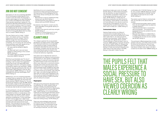Identifying Jim as not consenting was important for these participants because of the importance of acknowledging that the idea of men always wanting sex was a false stereotype:

- Because he is a man it's viewed that they always want sex (SC2F, Rating: 1)
- Just because he's a boy does not mean he always wants sex (SC20F, Rating: 2)
- By extension, the need for consent was the same regardless of the gender identity of the partner:
- Consent is the same for both boys and girls (SC29F, Rating: 1)
- Consent is a mutual thing and it's ok for boys to say no too (SA15F, Rating: 1)

#### CLAIRE'S ROLE

This category explores the young people's perceptions of Claire's actions, which ranged from viewing her behaviour as acceptable to descriptions of rape. A small number of participants described her actions as fully acceptable, consistent with the view that Jim was consenting because he stayed in the room and had sex with her. It was more typical to frame her behaviour negatively.

One option was to describe her actions in relational terms as a failure of communication, an insensitivity to Jim's signals or preferences. Alternatively, it could be a conscious decision by Claire to force or push Jim to have sex. In either case, Claire was in a dominant position of power and control, but her actions were viewed from a non-legal perspective and in some examples further qualified by terms like 'kind of' or 'a bit'. Other participants referred to Claire's actions as an assault. They used the term 'rape', and while the legal definition of rape does not match what happened in the story, its use conveyed the judgement that it was profoundly wrong for Claire to have sex with Jim without his consent.

#### Misperception

Although some participants described Claire as assaulting Jim, others viewed Claire as making a mistake, misunderstanding the situation or even that she had no responsibility for what happened ("no one was really at fault", SA116F, Rating: 3). For this participant, Claire did not have enough information about Jim's intentions ("Jim didn't give consent but didn't make it known") and so her behaviour was understandable ("Claire probably thought there was nothing wrong", SC71M, Rating: 2).

There was some ambiguity even among participants who saw Claire's behaviour as understandable. This participant wrote that "Claire may have had no idea of Jim not wanting to have sex", but that "Claire

#### JIM DID NOT CONSENT

Descriptions of Jim not consenting identified him as having given ample signals of nonconsent to sex with Claire. His language or actions were singled out as clear showing his non-consent and references were made to Claire sexually assaulting or raping him. This participant describes several factors pointing to non-consent, evoking a vision for consent that requires full agreement: "Consent should be wholehearted as Jim did not really want sex and mentioned going downstairs, they should not have gone ahead with it as there was no consent" (SE49F, Rating: 1).

The use of terms such as 'never', 'made it clear', and 'clearly' portray Jim as being unequivocal in his non-consent. This is a different image than that presented by participants who saw him as uncertain or consenting. Jim not saying 'yes' and wanting to go downstairs were clear signals of nonconsent for these young people:

- Jim never said he wanted to (SB47M, Rating: 1)
- Jim never said 'yes' to sex and never agreed to Claire putting on the condom (SE37M, Rating: 2)
- Jim made it clear he wanted to go back downstairs (SB20M, Rating: 2)

Wanting to go downstairs was "his way of saying no to Claire" (SE1O, 2). If he consented to kissing, it did not mean that agreement carried over to sex ("Jim responded when Claire began to kiss him, so he gave consent to kissing but asked to go downstairs", SA126F, Rating: 2). Here the participants infer that Jim "felt pushed" (SE1M, Rating: 2), that he "did it under pressure" (SE81M, Rating: 2), or "he was vulnerable and she took advantage of him" (SA114F, Rating: 3).

References to Jim not consenting extended to seeing Claire as raping him, that "this could be considered rape since Jim was drunk and clearly resisting" (SBA7M, Rating: 1) or "he was forced he got raped by a girl" (SC138M, Rating: 2). Comments coded to this theme explored both personal and social reasons that led Jim to have sex when he did not consent to do so.

For this participant, Jim was concerned about personal consequences, he was "probably intimidated by Claire or worried about what might happen if he refused" (SA26F, Rating: 1), while in this case Jim's concern is about relational consequences: "It may have been he didn't want to reject her or didn't know how to say no" (SA76F, Rating: 2). The following example cites both personal and social reasons: "He continued as he may of been aroused or afraid of being shamed by her or her friends" (SE106F, Rating: 1).

should have made sure to ask Jim though" (SC141F, Rating: 3). While these participants saw her behaviour as open to question it was ultimately acceptable ("Claire was not in the wrong as she did not push him too hard", SE73M, Rating: 3; "Claire was not behaving correctly but she didn't force him into anything", SC12F, Rating: 4). She should not have behaved in this way but would not have had sex if she believed Jim was nonconsenting ("she wouldn't have done it if he didn't want to really do it", SE56F, Rating: 4).

#### Communication failure

Viewing Claire's actions as a failure of communication included seeing her as insensitive to what she was being told ("Claire didn't really listen to Jim when he said he wanted to go downstairs", SA31F, Rating: 2), even though Jim's signals about consent "should indicate to Claire he doesn't want to have sex" (SB11M, Rating: 2) and she "should've got the hint" (SA59F, Rating: 3). Whereas she "should have listened and stopped" (SA88F, Rating: 3), Claire was lacking in empathy and "didn't think of the other person" (SC109M, Rating: 3). She didn't "check if he was

comfortable with it" (SC145F, Rating: 1) or "ask for Jim's consent" (SBC5M, Rating: 2). Claire's assumptions extended to thinking "that he was willing just because he was a male" (SC31F, Rating: 2).

The solution was for Claire to communicate with Jim and talk to him about what he wanted:

- Claire should have gotten verbal consent from Jim and stopped when he asked her to (SE62F, Rating: 1)
- There should have been a conversation about boundaries … Jim would have expressed that he only wanted to kiss her (SC30F, Rating: 2)
- Because they weren't in a relationship, it is Claire's responsibility to ask for consent considering she was the one who wanted sex (SC155F, Rating: 2)

This participant offered perspectives on both people in the story, and while critical of Claire he wrote that her behaviour did not have serious consequences for Jim: "Claire didn't care about consent, she's a bitch. Jim didn't consent but he didn't mind" (SBB3M, Rating: 2).

# THE PUPILS FELT THAT MALES EXPERIENCE A SOCIAL PRESSURE TO HAVE SEX, BUT ALSO VIEWED COERCION AS

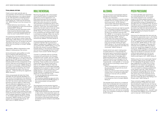#### Force, pressure, and rape

Claire's actions were typically seen as unacceptable, with her behaviour interpreted as forcing, pressuring, or as a sexual assault on Jim. She assumed a controlling position ("Claire had all the power in this situation", SC9M, Rating: 20, "Claire was the dominant one"; SB14M, Rating: 2) and then abused this power:

- Claire's behaviour was atrocious … She could've respected his wants and should've stopped (SA57F, Rating: 3)
- Jim wanted to go back downstairs which Claire should've allowed straight away instead of continuing and persuading him when he wasn't ready (SE123F, Rating: 2)

This perspective identified Claire as forcing herself on Jim ("he had no choice. Claire was demanding", SE12F, Rating: 2), for instance she "ignored the fact that Jim wanted to go back downstairs. She also put a condom on Jim rather than him putting it on himself" (SE38M, Rating: 2).

Nevertheless, different interpretations were offered in making sense of her actions.

Some participants used qualifiers to invoke force or pressure while allowing some ambiguity. She "kind of pushed herself onto Jim" (SE92M, Rating: 2), or "kind of forced Jim to have sex although he was willing in the end" (SBC1M, Rating: 3). A distance was placed between Claire and the consequences of her actions ("She was a bit forceful but he could have said no at any point", SB35M, Rating: 4). As a result, it was possible to hold back from identifying Claire as assaulting Jim ("I think Claire was being very rape-y, but did not rape Jim. … Claire was being very aggressive", SB10M, Rating: 3).

Other young people did state that Claire assaulted Jim and typically identified it as rape. Some of the statements that referred to her raping him provided reasons for choosing that term. Her actions were described as rape because Jim had no agency or free choice. This was reflected in statements such as "he didn't give consent" (SB132F, Rating: 1), "Jim told her he didn't want to but she didn't listen" (SC50F, Rating: 1), "he didn't want to it and didn't put the condom on his self" (SA23F, Rating: 1), "he didn't want anything more than kissing. She forced herself on top of him which was completely disgusting" (SA131F, Rating: 1), "Jim made it clear he wanted to go back downstairs" (SB20M, Rating: 2), and "Claire pushed Jim to have sex even though Jim didn't want to" (SB39M, Rating: 1).

#### ROLE REVERSAL

Reversing the gender roles in the situation was a powerful means to understand the significance of what happened to Jim. Role reversal removed the strong gender expectation that men want sex and can assert their will at any point in a situation. This participant contrasted the view of Jim's male peer group with that of a female group of friends: "I don't think Jim's friends would believe that he didn't want to have sex. Unfair as it would be rape the other way around" (SC96F, Rating: 2). The impact of being forced to do something was minimised when a male is victimised by a female: "When men are the victims it is brushed off. If the story was the other way around the reaction from friends would be very different" (SC143M, Rating: 2).

Some participants described the impact of a reversal of gender roles as producing a 'different' perspective ("a different story if Jim was pushing Claire", SE60M, Rating: 2; "if it was the other way around it would be different", SC104M, Rating: 1). The evaluation associated with this form of language was that it would produce "more concern" (SC94F, Rating: 2).

'Concern' is a relatively mild turn of phrase compared with participants who favoured comparisons with 'murder' and 'war' ("there would be murder. He'd be afraid if somebody came upstairs and caught them", SC80M, No Rating; "there would be war but because Claire pushed Jim, nobody would care or listen to Jim", SB32M, Rating: 3). Other role reversal comparisons invoked legal language, highlighting links to assault or rape ("if Jim had acted this way to Claire he would be in court", SC97M, Rating: 1; "Jim would be in prison", SC98M, Rating: 1). In keeping with this, explicit references to rape were also made:

- If it was the opposite way around it'd be rape! (SBC18M, Rating: 1)
- This would be classified as rape and Jim's life would be destroyed (SE118M, Rating: 2)
- She would probably call rape (SE57F, Rating: 1)

This participant saw the situation faced by males affected by assault as very difficult, with Jim experiencing a serious sexual assault but struggling to be believed:

• Huge double standard for men and women in rape culture. Claire essentially raped Jim but because he is a man less people would be inclined to take him seriously. This is the most serious of the three stories because he explicitly said he wanted to stop (SC66F, Rating: 2)

#### **ALCOHOL**

The use of alcohol could represent relevant background information that informed how the story was interpreted:

- The context could be of a drunken mistake between the two of them ("she was drunk and he was drunk", SC119F, Rating: 3; "both of them were drunk which may have clouded their judgement", SE127M, Rating: 1).
- The impact of alcohol use might be specific to Jim, including not being competent to give consent ("prevented him from speaking up about not wanting to have sex with her", SE100F 2; "in my opinion, this could be considered rape since Jim was drunk and clearly resisting", SDA7M, Rating: 1).
- It may mean that Claire could not give consent and Jim had responsibility ("[he] should not of had sex with Claire as he knew she had been drinking all night", SA29F, Rating: 2; "Jim should have left and not continued as Claire was most likely too intoxicated", SB42M, Rating: 4).

Usually alcohol was used in making sense of Claire's behaviour. In this example the participant gave a quantitative rating that Jim did not consent, yet alcohol helped to explain Claire's action ("most likely didn't realise she pressured him", SA91F, Rating: 2). These participants acknowledged that her behaviour was not right, using terms such as 'inappropriate', 'unacceptable', or 'no excuse', yet saw alcohol as providing a reason why it happened:

- Claire continued which in my opinion is a bit unacceptable though she was drunk (SE74M, Rating: 2)
- Claire may not have been thinking straight. However, that is no excuse for pressuring someone to have sex with you (SA34F, Rating: 1)
- Understandable as she was drunk but it is no excuse as a form of consent (SB43M, Rating: 2)

This example shows alcohol as a contextual factor that contributed with Jim's actions to lead to a judgement that Jim definitely did not give his consent: "Alcohol involved (not freely given), not mutual as Jim wanted to go back out of the room. Jim had not consented to sex, not consented to kissing (not ongoing)" (SC37F, Rating: 1).

#### PEER PRESSURE

This theme identifies peer expectations as a motivating factor for Jim to comply with Claire's request for sex. Comments coded to this theme express empathy and understanding for Jim. They were associated with quantitative ratings of disagreement or neutrality that Jim consented to sex. He was in the difficult position of being judged, either by male peers who expected him to have sex if he could or by Claire who demanded sex ("Jim felt pressured by Claire to have sex and would have felt judged by his friends if he didn't", SE68F, Rating: 1).

Embracing the stereotype that men want sex and take any opportunity to do it, Jim's friends "would not believe that he didn't want to have sex" (SB17M, Rating: 2) and would laughed at him ("laughed at if he said he didn't want to but she did", SE13M, Rating: 2). This could take the form of 'slagging' or ridiculing Jim's character and choices ("sadly Jim's friends as we know would have slagged him for not having sex", SE128F, Rating: 2). Jim would have pre-empted peer judgements and factored them into his decision to have sex ("Jim was a little bit peer pressure into it by his own thoughts, because he might have felt his friends would laugh at him", SA59F, Rating: 3).

Walking away from sex would invoke "stigma" and being "called a pussy" (SC161F, Rating: 2). This highlighted the gendered nature of peer judgement for a male ("this is a tricky situation as if Jim doesn't do it people will question his masculinity", SE161M, Rating: 2; "it is a lot harder for someone to believe that a man doesn't want sex", SE41F, Rating: 1). This reflected wider gender norms and roles, for instance it would be difficult for Jim to talk openly about what happened and his reaction to it ("they may not understand as guys don't really talk about their feelings a lot to each other", SA12F, Rating: 2).

These comments suggest significant social pressure arising for a male who turns down sex, providing an insight into why Jim may be willing to have sex when he did not want to do so. However there was also encouragement from some participants for Jim not to care what his friends believed ("Jim … shouldn't care if his friends think different of him if he doesn't want to have sex", SC14F, Rating: 2).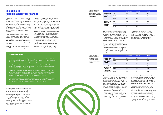#### <span id="page-43-0"></span>SAM AND ALEX: ONGOING AND MUTUAL CONSENT

The story about Sam and Alex was read by 214 of the young people who completed the schools survey. It was included in one version of the survey to study reactions to one partner saying 'no' to sexual activity in the context of a gender-neutral description that suggests a transgender or non-binary identity. A total of 70 females, 142 males, and two non-binary survey respondents gave their responses to this story.

Compared with the two previous stories, which explore perceptions of whether the initiator action taken by Martin and Claire was acceptable, the main focus in this story was on how the survey respondents viewed consent communication as being ongoing and mutual.

In the story, Sam and Alex are members in a LGBTQI group and have been going out

together for three months. They had sex for the first time the week before. The consent communication scenario concerns Alex saying "no, I don't want to" when Sam wants sex. Sam is confused and feels rejected. Alex finds it hard to explain that it would be better to go slower. There seems to be a negative impact on the relationship as a result of this scenario.

Sam (17) is outgoing, enjoys meeting new people, and is active in a local LGBTQI group. Alex (17) joined the group 6 months ago and 'came out' for the first time. For the past 3 months, they have been 'going out together'.

The participants rated six statements using a 5-point Likert scale from "'Strongly Disagree' to 'Strongly Agree'". The statements asked participants to respond to Sam and Alex's reactions in the story and give their views on social norms concerning sex in a relationship and talking about consent. The survey participants were also asked to write down their responses to two open-ended items ('Please share your thoughts on Sam's reaction when Alex said "no, I don't want to", 'What could have made the situation better?').

|                                                                         |                 | <b>All participants</b> | <b>Females</b> | <b>Males</b> |
|-------------------------------------------------------------------------|-----------------|-------------------------|----------------|--------------|
| It was okay for Alex<br>to say "No, I don't<br>want to"                 | Agree           | 98.1                    | 100.0          | 97.2         |
|                                                                         | Neutral         | 1.9                     | 0.0            | 2.8          |
|                                                                         | <b>Disagree</b> | 0.0                     | 0.0            | 0.0          |
| People need to talk<br>about consent,<br>even when in a<br>relationship | Agree           | 91.6                    | 98.6           | 88.7         |
|                                                                         | <b>Neutral</b>  | 7.0                     | 1.3            | 9.2          |
|                                                                         | <b>Disagree</b> | 1.4                     | 0.0            | 2.1          |

It was OK for them to be having sex as they were in a relationship It was not OK for Sam to assume Alex would be in to sex just because they had done it before

|                 | <b>All participants</b> | <b>Females</b> | <b>Males</b> |
|-----------------|-------------------------|----------------|--------------|
| Agree           | 77.1                    | 67.1           | 82.4         |
| Neutral         | 20.1                    | 27.1           | 16.2         |
| <b>Disagree</b> | 2.8                     | 5.2            | 1.4          |
| Agree           | 65.4                    | 82.9           | 57.0         |
| Neutral         | 24.3                    | 11.4           | 31.0         |
| Disagree        | 10.3                    | 5.7            | 12.0         |

*Table 41. Percentage of survey respondents who gave their agreement to consent communication statements: High consensus responses, by gender.*

A week ago at a friend's house party, they found a private room. When they were alone Sam asked Alex to 'have sex'. Afterwards they shared how they were feeling and they both said it had been great.

The following week they found themselves alone again. Sam said "I want to do it again", and started to unzip Alex's jeans. Alex said "No, I don't want to". Sam was confused and then worried "What's wrong? You were into it last time… What have I done?... Did I do something wrong?...Don't you want me anymore?"

Alex didn't know how to explain that it just didn't feel right this time, and that going a bit slower might help. Sam went home, but the next day when they saw each other at school the atmosphere between them was not the same.

#### SHARED STORY CONTENT *Table 42. Percentage of*

*survey respondents who gave their agreement to consent communication statements: Moderate consensus statements, by gender.*

Two of the statements received majority agreement from the pupils. These were two complementary statements that it was OK for Sam and Alex to be having sex in a relationship (77% agreed) and that it was not OK for Sam to assume Alex would be into sex just because they did it before (65%).

There were some gender differences in response to these two items. More females (83%) than males (57%) agreed that it was not OK for Sam to assume Alex would be into sex, whereas more males (82%) than females (67%) said it was OK for them to be having sex as they were in a relationship.

Females who did not agree it was OK to have sex in a relationship tended to select the 'neutral' rating option, and males who did not agree that Sam should not have assumed Alex wanted sex tended to select the 'neutral' option.

Two items received minority levels of agreement. Forty per-cent of participants agreed that Sam was right to be worried when Alex does not want sex. A large percentage chose the 'neutral' option (40%) and 21% disagreed that Sam was right to be worried. The background to this item was that Sam was worried in the story due to concerns about rejection and changes in the relationship. Overall, this pattern of ratings reflects diverse views on how to react if a partner says they do not want to have intimacy in a relationship context. More males (47%) than females (26%) agreed that Sam was right to be worried about what Alex's refusal might mean.

One-quarter of the participants (27%) agreed that Sam and Alex will get together again. A majority (60%) chose the 'neutral' option and 14% disagreed that they will get together again. There were no gender differences in ratings of this statement.

The agreement pattern suggests that many pupils saw this incident having a significant impact on Sam and Alex's relationship, with most of the pupils reporting uncertainty whether the situation will be successfully resolved. The open-ended written responses to questions showed an overriding tendency to say that the resolution lies in having open communication based on respect and an empathic valuing of the other person's perspective.

The ratings show that the young people who took part in the story supported the right to say 'no' to sex and the need to talk about consent in a relationship context. Nearly everyone (98%) agreed that it was okay for Alex to say "no, I don't want to" in response to Sam wanting sex. More than nine out of ten (92%) respondents agreed that people need to talk about consent. There was a small gender difference in ratings of this statement, with 98% of females in agreement compared with 89% of males.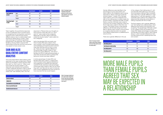Taken together, the quantitative responses to the six statements show a positive trend to recognising that turning down a partner's request for sex is valid and that having different views on sex in a relationship is best resolved by talking about consent. There were some signs of traditional gendered perspectives in the responses, with a greater tendency among males to assume that relationships involve sex and that one partner may expect to have access to sex.

#### SAM AND ALEX QUALITATIVE CONTENT ANALYSIS

The survey respondents were invited to write responses to two open-ended items ('Please share your thoughts on Sam's reaction when Alex said "no, I don't want to"', 'What could have made the situation better?'). The responses were reviewed and qualitative content categories devised in order to group the responses. A sample was coded first to assess inter-rater reliability. Next, all of the

responses to 'Please share your thoughts on Sam's reaction when Alex said "no, I don't want to"' were coded to five categories. Responses to the item 'What could have made the situation better?' were coded into four categories.

Gender differences were identified in the percentage of survey respondents who were coded to the categories used to group responses to 'What could have made the situation better?'. Overall, 79% of females were coded to one of the categories that refer to how talking about consent makes the situation better, compared with 58% of males. Nearly a quarter of females were coded to more than one of these categories, while only 3% of males were coded to more than one of them. This pattern shows a clear gender difference, with females being much more likely to identify open consent communication as a positive response when two people have different expectations or preferences for sexual activity.

There was a gender difference in the use

of the category 'Sam talking about it', with more females (40%) referring to Sam being the active person talking to Alex compared with males (17%). A gender difference in 'Alex talking about It' was also apparent, as 36% of females were coded to this category that referenced Alex being the active person in talking compared with 15% of males.

The final category with a gender difference was 'Sam being more understanding', which references Sam being more empathic and accepting. The percentage of females coded to this category (40%) was double that of males (21%). Similar percentages of males (29%) and females (27%) were coded to 'Both talking about it', which included references to Sam and Alex being active in speaking about sex and consent.

Half of the females (51%) and nearly onethird of males (31%) were coded to 'Sam was confused', which included observations acknowledging and exploring Sam's reaction when Alex said they did not want to have sex. There was also a gender difference in the percentage of pupils coded to 'Sam should have acted differently', with 40% of females and 15% of males giving examples of what they should have done or stating their behaviour should have been different.

A similar percentage of males (29%) and females (23%) were coded to 'Judging Sam', which included mostly negative evaluations and judgements of whether Sam behaved correctly. Finally, relatively small percentages of the pupils were coded to 'Alex can say what they want' and 'Alex did not want to have sex', both of which highlighted that Sam should not have assumed that sex would happen.

|                                   |                 | <b>All participants</b> | <b>Females</b> | <b>Males</b> |
|-----------------------------------|-----------------|-------------------------|----------------|--------------|
| Sam is right to be<br>worried     | Agree           | 39.7                    | 25.7           | 47.2         |
|                                   | Neutral         | 39.7                    | 47.1           | 35.9         |
|                                   | <b>Disagree</b> | 20.6                    | 27.1           | 16.9         |
| They will get togeth-<br>er again | Agree           | 26.6                    | 27.1           | 26.8         |
|                                   | <b>Neutral</b>  | 59.8                    | 60.0           | 59.9         |
|                                   | Disagree        | 13.6                    | 12.9           | 13.4         |

|                                     | <b>All participants</b> | <b>Females</b> | <b>Males</b> |
|-------------------------------------|-------------------------|----------------|--------------|
| Sam was confused                    | 37.5                    | 51.4           | 31.3         |
| <b>Judging Sam</b>                  | 26.4                    | 22.9           | 28.5         |
| Sam should have reacted differently | 23.1                    | 40.0           | 15.3         |
| Alex can say what they want         | 12.0                    | 10.0           | 13.2         |
| Alex did not want to have sex       | 6.9                     | 4.3            | 8.3          |

| <b>All participants</b> | <b>Males</b>                                   |
|-------------------------|------------------------------------------------|
| 28.2                    | 29.2                                           |
| 27.3                    | 20.8                                           |
| 24.5                    | 16.7                                           |
| 21.3                    | 14.6                                           |
|                         | <b>Females</b><br>27.1<br>41.4<br>40.0<br>35.7 |

*Table 43. Percentage of survey respondents who gave their agreement to consent communication statements: Low consensus statements, by gender.*

*Table 44. Percentage of students coded to content analysis categories for the item 'Please share your thoughts on Sam's reaction when Alex said "no, I don't want to"'.*

*Table 45. Percentage of students coded to content analysis categories for the item 'What could have made the situation better?'.*



# THAN FEMALE PUPILS MAY BE EXPECTED IN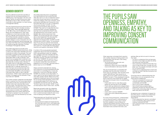#### GENDER IDENTITY

The story referred to both Sam and Alex as having come out and being members of a LGBTQI group. The language in the story was gender-neutral. No personal pronouns were attributed to Sam or Alex, and their names could refer to either gender or to them having a transgender identity.

The use of personal pronouns shows that the young people saw Sam and Alex as being two gay males. There were 585 references to 'he', 88 to 'they' and 12 references to 'she'. Nearly all of the references to 'they' were in reference to 'both Sam and Alex' rather than as a gender neutral personal pronoun. This finding indicates a tendency among the young people to attribute a traditional gender category to story characters who are portrayed using gender neutral language, and may mean that they had a strong expectation for traditional gender identities or limited knowledge of transgender identity.

The written responses do provide some examples of different personal pronouns. While A number of the young people expressed a male survey respondent identifies both story characters as male in this example: "He must have been confused as Alex said he loved it last time" (SDB9M), in this case another male respondent refers to Alex as female: "Sam should have accepted Alex's statement and left her alone" (SC33M). In contrast, this male describes Alex as being male or female: "If Sam didn't start to unzip Alex's pants before he/she said yes to sex" (SDA8M). Here a male identifies Sam in a gender neutral way: "I think that Sam was worried that they had done something wrong and that Alex was uncomfortable" (SC162M). In this example, a male respondent refers to Alex in genderneutral terms: "While it does make sense in the moment, if he keeps up this attitude of 'they must hate me'" (SDA7M).

The content analysis categories are described below to explore how the survey respondents made sense of the story and reacted to the situation when Sam assumed Alex would want sex again. The responses show a clear recognition that consent is an ongoing process and should not be assumed from one occasion to another. The categories developed after each written response are combined to represent how the students reacted to Sam and are followed by how Alex is represented.



- used several times:<br>• He should have be more calm and understanding (SC55F)
- Asking why calmly may have made Alex more comfortable to talk about (SC37F)

The written responses show a progression from identifying how Sam would have felt after Alex said 'no' to sex to statements about what Sam should have done in this situation. Under the category 'Sam was confused', some participants identified with the reaction Sam had when Alex said 'no' to sex ("I understand why he was shocked", SC114F; "It's only natural to be shocked by Alex saying no", SC106M). They went on to describe why Sam would have been confused, highlighting that Alex had consented last time ("it was OK beforehand but now he didn't want to"; SDC2M; "Alex said he loved it last time", SDB9M). This would have left Sam confused about what happened ("He obviously likes Alex and for Sam to be rejected he felt dejected and disappointed", SC105F) and left thinking about what it meant: "It's worrying to hear it's you and your partner have had sex before and then the other person decides they don't want to, it would make the other person overthink and question themselves" (SC92M).

> perhaps Alex just did not want to have sex that night:

judgements about how Sam had behaved, which were gathered under the 'Judging Sam' category. Sam had "reacted over the top" (SDC7M), "reacted in an immature way" (SDC16M), and Sam "shouldn't have freaked out like that" (SDB12M). His reaction was "a bit over dramatic" given that it was a clear cut situation where Alex had indicated a preference not to have sex: "because when a person says no, it's no" (SDA8M).

These comments extended into viewing Sam's behaviour as having disrespected Alex and acted in a controlling way: "It was very pressuring, it was kind of like guilt tripping" (SC95M). For another survey respondent, "it wasn't right for him/her to assume that it was what Alex wanted "(SC2F). While most of the judgement statements about Sam portrayed him as having acted improperly, some of the young people judged Sam's behaviour as acceptable ("his reaction was ok", SDC13M; "he had a right to be worried', SC96F; "it was an initial reaction which I think is fair", SC37M).

Responses grouped under the categories 'Sam should have reacted differently' and 'Sam being more understanding' emphasised that it would have been better for Sam to be more accepting and respectful of Alex.

These responses use 'should have' to show this:<br>• He should have accepted how Alex felt

- (SDC18M)
- He should have waited and respected the fact that Alex wasn't into it, and asked later as emotional care is good for relationships (SC69M)

Other responses contrasted Sam's reaction with a better response of being patient and understanding, with the term 'calm' being

The use of 'should have' is contrasted with examples that cite what Sam 'should not have' done. For example, "Sam shouldn't have rushed" (SDC2M) and "Sam should not of said 'I want to do it again' and just assume" (SC82M). The term 'if' was employed to identify parts of the story that pupils did not agree with and that showed a lack of understanding from Sam:

- If Sam didn't start to unzip Alex's pants before he/she said yes to sex (SDA8M)
- If Sam didn't go ahead and unzipped Alex's jeans, and thought just because they did it once, doesn't mean he wants to do it again (SC151F)
- If Sam didn't overreact (SDB3M)
	- If Sam was more understanding about it (SDA4M)

For some of the participants, 'understanding' was an important goal in making sense of a consent situation. In this case, it meant that Sam needed to have achieved an understanding before reacting, based on the realisation that consent is ongoing, Alex may have been more uncertain than Sam, and

- For Sam to understand that just because he done it once might not mean he will be the same next time (SC43M)
- Sam could have understood that Alex may want to take things slow, consider he's only been "out" for 6 months and been with Sam for 3 of those (SC152F)
- If Sam was to understand that it wasn't him and Alex just didn't feel like having sex that night (SC42M)

Once Sam had an understanding then this should follow on to an acceptance of the other person's preferences:

- That Sam accepted his answer and continue with what they were both comfortable with (SC70F)
- Sam to just accept it (SDA3M)
- Sam should have accepted Alex's statement and left her alone (SC33M)
- If Sam really cared about Alex he would of been okay about this (SC12F)

Acceptance was a statement of respect for the other person, a value that underpinned the response from several of the survey respondents:

- If Sam respected her decision and talked to her immediately after instead of Sam making it awkward (SC73M)
- Sam could have been more kind towards Alex (SC114F)



# OPENNESS, EMPATHY, AND TALKING AS KEY TO IMPROVING CONSENT

- 
- 

- 
- 
- 
- 
-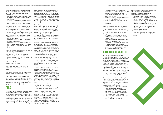Empathy represented another underpinning for the preferred response from Sam, which would have allowed for taking on Alex's perspective:

The primary strategy that Sam should have used in this situation was to talk to Alex. Sam should have asked Alex about what they wanted to do that evening before being forward and trying to unzip Alex's jeans. These examples use 'if' to present a better situation where Sam would have communicated first:<br>• If Sam had asked Alex instead before

- Sam could've handled the situation better and understood where Alex was coming from (SC135M)
- Sam should have respected Alex's decision and laughed it off but still inquired on the reason for him turning him down (SDB1M)

- assuming (SC44M)
- If Sam had asked Alex if he wanted before touching him (SC155M)
- If Sam had asked Alex did he want to have sex instead of assuming that he wanted to just because he wanted to the last week (SC6F)

The importance of verbal consent was referred to both explicitly and implicitly: Sam asking Alex from the start like the first time, seeing if he wants to or not (SC21F)

- If Sam asked for consent (SDB11M)
- More communication from Sam's end on the idea of consent (SC2F)

Talking was also the solution when Alex reacted to say 'no' to sex:

Sam should have said 'it's ok' and then expressed his confusion in a calmer way (SC93F)

Sam could have stopped what he was doing and ask Alex to talk about it (SDC17M)

Sam talking to Alex in a sensitive manner would also help in achieving communication after the event: "Sam should not ask too much into it, if someone doesn't want then they don't want to. Sam should not make him feel guilty, but comfortable" (SC159F).

#### ALEX

Most of the written responses focused on Sam, in discussing the behaviour in the incident, what should have been done instead, and what Sam could do now. The content analysis categories that referred to Alex largely elaborated on the idea that they had the right to say no but also highlighted how it may have helped the relationship if Alex had talked more to Sam about their preferences and feelings.

Responses under the category 'Alex did not want to have sex' typically made sense of Alex's reaction by saying they did not want to have sex at that time ("just didn't want to", SC149F; "it was probably just Alex not wanting it, SC132M). It could have been a specific issue that day ("may not have been in the mood and that's grand", SDA3M; "he might not feel well", SC70F).

> Some of the respondents gave suggestions as to what Alex could have said when talking to Sam. The suggestions highlighted that Alex saying that not wanting sex was specific to the situation, rather than involving Alex's feelings about Sam as a person:

Alex deciding not to have sex that evening may not mean something significant in the context of a relationship: "Just because Alex didn't want to have sex doesn't mean Alex wasn't attracted to Sam anymore" (SDA2M). However it could signify that Alex had experienced regret after sex the previous week and wanted to take it slower as a result: "Alex might have felt they rushed into sex and mightn't want to do it again for a while" (SC30F).

The young people were clear that if Alex did not want to have sex then they should not do it. These responses were grouped under the category 'Alex can say what they want'. There were references to Alex's right to say no as a principle that applies no matter what ("a right to say no if you don't want it", SC104M; "Alex has the right to say no", SDA4M; "Alex is fully entitled to say no", SC71M; "If he said the answer is no, no means no", SC100M). This respondent backed up Alex's right to say no but said it would have been helpful to clarify for Sam what the reason was: "He has every right to say he doesn't want to, but he could've been clearer on why he didn't" (SC118F).

'Alex talking about it' was the main response specific to Alex that came out from the question about what would have made the situation better. This category focused on suggestions from the young people for Alex to explain what their feelings were and why they did not want to have sex ("Alex could have explained clearly and respectfully", SC3F). The term 'if' was used to present a situation where Alex went beyond 'no' to put the decision in context:

- If Alex could have explained why he didn't want to do it again (SC156M)
- If Alex explained their feelings and thoughts about what they mean to say (SC161F)

There was a sense in which Alex saying 'no' was respected but nonetheless an expectation that within a relationship there was a need to clarify and elaborate on the reasons why: "If Alex could have explained how they were feeling more clearly" (SC142M). This extended to attribution of some responsibility to Alex for explaining and for the change in the relationship:

- If Alex explained to Sam, maybe the atmosphere wouldn't of changed (SC108M)
- Alex could have explained why he didn't want to, seeing as they were in a relationship (SC99F)
- Alex could have said he wanted to go slow before Sam asked (SC92M)
- Alex could've said it a bit better then 'no I don't want to' as that makes it sound a bit bad (SC15F)

- He could have explained it was nothing with Sam, he just didn't feel like doing it that night (SC46F)
- Alex reassuring Sam that it wasn't his fault he just didn't want it (SC132M)
- If Alex had said 'maybe another time, but I don't feel like it right now' (SC87M)
- If Alex told him something like 'I'm just not feeling it right now', maybe Sam would have been less worried (SDC13M)

#### BOTH TALKING ABOUT IT

The category 'Both talking about it' referenced Sam and Alex working together to enhance their communication about sex and consent. This would enable them to have a clearer understanding of mutual expectations ("they both could've had a conversation about how they are honestly feeling" SC53F). Having more open communication would have helped with the situation that arose and other situations ("Communication would have improved the situation", SC3F; "if both of them were more open with each other", SC72M; "talking about it to each other. not getting paranoid and worried", SC123M).

Some respondents referred specifically to the situation in the story. They referenced the views that each person had a part to play, with Sam asking what Alex was comfortable with and Alex talking more to Sam more about the reasons for not having sex:

- Alex telling Sam what's wrong and Sam asking for permission (SC163M)
- If Alex explained why he didn't want to have sex, and if Sam could of reacted different and asked Alex if he's okay and that they don't have to do it (SC158F)
- If Sam had asked Alex if he wanted to do it in the first place. If Alex explained why he didn't want to do it more (SC7F)
- 
- 
- 
- 
- 
- 
- 

- 
- 
- 
- 
- Some respondents spoke about the direction of the conversations that Sam and Alex could have to establish clear consent communication for the future:
- If they could ask each other for consent and they could talk about what is allowed and what is not allowed (SDA11M)
- Talk about consent and how sexually active they want to be (SC14F)
- Sam could have accepted his 'no' without question and then had a conversation with Alex about consent, and how they both feel. It would have been healthier +less stress put on Alex (SC67F)
- They should have talked about it and set boundaries from the start. This way they would know what is okay and what's not (SC28M)

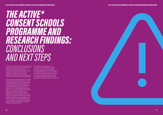# <span id="page-47-0"></span>*THE ACTIVE\* CONSENT SCHOOLS PROGRAMME AND RESEARCH FINDINGS: CONCLUSIONS AND NEXT STEPS*

This report sets out the research underpinning The resources are framed in how the newly launched Active\* Consent schools programme. These new resources for schools are provided by the Active\* Consent programme using a multi-disciplinary approach involving psychology, youth development, sexual health promotion, and the use of theatre and drama as pedagogy.

The programme will be available for schools through direct engagement with the Active\* Consent programme as well as through the online learning hub that the programme is developing during 2021-22 in collaboration with the Department of Justice and the Department of Further & Higher Education, Research, Innovation & Science. The funding and support made available through Lifes2good Foundation, Rethink Ireland, and NUI Galway have enabled the Active\* Consent programme to realise the ambition of a research-based, highly engaging and relevant consent education package for 15- 17 year-olds that complements the existing programming for young adults available in colleges throughout Ireland.

contemporary Irish teenagers engage with learning. As a result, knowledge derived through research with their peers is emphasised when working with pupils on both the achievement of positive consent communication and the right to be free of harassment, pressure, and harm in the exploration of intimacy and sexual behaviour. *ACTIVE\* CONSENT FOR SCHOOL COMMUNITIES: OVERVIEW OF THE SCHOOLS PROGRAMME AND RESEARCH FINDINGS*

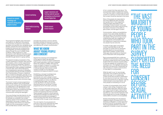<span id="page-48-0"></span>

The programme highlights clear information and supports; an approach that extends to the provision of supports to the parents, guardians and teachers who, alongside young people, comprise the school community. The programme resources are complementary and integrated, yet remain engaging and diverse through the use of multiple modes of delivery. These range from in-class discussions to self-directed online learning to viewing dilemmas and positive role models enacted through drama in a group setting.

This research includes an evaluation of the consent workshop for Transition Year and Fifth Year students, which is further supported by teacher training and awareness-raising for parents and guardians. This is the first part of the programme, made available immediately in Autumn 2021, which will be followed by two complementary resources to strengthen young people's learning and skills acquisition: How I Learned About Consent, a theatrical film on consent for teenagers, and Sex on Our Screens, an eLearning Sexual Media Resource for Schools that addresses topics such as pornography, sexual scripts and body image.

The Active\* Consent schools programme is supported by research with young people and by youth working with the research team as collaborators in the development of the programme resources. The research survey conducted to inform the programme provides the first in-depth exploration of consent communication among Irish teenagers.

The survey findings have fed directly into the development of the programme resources; for example, by including in the consent workshop several of the stories that had been researched in the survey. In addition, the survey findings stand alone as an important insight into how young people in Ireland think and feel about consent, what consent

principles they endorse, and how well the principles translate into reactions to stories that explore negative, controlling behaviours and dilemmas for consent communication.

#### WHAT WE KNOW ABOUT YOUNG PEOPLE AND CONSENT

Despite the increasing acknowledgement of the need for holistic sex education programmes in schools to support adolescents with consent education, much work is required before this ambition is fulfilled. Although the scope and depth of research on consent and college students has grown considerably in the past decade, there remains a small number of studies on how teenagers understand and apply principles of consent.

Establishing a stronger knowledge base is a prerequisite for researchers and practitioners who wish to design consent education programmes that are acceptable to young people and which are effective in supporting their needs. The schools survey described in this report provides important lessons for the Active\* Consent programme and for the wider community.

There is a strong positive base among young people on consent in respect of understanding consent and applying important principles. These strengths comprise a critical resource. The existing knowledge and skills that young people have should be acknowledged in communicating with them about consent and supported further through consent education.

The vast majority of young people who took part in the survey supported the need for consent before sexual activity and overwhelmingly critiqued clear examples

of non-consent that they read about. The young people readily accepted that saying 'no' to sex was valid in a relationship and that consent on a previous occasion did not mean that consent should be assumed in the future.

Many of the people who responded to the survey referenced clear principles that guided them in their judgements. These principles were linked to their knowledge of sexual assault, how power and pressure can be used in sexual activity, the impact of alcohol on the ability to give consent, and the age of consent.

Communication, talking, and establishing a base of trust were readily identified as helping consent to be achieved between two people. Talking and having a mutual understanding were also suggested as ways to improve communication and how differences in expectations between two people may be overcome.

A number of 'grey areas' surrounding consent were identified as well. The principles of consent did not necessarily translate directly to how participants responded to realistic consent stories. These grey areas should be an important focus of discussion with young people.

Most young people felt that a smile was sufficient to communicate consent in a hookup scenario where alcohol was involved. Many students felt that someone could be willing to have sex despite not consenting to it or wanting to do it. This highlights the need for education and resources to emphasise the role of alcohol on consent communication in more depth for young people.

While the right to say 'no' was strongly supported, many students said that the person who says 'no' in a relationship context should also provide an explanation for why they do not want sex. Views on the impact that alcohol has on decision-making varied between survey respondents, with many people not remarking on it at all.

A number of young people chose 'neutral' ratings in their ratings of statements and in their written responses. While this meant that there the percentage of respondents who agreed with a controversial issue was typically low, it also had the implication that many people did not actively challenge or clearly define a situation as unacceptable.

Several of the findings from the research suggested beliefs and expectations that should be challenged in consent education programming with young people. Many of the young people seemed to base their judgement of whether consent was present

### "THE VAST **MAIORITY** OF YOUNG PEOPLE WHO TOOK PART IN THE **SURVEY SUPPORTED** THE NEED FOR **CONSENT** BEFORE SEXIIAI ACTIVITY"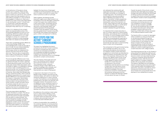<span id="page-49-0"></span>on the behaviour of the person whose consent was in question. There was less focus on the actions of the initiator. If the person carried out a sexual act, this could be taken to mean that they wanted to do it or were willing to engage in it. Once someone had engaged in a sexual act, there was a tendency for some of the survey respondents to use wording like 'could of', 'should have', or 'would have' to describe alternative behaviours that the person would have employed if they were truly non-consenting.

A clear 'no' or absence of any consent signal was required before some of the young people regarded an action as nonconsenting. While the students were very attentive to the presence of a 'no', other strategies to convey non-consent such as indirect comments or body language were often not viewed as strong signals.

There were considerable gender differences in the survey findings. While it was acknowledged that a male has the right to say no to sex, this was made problematic because of the general expectation that his peers would not understand this reaction and may mock him for turning down sex. There was also an expectation that a male is more able than a female to leave a situation if he does not consent.

The second gender difference was in how survey participants responded to questions on general principles of consent, openness to casual sexual encounters, and in how the stories were viewed. Male respondents were more likely to agree it is acceptable to assume an active or even controlling position in a sexual encounter, such as pushing someone's head down firmly or persuading someone to have sex. More males than females were open to causal encounters, which could set up different expectations for consent and a gender difference in how sexual encounters are viewed or interpreted. Nevertheless, many of the males who took part in the study provided a strong endorsement of active, positive consent and were critical of scenarios where this did not occur. In turn, some females were accepting of positions that are not compatible with an approach of positive and active consent.

The survey respondents identified a number of barriers to consent. This sets up an opposing motivation that could work against the positive principles and beliefs that are held on a personal level. The barriers frequently included uncertainty over having the knowledge and skills required for consent, but for the most part highlighted social concerns. Uncertainty over what peers believe or an assumption that verbal consent would be awkward

highlight the importance of teenagers' confidence and the perception that they are part of a wider community of consent that works in practice as well as in principle.

who delivered the workshop felt wellsupported and found it to be effective and highly worthwhile as a strategy for consent education. The workshop manual and PowerPoint resources provided a clear scaffolding and support for the delivery. The Active\* Consent programme has a range of training and professional development options that teachers can access. These range from half-day training on the workshop through to a full 10-ECTS professional development module on consent validated through NUI Galway.

Taken together, the findings provide important insights and a step forward in our knowledge of how Irish teenagers understand consent and apply that understanding in a real-world context. The findings ground the Active\* Consent schools programme resources in the language, reality, and positive aspirations of young people. Consistent with the research-driven ethos that has guided Active\* Consent since 2014, the findings have shaped the programme goals, content, and approach to delivery.

#### NEXT STEPS FOR THE ACTIVE\* CONSENT SCHOOLS PROGRAMME

Overall, the results of the schools consent workshop pilot were highly encouraging. The strategy used demonstrated the advantage of taking a positive and holistic approach to support the school community to engage with research-based consent programming.

This report has highlighted the impact achieved by the Active\* Consent workshop for schools. It showed that the consent workshop was evaluated positively as an acceptable and effective strategy for engaging young people aged 15-17 on consent, with a particular focus on knowledge and skills for consent communication.

The vast majority of the pupils who took part in the workshop found it relevant and would recommend it to a friend. The comparison of pre- and postworkshop ratings to items reflective of consent knowledge, skills, attitudes, and peer perceptions showed significant improvements as a result of taking part.

In response to the impact of Covid-19, a flexible mode of delivery was built into the workshop design, with options to deliver the workshop ranging from in-class to remote or online. The workshop can be delivered by professionals in the area or by teachers who have been trained. The evaluation found no difference in post-workshop scores or in acceptability ratings to be dependent on delivery mode or facilitator type. The workshop was similarly effective when delivered by teachers and through an online platform.

By preference, the workshop is best suited to an in-class mode of delivery, as this allows teachers to have a clearer sense of comfort levels and responses. This form of delivery also promotes more faceto-face discussion between peers.

In terms of sustainability, the scalability of the workshop depends on having teachers trained to deliver it. The piloting of training with teachers was positive. Those teachers

It is important that consent education is part of a holistic approach to sexual health education, and moreover that it contributes to a whole-of-school strategy toward culture change. It is an important ideal that not only should young people be supported to be more open in consent communication, but that teachers, parents or guardians should also be more open in communicating about consent with young people.

The achievement of this goal involves having the knowledge and skills to do so, and the prompt provided by the introduction of a research-based consent education programme at school level was described as helpful by parents and guardians who took part in the awareness-raising seminar. The seminar was offered online as part of the workshop piloting process, and showed:

- A high degree of support from the families for consent education to take place in the schools.
- Satisfaction with the seminar as a strategy to keep them informed about school developments as well as to enhance parental knowledge of the topic.
- A personal connection made between the workshop taking place and the intention to speak with teenage children at home about the topic of consent.

The Active\* Consent schools workshop, awareness and training resources are now available for schools to engage with for the new academic year 2021- 22. The schools programme also includes two further resources which will become available in Autumn 2021 and at the beginning of 2022. Both of these are based on an extensive research base as well.

The theatrical film on consent for teenagers will be available as a resource that builds on the learning achieved through the consent workshop. How I Learned About Consent draws on the findings from the Active\* Consent schools survey and workshop piloting, as well as having an independent base of research derived from rolling out a drama-based approach to consent education with college students.

The eLearning resource Sex on Our Screens is being piloted from September 2021 and will be available from the start of 2022. The final resource content and associated teaching / classroom materials will be informed by the piloting process, while the resource itself is based on a number of research studies with young adults and parents. This research identified how pornography impacts on learning about sex and consent. It also explored needs and preferences for information, education, and skills for critical thinking and communication about the sexual media that young people tend to be exposed to from adolescence onwards.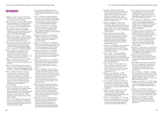#### <span id="page-50-0"></span>REFERENCES

- Aggleton, P., Cover, R., Leahy, D., Marshall, D., & Rasmussen, M. Lou. (2018). Youth, sexuality and sexual citizenship. Routledge.
- Allen, L. (2005). 'Say everything': Exploring young people's suggestions for improving sexuality education. Sex Education, 5(4), 389–404. https://doi.org/10.1080/14681810500278493
- Allen, L. (2008). "They think you shouldn't be having sex anyway": Young people's suggestions for improving sexuality education content. Sexualities, 11(5), 573–594. https:// doi.org/10.1177/1363460708089425
- Ashcraft, A. M., & Murray, P. J. (2017). Talking to parents about adolescent sexuality. Pediatric Clinics of North America, 64(2), 305. https:// dx.doi.org/10.1016%2Fj.pcl.2016.11.002
- Baldwin-White, A. (2019). "When a girl says no, you should be persistent until she says yes": College students and their beliefs about consent. Journal of Interpersonal Violence. https://doi.org/10.1177%2F0886260519875552
- Bauer, M., Hämmerli, S., & Leeners, B. (2020). Unmet needs in sex education—what adolescents aim to understand about sexuality of the other sex. Journal of Adolescent Health, 67(2), 245-252. https://doi. org/10.1016/j.jadohealth.2020.02.015
- Beres, M. A., Herold, E., & Maitland, S. B. (2004). Sexual consent behaviors in same-sex relationships. Archives of Sexual Behavior, 33, 475–486.
- Beres, M. A. (2014). Rethinking the concept of consent for anti-sexual violence activism and education. Feminism & Psychology, 24(3), 373-389. https://doi.org/10.1177/0959353514539652
- Burke, L., O'Higgins, S., McIvor, C., Dawson, K., O'Donovan, R., & MacNeela, P. (2020). The Active\* Consent/union of students in Ireland sexual experiences survey 2020: Sexual violence and harassment experiences in a national survey of higher education institutions. National University of Ireland. Galway. https://www.drugsandalcohol. ie/32244/1/Sexual-Experiences-Survey-2020.pdf
- Byrnes, E. & MacNeela, P. (2017). The SHAG report: Sexual health and attitudes, Galway. School of Psychology and Institute for Lifecourse & Society (ILAS), National University of Ireland, Galway; Community Engaged Research in Action (CORA). http://www. nuigalway.ie/media/studentservices/SHAG\_ Report\_2017.pdf
- Conlon, C. (2019). Research about supporting parents communicating with children aged 4–9 years about relationships, sexuality and growing up. Health Service Executive. http:// hdl.handle.net/10147/623525

Criminal Law (Sexual Offences) Act 2017. s. 48.9.1 (Ireland). Retrieved from http://www. irishstatutebook.ie/eli/2017/act/2/enacted/ en/pdf

- Curtis, J. N., & Burnett, S. (2017). Affirmative consent: What do college student leaders think about "yes means yes" as the standard for sexual behavior?. American Journal of Sexuality Education, 12(3), 201-214. https:// doi.org/10.1080/15546128.2017.1328322
- Dawson, K., Nic Gabhainn, S., & MacNeela, P. (2019a). Dissatisfaction with school sex education is not associated with using pornography for sexual information. Porn Studies, 6(2), 245-257. https://doi.org/10.1080 /23268743.2018.1525307
- Dawson, K., Nic Gabhainn, S., & MacNeela, P. (2019b). Porn Report. National University of Ireland, Galway. http://www.nuigalway. ie/media/smartconsent/PornReport-PrintReady-A5.pdf
- Dawson, K., Nic Gabhainn, S., & MacNeela, P. (2020). Toward a model of porn literacy: Core concepts, rationales, and approaches. The Journal of Sex Research, 57(1), 1-15. https:// doi.org/10.1080/00224499.2018.1556238
- Dawson, K., Nic Gabhainn, S., & MacNeela, P. (2021a). Development of a measure to assess what young heterosexual adults report learning about sex from pornography. [Manuscript in press]. Archives of Sexual Behaviour.
- Dawson, K., Nic Gabhainn, S., & MacNeela, P. (2021b). Parents beliefs about the impact of pornography on their adolescent children. [Manuscript in preparation]. School of Psychology, National University of Ireland, Galway.
- D'eath, M., O'Higgins, S., Tierney, L., Noone, C., Burke, L., MacNeela, P. (2020). Research evaluation of the Manuela sexual violence prevention programme for secondary school students. School of Psychology and Institute for Lifecourse & Society (ILAS), National University of Ireland, Galway. https:// www.tusla.ie/uploads/content/Manuela\_ Programme\_Full\_Evaluation\_Report\_Final\_ May\_2020-2.pdf
- Department of Education. (2009). Lesbian, Gay and Bisexual Students in Post-Primary Schools: Guidance for Principals and School Leaders. Department of Education: Gay & Lesbian Equality Network. https:// www.ilga-europe.org/sites/default/files/ lesbian\_gay\_and\_bisexual\_students\_in\_postprimary\_schools\_guidance\_for\_principals\_ and\_school\_leaders.pdf
- Department of Education. (2013). Looking at Social, Personal and Health Education: Teaching and Learning in Post-Primary Schools. Department of Education; Evaluation Support and Research Unit, Inspectorate. https://assets.gov.ie/25284/ 6d006de035c8437f9e8de363343941e6.pdf
- Department of Education. (2019). Safe, respectful, supportive and positive: Ending sexual violence and harassment in Irish higher education institutions. Department of Education and Skills. https://www. education.ie/en/Publications/Education-Reports/framework-for-consent-in-highereducation-institutions.pdf
- Drouin, M., Jozkowski, K. N., Davis, J., & Newsham, G. (2018). How does alcohol consumption affect perceptions of one's own and a drinking partner's ability to consent to sexual activity? The Journal of Sex Research, 56(6), 740–753. https://doi.org/10.1080/00224 499.2018.1509290
- Duffy, M., Feeney, M., & Lodge, A. (2020, September). 'Let's talk about Sex, Baby'..... second-level students, parents/guardians, teachers and principals talk about the relationships and sexuality programme [paper presentation]. Annual Conference of the Educational Studies Association of Ireland, Dublin, Ireland.
- Fantasia, H. C. (2011). Really not even a decision any more: Late adolescent narratives of implied sexual consent. Journal of Forensic Nursing, 7(3), 120-129. https://doi.org/10.1111/ j.1939-3938.2011.01108.x
- Fisher, C. M., Kerr, L., Ezer, P., Kneip Pelster, A. D., Coleman, J. D., & Tibbits, M. (2020). Adolescent perspectives on addressing teenage pregnancy and sexually transmitted infections in the classroom and beyond. Sex Education, 20(1), 90-100. https://doi.org/10.1 080/14681811.2019.1618257
- Gavey, N., Calder-Dawe, O., Taylor, K., Le Grice, J., Thorburn, B., Manuela, S., Dudley, M., Panditharatne, S., Ross, R., & Carr, A. (2021). Shifting the line: Boys talk on gender, sexism and online ethics. https://www. shiftingtheline.ac.nz/
- Goldfarb, E. S., & Lieberman, L. D. (2021). Three decades of research: The case for comprehensive sex education. Journal of Adolescent Health, 68(1), 13–27. https://doi. org/10.1016/j.jadohealth.2020.07.036
- Griner, S. B., Kline, N., Monroy, E., & Thompson, E. L. (2021). Sexual consent communication among sexual and gender minority college students. The Journal of Sex Research, 58(4), 462-468. https://doi.org/10.1080/00224499.2 021.1882929
- Groggel, A., Burdick, M., & Barraza, A. (2021). She left the party: College students' meanings of sexual consent. Violence Against Women, 27(6-7), 766-789. https://doi. org/10.1177%2F1077801220911462
- Hickman, S. E., & Muehlenhard, C. L. (1999). "By the semi-mystical appearance of a condom": How young women and men communicate sexual consent in heterosexual situations. Journal of Sex Research, 36(3), 258-272.

Hills, P. J., Pleva, M., Seib, E., & Cole, T. (2021). Understanding how university students use perceptions of consent, wantedness, and pleasure in labeling rape. Archives of Sexual Behavior, 50(1), 247-262. https://doi. org/10.1007/s10508-020-01772-1

Hirsch, J. S., Khan, S. R., Wamboldt, A., & Mellins, C. A. (2019). Social dimensions of sexual consent among cisgender heterosexual college students: Insights from ethnographic research. Journal of Adolescent Health, 64(1), 26-35. https://doi.org/10.1016/j. jadohealth.2018.06.011

Holmström, C., Plantin, L., & Elmerstig, E. (2020). Complexities of sexual consent: Young people's reasoning in a Swedish context. Psychology & Sexuality, 11(4), 342-357. https:// doi.org/10.1080/19419899.2020.1769163

Humphreys, T. P. (2004). Understanding sexual consent: An empirical investigation of the normative script for young heterosexual adults. In M. Cowling & P. Reynolds (Eds.), Making sense of sexual consent (pp. 209- 225). Routledge.

Humphreys, T. P., & Brousseau, M. M. (2010). The sexual consent scale–revised: Development, reliability, and preliminary validity. Journal of Sex Research, 47(5), 420-428. https://doi. org/10.1080/00224490903151358

IBM Corp. (2019). IBM SPSS Statistics for Windows (Version 26) [Computer software]. Armonk, NY: IBM Corp. Retrieved from https:// www.ibm.com/analytics/spss-statisticssoftware

International Planned Parenthood Federation. (2010). IPPF framework for comprehensive sexuality education. IPPF, London. https:// www.ippf.org/sites/default/files/ippf\_ framework\_for\_comprehensive\_sexuality\_ education.pdf

Javidi, H., Maheux, A. J., Widman, L., Kamke, K., Choukas-Bradley, S., & Peterson, Z. D. (2020). Understanding adolescents' attitudes toward affirmative consent. The Journal of Sex Research, 57(9), 1100-1107. https://doi.org/10.1 080/00224499.2019.1711009

Jozkowski, K. N., & Peterson, Z. D. (2013). College students and sexual consent: Unique insights. Journal of Sex Research, 50(6), 517-523. https://doi.org/10.1080/00224499.2012.700 739

Jozkowski, K. N., & Satinsky, S. A. (2013). A gender discrepancy analysis of heterosexual sexual behaviors in two university samples. Journal of Community Health, 38(6), 1157-1165. https://doi.org/10.1007/s10900-013-9728-3

Jozkowski, K. N., & Humphreys, T. P. (2014). Sexual consent on college campuses: Implications for sexual assault prevention education. Health Education Monograph, 31(2), 30-36.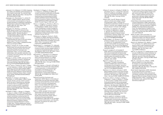- Jozkowski, K. N., & Peterson, Z. D. (2014). Assessing the validity and reliability of the perceptions of the consent to sex scale. The Journal of Sex Research, 51(6), 632-645. https://doi.org/10.10 80/00224499.2012.757282
- Jozkowski, K. N., Marcantonio, T. L., & Hunt, M. E. (2017). College students' sexual consent communication and perceptions of sexual double standards: A qualitative investigation. Perspectives on Sexual and Reproductive Health, 49(4), 237–244. https://doi. org/10.1363/psrh.12041
- Jozkowski, K. N., Manning, J., & Hunt, M. (2018). Sexual consent in and out of the bedroom: Disjunctive views of heterosexual college students. Women's Studies in Communication, 41(2), 117-139. https://doi.org. /10.1080/07491409.2018.1470121
- Kaszynska, P., & Crossick, G. (2016). Understanding the value of arts and culture: Project report. The Arts & Humanities Research Council. https://ualresearchonline. arts.ac.uk/id/eprint/15973/
- Keating, S., Morgan, M., & Collins, B. (2018). Relationships and sexuality education (rse) in primary and post-primary Irish schools. National Council for Curriculum and Assessment. https://ncca.ie/media/3782/ relationships-and-sexuality-education-rsein-primary-and-post-primary-irish-schoolsa-research-paper.pdf
- Kitzinger, C., & Frith, H. (1999). Just say no? The use of conversation analysis in developing a feminist perspective on sexual refusal. Discourse & Society, 10(3), 293-316. https:// doi.org/10.1177%2F0957926599010003002
- Költő, A., Gavin, A., Molcho, M., Kelly, C., Walker, L., & Nic Gabhainn, S. (2020). The Irish Health Behaviour in School-aged Children (HBSC) Study 2018. Department of Health & Galway Health Promotion Research Centre, National University of Ireland, Galway. https://assets. gov.ie/46026/7fa9176e0c5440b0a39fad5 4911a6872.pdf
- MacNeela, P., Conway, T., Kavanagh, S., Kennedy, L. A., & McCaffrey, J. (2014). Young people, alcohol, and sex: what's consent got to do with it? Exploring how attitudes to alcohol impact on judgements about consent to sexual activity: A qualitative study of university students. Rape Crisis Network Ireland (RCNI). http://hdl.handle. net/10147/315328
- MacNeela, P., Breen, J., Byrnes, E., O'Higgins, S., Seery, C., & Silke, C. (2017). Development, implementation, and evaluation of the smart consent workshop on sexual consent for third level students. School of Psychology and Institute for Lifecourse & Society (ILAS), National University of Ireland, Galway; Community Engaged Research in Action (CORA). http://www6.nuigalway.ie/media/ studentservices/SMART-Consent-Workshop-Report-WEB.pdf
- MacNeela, P., O'Hiaains, S., McIvor, C., Seery, C., Dawson, K., & Delaney, N. (2018). Are consent workshops sustainable and feasible in third level institutions?: Evidence from implementing and extending the SMART consent workshop. School of Psychology, National University of Ireland, Galway. http:// www.nuigalway.ie/media/smartconsent/ SMART-Consent-Report-2018-web-.pdf
- McIvor, C., O'Higgins, S., McGrath, S., Black, A., Burke, L., D'Eath, M., Connolly, R., Dawson, K., & MacNeela, P. (2020). Active\* consent toolkit: Developing a consent strategy for your higher education institution. National University of Ireland, Galway. https://www. nuigalway.ie/media/smartconsent/Toolkit-Updated-Spring-2021.pdf
- McNamara, E., Murphy, D., Murray, A., Smyth, E., Watson, D. (2020). Growing up in Ireland national longitudinal study: The lives of 17/18 year olds. Department of Children and Youth Affairs. https://www.esri.ie/system/files/ publications/BKMNEXT397.pdf
- Muehlenhard, C. L., Humphreys, T. P., Jozkowski, K. N., & Peterson, Z. D. (2016). The complexities of sexual consent among college students: A conceptual and empirical review. Journal of Sex Research, 53(4-5), 457-487. https://doi.or g/10.1080/00224499.2016.1146651
- Marcantonio, T., Jozkowski, K. N., & Wiersma-Mosley, J. (2018). The influence of partner status and sexual behavior on college women's consent communication and feelings. Journal of Sex & Marital Therapy, <sup>44</sup>(8), 776-786. https://doi.org/10.1080/00926 23X.2018.1474410
- Munro, B. E., Selman, J., Esmail, S., & Ponzetti Jr, J. J. (2007). Are we there yet?: Using theatre in sexual education: a combinationaion of academic and theatre groups. The International Journal of Diversity in Organisations, Communities & Nations,<br>7(3), 132-138. doi:10.18848/1447-9532/CGP/ v07i03/39376
- National Council for Curriculum and Assessment. (2019). Report on the review of relationships and sexuality education (RSE) in primary and postprimary schools. National Council for Curriculum and Assessment. https://ncca.ie/media/4319/report-onthe-review-of-relationships-and-sexualityeducation-rse-in-primary-and-postprimary-schools.pdf
- Nolan, A. (2018). Spotlight: School-based relationships and sexuality education (rse): Lessons for policy and practice. House of the Oireachtas, Dublin. https:// data.oireachtas.ie/ie/oireachtas/ libraryResearch/2018/2018-09-25\_spotlightschool-based-relationships-and-sexualityeducation-rse-lessons-for-policy-andpractice\_en.pdf
- O'Byrne, R., Hansen, S., & Rapley, M. (2008). If a girl doesn't say 'no'…": young men, rape and claims of 'insufficient knowledge. Journal of Community & Applied Social Psychology, 18(3), 168-193. https://doi.org/10.1002/ casp.922
- Ofsted. (2021, June 10). Review of sexual abuse in schools and colleges. Ofsted, UK government. https://www.gov.uk/ government/publications/review-of-sexualabuse-in-schools-and-colleges/review-ofsexual-abuse-in-schools-and-colleges
- Orchowski, L. M., Oesterle, D. W., Moreno, O., Yusufov, M., Berkowitz, A., Abbey, A., Barnett, N.P., & Borsari, B. (2020). A qualitative analysis of sexual consent among heavy-drinking college men. Journal of Interpersonal Violence. https://doi. org/10.1177%2F0886260520958658
- Padilla-Walker, L. M., McLean, R., Ogles, B., & Pollard, B. (2020). How do parents teach "no means no"? An exploration of how sexual consent beliefs are socialized during adolescence. The Journal of Sex Research, 57(9), 1122-1133. https://doi.org/10.1080/0022 4499.2020.1792397
- Pound, P., Langford, R., & Campbell, R. (2016). What do young people think about their school-based sex and relationship education? A qualitative synthesis of young people's views and experiences. BMJ Open, 6(9), 1-14. https://doi.org/10.1136/ bmjopen-2016-011329
- Righi, M. K., Bogen, K. W., Kuo, C., & Orchowski, L. M. (2021). A qualitative analysis of beliefs about sexual consent among high school students. Journal of Interpersonal Violence, 36(15-16), https://doi. org/10.1177%2F0886260519842855.
- Robinson, K. H., Smith, E., & Davies, C. (2017). Responsibilities, tensions and ways forward: Parents' perspectives on children's sexuality education. Sex Education, 17(3), 333-347. https://doi.org/10.1080/14681811.2017.1301904
- Scott, R. H., Smith, C., Formby, E., Hadley, A., Hallgarten, L., Hoyle, A., Marston, C., McKee, A., & Tourountsis, D. (2020). What and how: Doing good research with young people, digital intimacies, and relationships and sex education. Sex Education, 20(6), 675-691. https://doi.org/10.1080/14681811.2020.1732337
- Silke, C., MacNeela, P., O'Hiaains, S. (2017). Do sexual consent workshops promote positive attitudes toward consent? The Journal of Sexual Medicine, 14(5), E302. https://doi. org/10.1016/j.jsxm.2017.04.695
- Stone, N., Ingham, R., & Gibbins, K. (2012). 'Where do babies come from?': Barriers to early sexuality communication between parents and young children. Sex Education, 13(2), 228-240. https://doi.org/10.1080/146818 11.2012.737776

The Government of the United Kingdom. (2014). A call to end violence against women and girls: Action plan 2014. UK Home Office. https://assets.publishing.service.gov.uk/ government/uploads/system/uploads/ attachment\_data/file/287758/VAWG\_ Action\_Plan.pdf

United Nations Educational, Scientific and Cultural Organisation. (2018). International technical guidance on sexuality education: An evidence- informed approach. UNESCO; UNAIDS; The United Nations Population Fund; The United Nations Children's Fund; UN Women; The World Health Organisation. https://www.unfpa.org/sites/default/files/ pub-pdf/ITGSE.pdf

Walsh, M. (2021). 'Storm and stress': An exploration of sexual harassment amongst adolescents. Rape Crisis Network Ireland. https://www.rcni.ie/wp-content/uploads/ RCNI-Storm-and-Stress-FINAL.pdf

Ward, R. M., Matthews, M. R., Weiner, J., Hogan, K. M., & Popson, H. C. (2012). Alcohol and sexual consent scale: Development and validation. American Journal of Health Behavior, 36(6), 746-756. https://doi. org/10.5993/AJHB.36.6.3

Willis, M., & Jozkowski, K. N. (2018). Barriers to the success of affirmative consent initiatives: An application of the social ecological model. American Journal of Sexuality Education, 13(3), 324-336. https://doi.org/10.1080/155461 28.2018.1443300

Willis, M., Jozkowski, K. N., & Read, J. (2018). Sexual consent in K–12 sex education: An analysis of current health education standards in the United States. Sex Education, 19(2), 226-236. https://doi.org/10.1 080/14681811.2018.1510769

World Health Organization. (2010). Standards for sexuality education in Europe: A framework for policy makers, educational and health authorities and specialists. WHO Regional Office for Europe; Federal Centre for Health Education. https://www.bzga-whocc. de/fileadmin/user\_upload/WHO\_BZgA\_ Standards\_English.pdf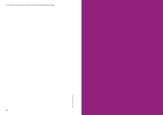www.darraghneely.com Design: www.darraghneely.com Design: